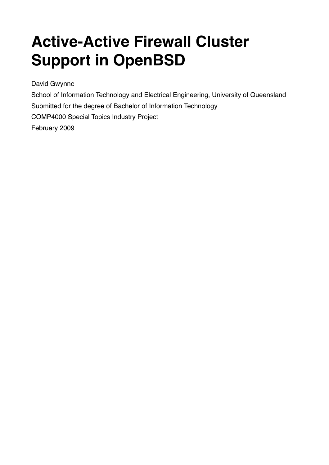# **Active-Active Firewall Cluster Support in OpenBSD**

David Gwynne

School of Information Technology and Electrical Engineering, University of Queensland Submitted for the degree of Bachelor of Information Technology COMP4000 Special Topics Industry Project February 2009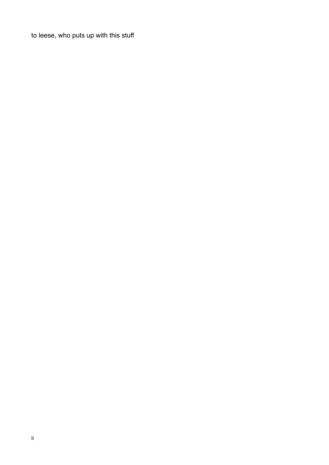to leese, who puts up with this stuff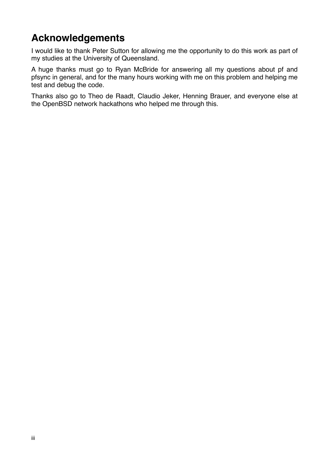# **Acknowledgements**

I would like to thank Peter Sutton for allowing me the opportunity to do this work as part of my studies at the University of Queensland.

A huge thanks must go to Ryan McBride for answering all my questions about pf and pfsync in general, and for the many hours working with me on this problem and helping me test and debug the code.

Thanks also go to Theo de Raadt, Claudio Jeker, Henning Brauer, and everyone else at the OpenBSD network hackathons who helped me through this.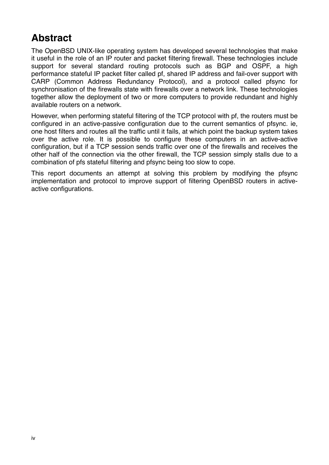# **Abstract**

The OpenBSD UNIX-like operating system has developed several technologies that make it useful in the role of an IP router and packet filtering firewall. These technologies include support for several standard routing protocols such as BGP and OSPF, a high performance stateful IP packet filter called pf, shared IP address and fail-over support with CARP (Common Address Redundancy Protocol), and a protocol called pfsync for synchronisation of the firewalls state with firewalls over a network link. These technologies together allow the deployment of two or more computers to provide redundant and highly available routers on a network.

However, when performing stateful filtering of the TCP protocol with pf, the routers must be configured in an active-passive configuration due to the current semantics of pfsync. ie, one host filters and routes all the traffic until it fails, at which point the backup system takes over the active role. It is possible to configure these computers in an active-active configuration, but if a TCP session sends traffic over one of the firewalls and receives the other half of the connection via the other firewall, the TCP session simply stalls due to a combination of pfs stateful filtering and pfsync being too slow to cope.

This report documents an attempt at solving this problem by modifying the pfsync implementation and protocol to improve support of filtering OpenBSD routers in activeactive configurations.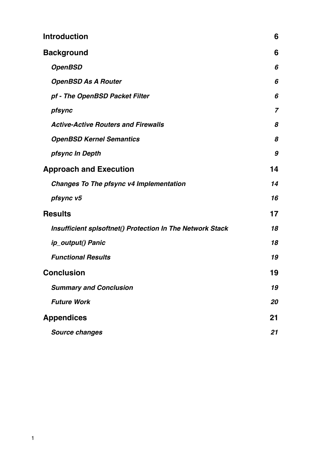| <b>Introduction</b>                                       | 6              |
|-----------------------------------------------------------|----------------|
| <b>Background</b>                                         | 6              |
| <b>OpenBSD</b>                                            | 6              |
| <b>OpenBSD As A Router</b>                                | 6              |
| pf - The OpenBSD Packet Filter                            | 6              |
| pfsync                                                    | $\overline{7}$ |
| <b>Active-Active Routers and Firewalls</b>                | 8              |
| <b>OpenBSD Kernel Semantics</b>                           | 8              |
| pfsync In Depth                                           | 9              |
| <b>Approach and Execution</b>                             | 14             |
| <b>Changes To The pfsync v4 Implementation</b>            | 14             |
| pfsync v5                                                 | 16             |
| <b>Results</b>                                            | 17             |
| Insufficient spisoftnet() Protection In The Network Stack | 18             |
| ip_output() Panic                                         | 18             |
| <b>Functional Results</b>                                 | 19             |
| <b>Conclusion</b>                                         | 19             |
| <b>Summary and Conclusion</b>                             | 19             |
| <b>Future Work</b>                                        | 20             |
| <b>Appendices</b>                                         | 21             |
| Source changes                                            | 21             |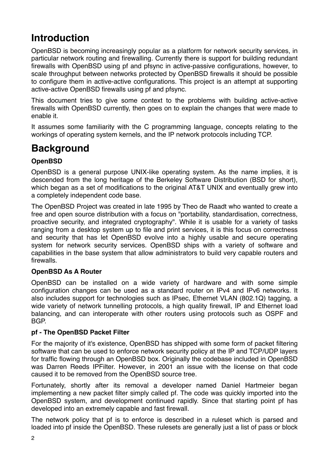# <span id="page-5-0"></span>**Introduction**

OpenBSD is becoming increasingly popular as a platform for network security services, in particular network routing and firewalling. Currently there is support for building redundant firewalls with OpenBSD using pf and pfsync in active-passive configurations, however, to scale throughput between networks protected by OpenBSD firewalls it should be possible to configure them in active-active configurations. This project is an attempt at supporting active-active OpenBSD firewalls using pf and pfsync.

This document tries to give some context to the problems with building active-active firewalls with OpenBSD currently, then goes on to explain the changes that were made to enable it.

It assumes some familiarity with the C programming language, concepts relating to the workings of operating system kernels, and the IP network protocols including TCP.

# <span id="page-5-1"></span>**Background**

#### <span id="page-5-2"></span>**OpenBSD**

OpenBSD is a general purpose UNIX-like operating system. As the name implies, it is descended from the long heritage of the Berkeley Software Distribution (BSD for short), which began as a set of modifications to the original AT&T UNIX and eventually grew into a completely independent code base.

The OpenBSD Project was created in late 1995 by Theo de Raadt who wanted to create a free and open source distribution with a focus on "portability, standardisation, correctness, proactive security, and integrated cryptography". While it is usable for a variety of tasks ranging from a desktop system up to file and print services, it is this focus on correctness and security that has let OpenBSD evolve into a highly usable and secure operating system for network security services. OpenBSD ships with a variety of software and capabilities in the base system that allow administrators to build very capable routers and firewalls.

#### <span id="page-5-3"></span>**OpenBSD As A Router**

OpenBSD can be installed on a wide variety of hardware and with some simple configuration changes can be used as a standard router on IPv4 and IPv6 networks. It also includes support for technologies such as IPsec, Ethernet VLAN (802.1Q) tagging, a wide variety of network tunnelling protocols, a high quality firewall, IP and Ethernet load balancing, and can interoperate with other routers using protocols such as OSPF and BGP.

#### <span id="page-5-4"></span>**pf - The OpenBSD Packet Filter**

For the majority of it's existence, OpenBSD has shipped with some form of packet filtering software that can be used to enforce network security policy at the IP and TCP/UDP layers for traffic flowing through an OpenBSD box. Originally the codebase included in OpenBSD was Darren Reeds IPFilter. However, in 2001 an issue with the license on that code caused it to be removed from the OpenBSD source tree.

Fortunately, shortly after its removal a developer named Daniel Hartmeier began implementing a new packet filter simply called pf. The code was quickly imported into the OpenBSD system, and development continued rapidly. Since that starting point pf has developed into an extremely capable and fast firewall.

The network policy that pf is to enforce is described in a ruleset which is parsed and loaded into pf inside the OpenBSD. These rulesets are generally just a list of pass or block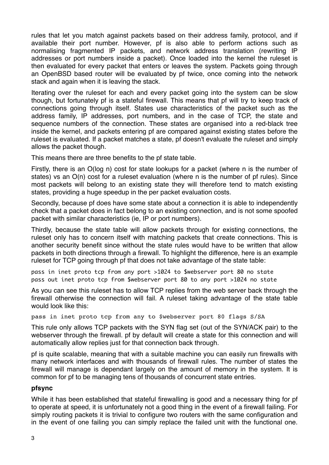rules that let you match against packets based on their address family, protocol, and if available their port number. However, pf is also able to perform actions such as normalising fragmented IP packets, and network address translation (rewriting IP addresses or port numbers inside a packet). Once loaded into the kernel the ruleset is then evaluated for every packet that enters or leaves the system. Packets going through an OpenBSD based router will be evaluated by pf twice, once coming into the network stack and again when it is leaving the stack.

Iterating over the ruleset for each and every packet going into the system can be slow though, but fortunately pf is a stateful firewall. This means that pf will try to keep track of connections going through itself. States use characteristics of the packet such as the address family, IP addresses, port numbers, and in the case of TCP, the state and sequence numbers of the connection. These states are organised into a red-black tree inside the kernel, and packets entering pf are compared against existing states before the ruleset is evaluated. If a packet matches a state, pf doesn't evaluate the ruleset and simply allows the packet though.

This means there are three benefits to the pf state table.

Firstly, there is an O(log n) cost for state lookups for a packet (where n is the number of states) vs an O(n) cost for a ruleset evaluation (where n is the number of pf rules). Since most packets will belong to an existing state they will therefore tend to match existing states, providing a huge speedup in the per packet evaluation costs.

Secondly, because pf does have some state about a connection it is able to independently check that a packet does in fact belong to an existing connection, and is not some spoofed packet with similar characteristics (ie, IP or port numbers).

Thirdly, because the state table will allow packets through for existing connections, the ruleset only has to concern itself with matching packets that create connections. This is another security benefit since without the state rules would have to be written that allow packets in both directions through a firewall. To highlight the difference, here is an example ruleset for TCP going through pf that does not take advantage of the state table:

pass in inet proto tcp from any port >1024 to \$webserver port 80 no state pass out inet proto tcp from \$webserver port 80 to any port >1024 no state

As you can see this ruleset has to allow TCP replies from the web server back through the firewall otherwise the connection will fail. A ruleset taking advantage of the state table would look like this:

pass in inet proto tcp from any to \$webserver port 80 flags S/SA

This rule only allows TCP packets with the SYN flag set (out of the SYN/ACK pair) to the webserver through the firewall. pf by default will create a state for this connection and will automatically allow replies just for that connection back through.

pf is quite scalable, meaning that with a suitable machine you can easily run firewalls with many network interfaces and with thousands of firewall rules. The number of states the firewall will manage is dependant largely on the amount of memory in the system. It is common for pf to be managing tens of thousands of concurrent state entries.

#### <span id="page-6-0"></span>**pfsync**

While it has been established that stateful firewalling is good and a necessary thing for pf to operate at speed, it is unfortunately not a good thing in the event of a firewall failing. For simply routing packets it is trivial to configure two routers with the same configuration and in the event of one failing you can simply replace the failed unit with the functional one.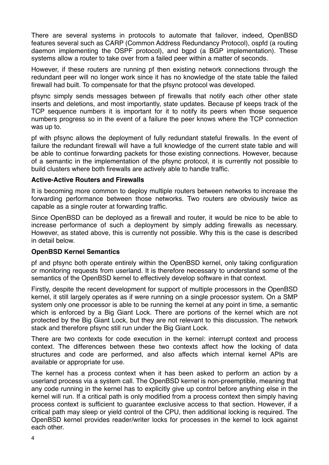There are several systems in protocols to automate that failover, indeed, OpenBSD features several such as CARP (Common Address Redundancy Protocol), ospfd (a routing daemon implementing the OSPF protocol), and bgpd (a BGP implementation). These systems allow a router to take over from a failed peer within a matter of seconds.

However, if these routers are running pf then existing network connections through the redundant peer will no longer work since it has no knowledge of the state table the failed firewall had built. To compensate for that the pfsync protocol was developed.

pfsync simply sends messages between pf firewalls that notify each other other state inserts and deletions, and most importantly, state updates. Because pf keeps track of the TCP sequence numbers it is important for it to notify its peers when those sequence numbers progress so in the event of a failure the peer knows where the TCP connection was up to.

pf with pfsync allows the deployment of fully redundant stateful firewalls. In the event of failure the redundant firewall will have a full knowledge of the current state table and will be able to continue forwarding packets for those existing connections. However, because of a semantic in the implementation of the pfsync protocol, it is currently not possible to build clusters where both firewalls are actively able to handle traffic.

#### <span id="page-7-0"></span>**Active-Active Routers and Firewalls**

It is becoming more common to deploy multiple routers between networks to increase the forwarding performance between those networks. Two routers are obviously twice as capable as a single router at forwarding traffic.

Since OpenBSD can be deployed as a firewall and router, it would be nice to be able to increase performance of such a deployment by simply adding firewalls as necessary. However, as stated above, this is currently not possible. Why this is the case is described in detail below.

#### <span id="page-7-1"></span>**OpenBSD Kernel Semantics**

pf and pfsync both operate entirely within the OpenBSD kernel, only taking configuration or monitoring requests from userland. It is therefore necessary to understand some of the semantics of the OpenBSD kernel to effectively develop software in that context.

Firstly, despite the recent development for support of multiple processors in the OpenBSD kernel, it still largely operates as if were running on a single processor system. On a SMP system only one processor is able to be running the kernel at any point in time, a semantic which is enforced by a Big Giant Lock. There are portions of the kernel which are not protected by the Big Giant Lock, but they are not relevant to this discussion. The network stack and therefore pfsync still run under the Big Giant Lock.

There are two contexts for code execution in the kernel: interrupt context and process context. The differences between these two contexts affect how the locking of data structures and code are performed, and also affects which internal kernel APIs are available or appropriate for use.

The kernel has a process context when it has been asked to perform an action by a userland process via a system call. The OpenBSD kernel is non-preemptible, meaning that any code running in the kernel has to explicitly give up control before anything else in the kernel will run. If a critical path is only modified from a process context then simply having process context is sufficient to guarantee exclusive access to that section. However, if a critical path may sleep or yield control of the CPU, then additional locking is required. The OpenBSD kernel provides reader/writer locks for processes in the kernel to lock against each other.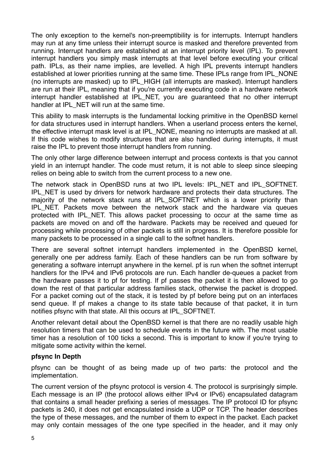The only exception to the kernel's non-preemptibility is for interrupts. Interrupt handlers may run at any time unless their interrupt source is masked and therefore prevented from running. Interrupt handlers are established at an interrupt priority level (IPL). To prevent interrupt handlers you simply mask interrupts at that level before executing your critical path. IPLs, as their name implies, are levelled. A high IPL prevents interrupt handlers established at lower priorities running at the same time. These IPLs range from IPL NONE (no interrupts are masked) up to IPL\_HIGH (all interrupts are masked). Interrupt handlers are run at their IPL, meaning that if you're currently executing code in a hardware network interrupt handler established at IPL NET, you are quaranteed that no other interrupt handler at IPL\_NET will run at the same time.

This ability to mask interrupts is the fundamental locking primitive in the OpenBSD kernel for data structures used in interrupt handlers. When a userland process enters the kernel, the effective interrupt mask level is at IPL\_NONE, meaning no interrupts are masked at all. If this code wishes to modify structures that are also handled during interrupts, it must raise the IPL to prevent those interrupt handlers from running.

The only other large difference between interrupt and process contexts is that you cannot yield in an interrupt handler. The code must return, it is not able to sleep since sleeping relies on being able to switch from the current process to a new one.

The network stack in OpenBSD runs at two IPL levels: IPL\_NET and IPL\_SOFTNET. IPL\_NET is used by drivers for network hardware and protects their data structures. The majority of the network stack runs at IPL SOFTNET which is a lower priority than IPL\_NET. Packets move between the network stack and the hardware via queues protected with IPL\_NET. This allows packet processing to occur at the same time as packets are moved on and off the hardware. Packets may be received and queued for processing while processing of other packets is still in progress. It is therefore possible for many packets to be processed in a single call to the softnet handlers.

There are several softnet interrupt handlers implemented in the OpenBSD kernel, generally one per address family. Each of these handlers can be run from software by generating a software interrupt anywhere in the kernel. pf is run when the softnet interrupt handlers for the IPv4 and IPv6 protocols are run. Each handler de-queues a packet from the hardware passes it to pf for testing. If pf passes the packet it is then allowed to go down the rest of that particular address families stack, otherwise the packet is dropped. For a packet coming out of the stack, it is tested by pf before being put on an interfaces send queue. If pf makes a change to its state table because of that packet, it in turn notifies pfsync with that state. All this occurs at IPL\_SOFTNET.

Another relevant detail about the OpenBSD kernel is that there are no readily usable high resolution timers that can be used to schedule events in the future with. The most usable timer has a resolution of 100 ticks a second. This is important to know if you're trying to mitigate some activity within the kernel.

#### <span id="page-8-0"></span>**pfsync In Depth**

pfsync can be thought of as being made up of two parts: the protocol and the implementation.

The current version of the pfsync protocol is version 4. The protocol is surprisingly simple. Each message is an IP (the protocol allows either IPv4 or IPv6) encapsulated datagram that contains a small header prefixing a series of messages. The IP protocol ID for pfsync packets is 240, it does not get encapsulated inside a UDP or TCP. The header describes the type of these messages, and the number of them to expect in the packet. Each packet may only contain messages of the one type specified in the header, and it may only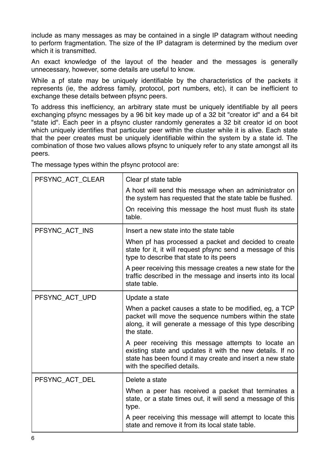include as many messages as may be contained in a single IP datagram without needing to perform fragmentation. The size of the IP datagram is determined by the medium over which it is transmitted.

An exact knowledge of the layout of the header and the messages is generally unnecessary, however, some details are useful to know.

While a pf state may be uniquely identifiable by the characteristics of the packets it represents (ie, the address family, protocol, port numbers, etc), it can be inefficient to exchange these details between pfsync peers.

To address this inefficiency, an arbitrary state must be uniquely identifiable by all peers exchanging pfsync messages by a 96 bit key made up of a 32 bit "creator id" and a 64 bit "state id". Each peer in a pfsync cluster randomly generates a 32 bit creator id on boot which uniquely identifies that particular peer within the cluster while it is alive. Each state that the peer creates must be uniquely identifiable within the system by a state id. The combination of those two values allows pfsync to uniquely refer to any state amongst all its peers.

The message types within the pfsync protocol are:

| PFSYNC_ACT_CLEAR | Clear pf state table                                                                                                                                                                                         |
|------------------|--------------------------------------------------------------------------------------------------------------------------------------------------------------------------------------------------------------|
|                  | A host will send this message when an administrator on<br>the system has requested that the state table be flushed.                                                                                          |
|                  | On receiving this message the host must flush its state<br>table.                                                                                                                                            |
| PFSYNC_ACT_INS   | Insert a new state into the state table                                                                                                                                                                      |
|                  | When pf has processed a packet and decided to create<br>state for it, it will request pfsync send a message of this<br>type to describe that state to its peers                                              |
|                  | A peer receiving this message creates a new state for the<br>traffic described in the message and inserts into its local<br>state table.                                                                     |
| PFSYNC_ACT_UPD   | Update a state                                                                                                                                                                                               |
|                  | When a packet causes a state to be modified, eg, a TCP<br>packet will move the sequence numbers within the state<br>along, it will generate a message of this type describing<br>the state.                  |
|                  | A peer receiving this message attempts to locate an<br>existing state and updates it with the new details. If no<br>state has been found it may create and insert a new state<br>with the specified details. |
| PFSYNC_ACT_DEL   | Delete a state                                                                                                                                                                                               |
|                  | When a peer has received a packet that terminates a<br>state, or a state times out, it will send a message of this<br>type.                                                                                  |
|                  | A peer receiving this message will attempt to locate this<br>state and remove it from its local state table.                                                                                                 |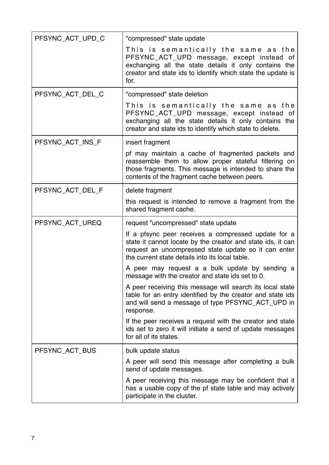| PFSYNC_ACT_UPD_C | "compressed" state update                                                                                                                                                                                                     |
|------------------|-------------------------------------------------------------------------------------------------------------------------------------------------------------------------------------------------------------------------------|
|                  | This is semantically the same as the<br>PFSYNC_ACT_UPD message, except instead of<br>exchanging all the state details it only contains the<br>creator and state ids to identify which state the update is<br>for.             |
| PFSYNC_ACT_DEL_C | "compressed" state deletion                                                                                                                                                                                                   |
|                  | This is semantically the same as the<br>PFSYNC_ACT_UPD message, except instead of<br>exchanging all the state details it only contains the<br>creator and state ids to identify which state to delete.                        |
| PFSYNC_ACT_INS_F | insert fragment                                                                                                                                                                                                               |
|                  | pf may maintain a cache of fragmented packets and<br>reassemble them to allow proper stateful filtering on<br>those fragments. This message is intended to share the<br>contents of the fragment cache between peers.         |
| PFSYNC_ACT_DEL_F | delete fragment                                                                                                                                                                                                               |
|                  | this request is intended to remove a fragment from the<br>shared fragment cache.                                                                                                                                              |
| PFSYNC_ACT_UREQ  | request "uncompressed" state update                                                                                                                                                                                           |
|                  | If a pfsync peer receives a compressed update for a<br>state it cannot locate by the creator and state ids, it can<br>request an uncompressed state update so it can enter<br>the current state details into its local table. |
|                  | A peer may request a a bulk update by sending a<br>message with the creator and state ids set to 0.                                                                                                                           |
|                  | A peer receiving this message will search its local state<br>table for an entry identified by the creator and state ids<br>and will send a message of type PFSYNC_ACT_UPD in<br>response.                                     |
|                  | If the peer receives a request with the creator and state<br>ids set to zero it will initiate a send of update messages<br>for all of its states.                                                                             |
| PFSYNC_ACT_BUS   | bulk update status                                                                                                                                                                                                            |
|                  | A peer will send this message after completing a bulk<br>send of update messages.                                                                                                                                             |
|                  | A peer receiving this message may be confident that it<br>has a usable copy of the pf state table and may actively<br>participate in the cluster.                                                                             |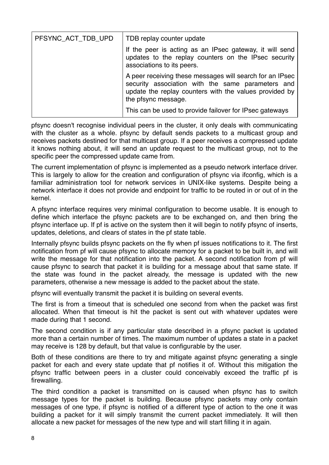| PFSYNC_ACT_TDB_UPD | TDB replay counter update                                                                                                                                                                      |
|--------------------|------------------------------------------------------------------------------------------------------------------------------------------------------------------------------------------------|
|                    | If the peer is acting as an IPsec gateway, it will send<br>updates to the replay counters on the IPsec security<br>associations to its peers.                                                  |
|                    | A peer receiving these messages will search for an IPsec<br>security association with the same parameters and<br>update the replay counters with the values provided by<br>the pfsync message. |
|                    | This can be used to provide failover for IPsec gateways                                                                                                                                        |

pfsync doesn't recognise individual peers in the cluster, it only deals with communicating with the cluster as a whole, pfsync by default sends packets to a multicast group and receives packets destined for that multicast group. If a peer receives a compressed update it knows nothing about, it will send an update request to the multicast group, not to the specific peer the compressed update came from.

The current implementation of pfsync is implemented as a pseudo network interface driver. This is largely to allow for the creation and configuration of pfsync via ifconfig, which is a familiar administration tool for network services in UNIX-like systems. Despite being a network interface it does not provide and endpoint for traffic to be routed in or out of in the kernel.

A pfsync interface requires very minimal configuration to become usable. It is enough to define which interface the pfsync packets are to be exchanged on, and then bring the pfsync interface up. If pf is active on the system then it will begin to notify pfsync of inserts, updates, deletions, and clears of states in the pf state table.

Internally pfsync builds pfsync packets on the fly when pf issues notifications to it. The first notification from pf will cause pfsync to allocate memory for a packet to be built in, and will write the message for that notification into the packet. A second notification from pf will cause pfsync to search that packet it is building for a message about that same state. If the state was found in the packet already, the message is updated with the new parameters, otherwise a new message is added to the packet about the state.

pfsync will eventually transmit the packet it is building on several events.

The first is from a timeout that is scheduled one second from when the packet was first allocated. When that timeout is hit the packet is sent out with whatever updates were made during that 1 second.

The second condition is if any particular state described in a pfsync packet is updated more than a certain number of times. The maximum number of updates a state in a packet may receive is 128 by default, but that value is configurable by the user.

Both of these conditions are there to try and mitigate against pfsync generating a single packet for each and every state update that pf notifies it of. Without this mitigation the pfsync traffic between peers in a cluster could conceivably exceed the traffic pf is firewalling.

The third condition a packet is transmitted on is caused when pfsync has to switch message types for the packet is building. Because pfsync packets may only contain messages of one type, if pfsync is notified of a different type of action to the one it was building a packet for it will simply transmit the current packet immediately. It will then allocate a new packet for messages of the new type and will start filling it in again.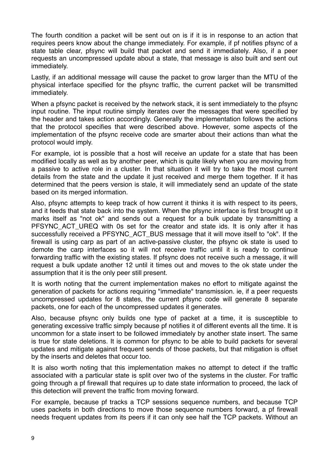The fourth condition a packet will be sent out on is if it is in response to an action that requires peers know about the change immediately. For example, if pf notifies pfsync of a state table clear, pfsync will build that packet and send it immediately. Also, if a peer requests an uncompressed update about a state, that message is also built and sent out immediately.

Lastly, if an additional message will cause the packet to grow larger than the MTU of the physical interface specified for the pfsync traffic, the current packet will be transmitted immediately.

When a pfsync packet is received by the network stack, it is sent immediately to the pfsync input routine. The input routine simply iterates over the messages that were specified by the header and takes action accordingly. Generally the implementation follows the actions that the protocol specifies that were described above. However, some aspects of the implementation of the pfsync receive code are smarter about their actions than what the protocol would imply.

For example, iot is possible that a host will receive an update for a state that has been modified locally as well as by another peer, which is quite likely when you are moving from a passive to active role in a cluster. In that situation it will try to take the most current details from the state and the update it just received and merge them together. If it has determined that the peers version is stale, it will immediately send an update of the state based on its merged information.

Also, pfsync attempts to keep track of how current it thinks it is with respect to its peers, and it feeds that state back into the system. When the pfsync interface is first brought up it marks itself as "not ok" and sends out a request for a bulk update by transmitting a PFSYNC ACT UREQ with 0s set for the creator and state ids. It is only after it has successfully received a PFSYNC\_ACT\_BUS message that it will move itself to "ok". If the firewall is using carp as part of an active-passive cluster, the pfsync ok state is used to demote the carp interfaces so it will not receive traffic until it is ready to continue forwarding traffic with the existing states. If pfsync does not receive such a message, it will request a bulk update another 12 until it times out and moves to the ok state under the assumption that it is the only peer still present.

It is worth noting that the current implementation makes no effort to mitigate against the generation of packets for actions requiring "immediate" transmission. ie, if a peer requests uncompressed updates for 8 states, the current pfsync code will generate 8 separate packets, one for each of the uncompressed updates it generates.

Also, because pfsync only builds one type of packet at a time, it is susceptible to generating excessive traffic simply because pf notifies it of different events all the time. It is uncommon for a state insert to be followed immediately by another state insert. The same is true for state deletions. It is common for pfsync to be able to build packets for several updates and mitigate against frequent sends of those packets, but that mitigation is offset by the inserts and deletes that occur too.

It is also worth noting that this implementation makes no attempt to detect if the traffic associated with a particular state is split over two of the systems in the cluster. For traffic going through a pf firewall that requires up to date state information to proceed, the lack of this detection will prevent the traffic from moving forward.

For example, because pf tracks a TCP sessions sequence numbers, and because TCP uses packets in both directions to move those sequence numbers forward, a pf firewall needs frequent updates from its peers if it can only see half the TCP packets. Without an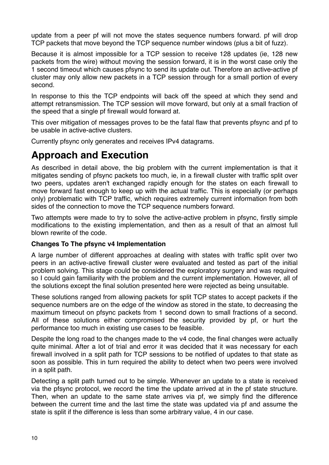update from a peer pf will not move the states sequence numbers forward. pf will drop TCP packets that move beyond the TCP sequence number windows (plus a bit of fuzz).

Because it is almost impossible for a TCP session to receive 128 updates (ie, 128 new packets from the wire) without moving the session forward, it is in the worst case only the 1 second timeout which causes pfsync to send its update out. Therefore an active-active pf cluster may only allow new packets in a TCP session through for a small portion of every second.

In response to this the TCP endpoints will back off the speed at which they send and attempt retransmission. The TCP session will move forward, but only at a small fraction of the speed that a single pf firewall would forward at.

This over mitigation of messages proves to be the fatal flaw that prevents pfsync and pf to be usable in active-active clusters.

Currently pfsync only generates and receives IPv4 datagrams.

### <span id="page-13-0"></span>**Approach and Execution**

As described in detail above, the big problem with the current implementation is that it mitigates sending of pfsync packets too much, ie, in a firewall cluster with traffic split over two peers, updates aren't exchanged rapidly enough for the states on each firewall to move forward fast enough to keep up with the actual traffic. This is especially (or perhaps only) problematic with TCP traffic, which requires extremely current information from both sides of the connection to move the TCP sequence numbers forward.

Two attempts were made to try to solve the active-active problem in pfsync, firstly simple modifications to the existing implementation, and then as a result of that an almost full blown rewrite of the code.

#### <span id="page-13-1"></span>**Changes To The pfsync v4 Implementation**

A large number of different approaches at dealing with states with traffic split over two peers in an active-active firewall cluster were evaluated and tested as part of the initial problem solving. This stage could be considered the exploratory surgery and was required so I could gain familiarity with the problem and the current implementation. However, all of the solutions except the final solution presented here were rejected as being unsuitable.

These solutions ranged from allowing packets for split TCP states to accept packets if the sequence numbers are on the edge of the window as stored in the state, to decreasing the maximum timeout on pfsync packets from 1 second down to small fractions of a second. All of these solutions either compromised the security provided by pf, or hurt the performance too much in existing use cases to be feasible.

Despite the long road to the changes made to the v4 code, the final changes were actually quite minimal. After a lot of trial and error it was decided that it was necessary for each firewall involved in a split path for TCP sessions to be notified of updates to that state as soon as possible. This in turn required the ability to detect when two peers were involved in a split path.

Detecting a split path turned out to be simple. Whenever an update to a state is received via the pfsync protocol, we record the time the update arrived at in the pf state structure. Then, when an update to the same state arrives via pf, we simply find the difference between the current time and the last time the state was updated via pf and assume the state is split if the difference is less than some arbitrary value, 4 in our case.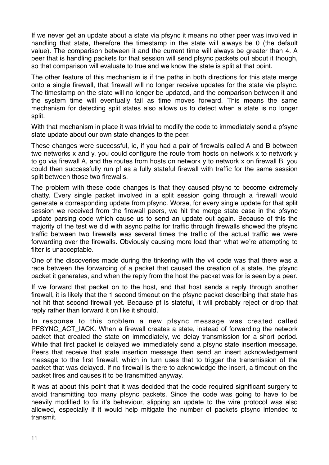If we never get an update about a state via pfsync it means no other peer was involved in handling that state, therefore the timestamp in the state will always be 0 (the default value). The comparison between it and the current time will always be greater than 4. A peer that is handling packets for that session will send pfsync packets out about it though, so that comparison will evaluate to true and we know the state is split at that point.

The other feature of this mechanism is if the paths in both directions for this state merge onto a single firewall, that firewall will no longer receive updates for the state via pfsync. The timestamp on the state will no longer be updated, and the comparison between it and the system time will eventually fail as time moves forward. This means the same mechanism for detecting split states also allows us to detect when a state is no longer split.

With that mechanism in place it was trivial to modify the code to immediately send a pfsync state update about our own state changes to the peer.

These changes were successful, ie, if you had a pair of firewalls called A and B between two networks x and y, you could configure the route from hosts on network x to network y to go via firewall A, and the routes from hosts on network y to network x on firewall B, you could then successfully run pf as a fully stateful firewall with traffic for the same session split between those two firewalls.

The problem with these code changes is that they caused pfsync to become extremely chatty. Every single packet involved in a split session going through a firewall would generate a corresponding update from pfsync. Worse, for every single update for that split session we received from the firewall peers, we hit the merge state case in the pfsync update parsing code which cause us to send an update out again. Because of this the majority of the test we did with async paths for traffic through firewalls showed the pfsync traffic between two firewalls was several times the traffic of the actual traffic we were forwarding over the firewalls. Obviously causing more load than what we're attempting to filter is unacceptable.

One of the discoveries made during the tinkering with the v4 code was that there was a race between the forwarding of a packet that caused the creation of a state, the pfsync packet it generates, and when the reply from the host the packet was for is seen by a peer.

If we forward that packet on to the host, and that host sends a reply through another firewall, it is likely that the 1 second timeout on the pfsync packet describing that state has not hit that second firewall yet. Because pf is stateful, it will probably reject or drop that reply rather than forward it on like it should.

In response to this problem a new pfsync message was created called PFSYNC\_ACT\_IACK. When a firewall creates a state, instead of forwarding the network packet that created the state on immediately, we delay transmission for a short period. While that first packet is delayed we immediately send a pfsync state insertion message. Peers that receive that state insertion message then send an insert acknowledgement message to the first firewall, which in turn uses that to trigger the transmission of the packet that was delayed. If no firewall is there to acknowledge the insert, a timeout on the packet fires and causes it to be transmitted anyway.

It was at about this point that it was decided that the code required significant surgery to avoid transmitting too many pfsync packets. Since the code was going to have to be heavily modified to fix it's behaviour, slipping an update to the wire protocol was also allowed, especially if it would help mitigate the number of packets pfsync intended to transmit.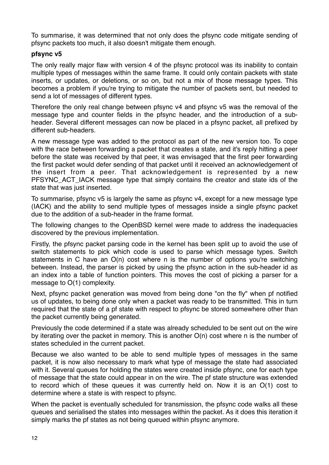To summarise, it was determined that not only does the pfsync code mitigate sending of pfsync packets too much, it also doesn't mitigate them enough.

#### <span id="page-15-0"></span>**pfsync v5**

The only really major flaw with version 4 of the pfsync protocol was its inability to contain multiple types of messages within the same frame. It could only contain packets with state inserts, or updates, or deletions, or so on, but not a mix of those message types. This becomes a problem if you're trying to mitigate the number of packets sent, but needed to send a lot of messages of different types.

Therefore the only real change between pfsync v4 and pfsync v5 was the removal of the message type and counter fields in the pfsync header, and the introduction of a subheader. Several different messages can now be placed in a pfsync packet, all prefixed by different sub-headers.

A new message type was added to the protocol as part of the new version too. To cope with the race between forwarding a packet that creates a state, and it's reply hitting a peer before the state was received by that peer, it was envisaged that the first peer forwarding the first packet would defer sending of that packet until it received an acknowledgement of the insert from a peer. That acknowledgement is represented by a new PFSYNC\_ACT\_IACK message type that simply contains the creator and state ids of the state that was just inserted.

To summarise, pfsync v5 is largely the same as pfsync v4, except for a new message type (IACK) and the ability to send multiple types of messages inside a single pfsync packet due to the addition of a sub-header in the frame format.

The following changes to the OpenBSD kernel were made to address the inadequacies discovered by the previous implementation.

Firstly, the pfsync packet parsing code in the kernel has been split up to avoid the use of switch statements to pick which code is used to parse which message types. Switch statements in C have an O(n) cost where n is the number of options you're switching between. Instead, the parser is picked by using the pfsync action in the sub-header id as an index into a table of function pointers. This moves the cost of picking a parser for a message to O(1) complexity.

Next, pfsync packet generation was moved from being done "on the fly" when pf notified us of updates, to being done only when a packet was ready to be transmitted. This in turn required that the state of a pf state with respect to pfsync be stored somewhere other than the packet currently being generated.

Previously the code determined if a state was already scheduled to be sent out on the wire by iterating over the packet in memory. This is another O(n) cost where n is the number of states scheduled in the current packet.

Because we also wanted to be able to send multiple types of messages in the same packet, it is now also necessary to mark what type of message the state had associated with it. Several queues for holding the states were created inside pfsync, one for each type of message that the state could appear in on the wire. The pf state structure was extended to record which of these queues it was currently held on. Now it is an O(1) cost to determine where a state is with respect to pfsync.

When the packet is eventually scheduled for transmission, the pfsync code walks all these queues and serialised the states into messages within the packet. As it does this iteration it simply marks the pf states as not being queued within pfsync anymore.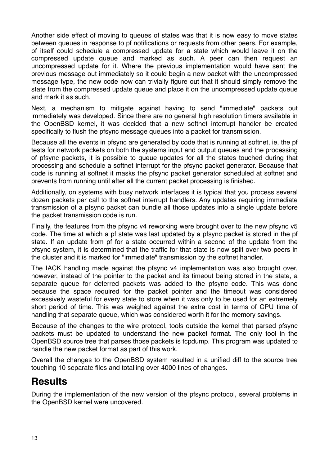Another side effect of moving to queues of states was that it is now easy to move states between queues in response to pf notifications or requests from other peers. For example, pf itself could schedule a compressed update for a state which would leave it on the compressed update queue and marked as such. A peer can then request an uncompressed update for it. Where the previous implementation would have sent the previous message out immediately so it could begin a new packet with the uncompressed message type, the new code now can trivially figure out that it should simply remove the state from the compressed update queue and place it on the uncompressed update queue and mark it as such.

Next, a mechanism to mitigate against having to send "immediate" packets out immediately was developed. Since there are no general high resolution timers available in the OpenBSD kernel, it was decided that a new softnet interrupt handler be created specifically to flush the pfsync message queues into a packet for transmission.

Because all the events in pfsync are generated by code that is running at softnet, ie, the pf tests for network packets on both the systems input and output queues and the processing of pfsync packets, it is possible to queue updates for all the states touched during that processing and schedule a softnet interrupt for the pfsync packet generator. Because that code is running at softnet it masks the pfsync packet generator scheduled at softnet and prevents from running until after all the current packet processing is finished.

Additionally, on systems with busy network interfaces it is typical that you process several dozen packets per call to the softnet interrupt handlers. Any updates requiring immediate transmission of a pfsync packet can bundle all those updates into a single update before the packet transmission code is run.

Finally, the features from the pfsync v4 reworking were brought over to the new pfsync v5 code. The time at which a pf state was last updated by a pfsync packet is stored in the pf state. If an update from pf for a state occurred within a second of the update from the pfsync system, it is determined that the traffic for that state is now split over two peers in the cluster and it is marked for "immediate" transmission by the softnet handler.

The IACK handling made against the pfsync v4 implementation was also brought over, however, instead of the pointer to the packet and its timeout being stored in the state, a separate queue for deferred packets was added to the pfsync code. This was done because the space required for the packet pointer and the timeout was considered excessively wasteful for every state to store when it was only to be used for an extremely short period of time. This was weighed against the extra cost in terms of CPU time of handling that separate queue, which was considered worth it for the memory savings.

Because of the changes to the wire protocol, tools outside the kernel that parsed pfsync packets must be updated to understand the new packet format. The only tool in the OpenBSD source tree that parses those packets is tcpdump. This program was updated to handle the new packet format as part of this work.

Overall the changes to the OpenBSD system resulted in a unified diff to the source tree touching 10 separate files and totalling over 4000 lines of changes.

### <span id="page-16-0"></span>**Results**

During the implementation of the new version of the pfsync protocol, several problems in the OpenBSD kernel were uncovered.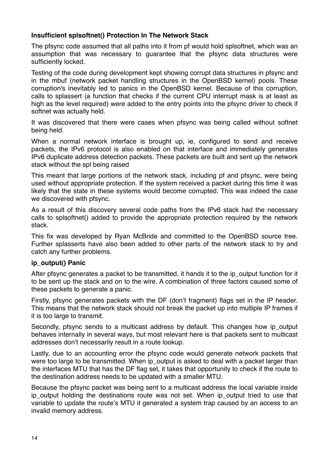#### <span id="page-17-0"></span>**Insufficient splsoftnet() Protection In The Network Stack**

The pfsync code assumed that all paths into it from pf would hold splsoftnet, which was an assumption that was necessary to guarantee that the pfsync data structures were sufficiently locked.

Testing of the code during development kept showing corrupt data structures in pfsync and in the mbuf (network packet handling structures in the OpenBSD kernel) pools. These corruption's inevitably led to panics in the OpenBSD kernel. Because of this corruption, calls to splassert (a function that checks if the current CPU interrupt mask is at least as high as the level required) were added to the entry points into the pfsync driver to check if softnet was actually held.

It was discovered that there were cases when pfsync was being called without softnet being held.

When a normal network interface is brought up, ie, configured to send and receive packets, the IPv6 protocol is also enabled on that interface and immediately generates IPv6 duplicate address detection packets. These packets are built and sent up the network stack without the spl being raised

This meant that large portions of the network stack, including pf and pfsync, were being used without appropriate protection. If the system received a packet during this time it was likely that the state in these systems would become corrupted. This was indeed the case we discovered with pfsync.

As a result of this discovery several code paths from the IPv6 stack had the necessary calls to splsoftnet() added to provide the appropriate protection required by the network stack.

This fix was developed by Ryan McBride and committed to the OpenBSD source tree. Further splasserts have also been added to other parts of the network stack to try and catch any further problems.

#### <span id="page-17-1"></span>**ip\_output() Panic**

After pfsync generates a packet to be transmitted, it hands it to the ip\_output function for it to be sent up the stack and on to the wire. A combination of three factors caused some of these packets to generate a panic.

Firstly, pfsync generates packets with the DF (don't fragment) flags set in the IP header. This means that the network stack should not break the packet up into multiple IP frames if it is too large to transmit.

Secondly, pfsync sends to a multicast address by default. This changes how ip\_output behaves internally in several ways, but most relevant here is that packets sent to multicast addresses don't necessarily result in a route lookup.

Lastly, due to an accounting error the pfsync code would generate network packets that were too large to be transmitted. When ip\_output is asked to deal with a packet larger than the interfaces MTU that has the DF flag set, it takes that opportunity to check if the route to the destination address needs to be updated with a smaller MTU.

Because the pfsync packet was being sent to a multicast address the local variable inside ip output holding the destinations route was not set. When ip output tried to use that variable to update the route's MTU it generated a system trap caused by an access to an invalid memory address.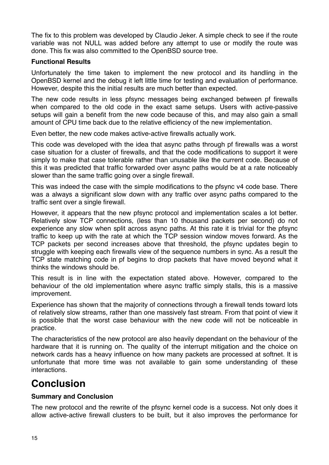The fix to this problem was developed by Claudio Jeker. A simple check to see if the route variable was not NULL was added before any attempt to use or modify the route was done. This fix was also committed to the OpenBSD source tree.

#### <span id="page-18-0"></span>**Functional Results**

Unfortunately the time taken to implement the new protocol and its handling in the OpenBSD kernel and the debug it left little time for testing and evaluation of performance. However, despite this the initial results are much better than expected.

The new code results in less pfsync messages being exchanged between pf firewalls when compared to the old code in the exact same setups. Users with active-passive setups will gain a benefit from the new code because of this, and may also gain a small amount of CPU time back due to the relative efficiency of the new implementation.

Even better, the new code makes active-active firewalls actually work.

This code was developed with the idea that async paths through pf firewalls was a worst case situation for a cluster of firewalls, and that the code modifications to support it were simply to make that case tolerable rather than unusable like the current code. Because of this it was predicted that traffic forwarded over async paths would be at a rate noticeably slower than the same traffic going over a single firewall.

This was indeed the case with the simple modifications to the pfsync v4 code base. There was a always a significant slow down with any traffic over async paths compared to the traffic sent over a single firewall.

However, it appears that the new pfsync protocol and implementation scales a lot better. Relatively slow TCP connections, (less than 10 thousand packets per second) do not experience any slow when split across async paths. At this rate it is trivial for the pfsync traffic to keep up with the rate at which the TCP session window moves forward. As the TCP packets per second increases above that threshold, the pfsync updates begin to struggle with keeping each firewalls view of the sequence numbers in sync. As a result the TCP state matching code in pf begins to drop packets that have moved beyond what it thinks the windows should be.

This result is in line with the expectation stated above. However, compared to the behaviour of the old implementation where async traffic simply stalls, this is a massive improvement.

Experience has shown that the majority of connections through a firewall tends toward lots of relatively slow streams, rather than one massively fast stream. From that point of view it is possible that the worst case behaviour with the new code will not be noticeable in practice.

The characteristics of the new protocol are also heavily dependant on the behaviour of the hardware that it is running on. The quality of the interrupt mitigation and the choice on network cards has a heavy influence on how many packets are processed at softnet. It is unfortunate that more time was not available to gain some understanding of these interactions.

### <span id="page-18-1"></span>**Conclusion**

#### <span id="page-18-2"></span>**Summary and Conclusion**

The new protocol and the rewrite of the pfsync kernel code is a success. Not only does it allow active-active firewall clusters to be built, but it also improves the performance for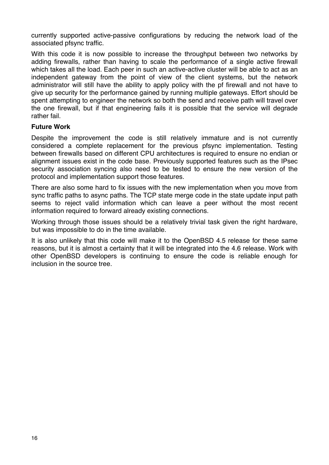currently supported active-passive configurations by reducing the network load of the associated pfsync traffic.

With this code it is now possible to increase the throughput between two networks by adding firewalls, rather than having to scale the performance of a single active firewall which takes all the load. Each peer in such an active-active cluster will be able to act as an independent gateway from the point of view of the client systems, but the network administrator will still have the ability to apply policy with the pf firewall and not have to give up security for the performance gained by running multiple gateways. Effort should be spent attempting to engineer the network so both the send and receive path will travel over the one firewall, but if that engineering fails it is possible that the service will degrade rather fail.

#### <span id="page-19-0"></span>**Future Work**

Despite the improvement the code is still relatively immature and is not currently considered a complete replacement for the previous pfsync implementation. Testing between firewalls based on different CPU architectures is required to ensure no endian or alignment issues exist in the code base. Previously supported features such as the IPsec security association syncing also need to be tested to ensure the new version of the protocol and implementation support those features.

There are also some hard to fix issues with the new implementation when you move from sync traffic paths to async paths. The TCP state merge code in the state update input path seems to reject valid information which can leave a peer without the most recent information required to forward already existing connections.

Working through those issues should be a relatively trivial task given the right hardware. but was impossible to do in the time available.

It is also unlikely that this code will make it to the OpenBSD 4.5 release for these same reasons, but it is almost a certainty that it will be integrated into the 4.6 release. Work with other OpenBSD developers is continuing to ensure the code is reliable enough for inclusion in the source tree.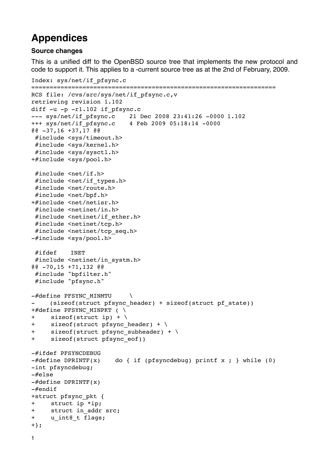### <span id="page-20-0"></span>**Appendices**

#### <span id="page-20-1"></span>**Source changes**

This is a unified diff to the OpenBSD source tree that implements the new protocol and code to support it. This applies to a -current source tree as at the 2nd of February, 2009.

```
Index: sys/net/if_pfsync.c
```

```
===================================================================
RCS file: /cvs/src/sys/net/if pfsync.c,v
retrieving revision 1.102
diff -u -p -r1.102 if pfsync.c
--- sys/net/if_pfsync.c 21 Dec 2008 23:41:26 -0000 1.102
+++ sys/net/if_pfsync.c 4 Feb 2009 05:18:14 -0000
@@ -37,16 +37,17 @@
 #include <sys/timeout.h>
 #include <sys/kernel.h>
 #include <sys/sysctl.h>
+#include <sys/pool.h>
  #include <net/if.h>
 #include <net/if types.h>
 #include <net/route.h>
  #include <net/bpf.h>
+#include <net/netisr.h>
  #include <netinet/in.h>
 #include <netinet/if ether.h>
 #include <netinet/tcp.h>
  #include <netinet/tcp_seq.h>
-#include <sys/pool.h>
 #ifdef INET
  #include <netinet/in_systm.h>
@@ -70,15 +71,132 @@
 #include "bpfilter.h"
 #include "pfsync.h"
-#define PFSYNC MINMTU
     (sizeof(struct pfsync header) + sizeof(struct pf state))
+#define PFSYNC_MINPKT ( \
+ sizeof(struct ip) + \
+ sizeof(struct pfsync header) + \setminus+ sizeof(struct pfsync_subheader) + \
+ sizeof(struct pfsync_eof))
-#ifdef PFSYNCDEBUG
-\text{\#define } DPRINTF(x) do { if (pfsyncdebug) printf x ; } while (0)
-int pfsyncdebug;
-#else
-#define DPRINTF(x)
-#endif
+struct pfsync_pkt {
+ struct ip *ip;
+ struct in addr src;
+ u int8 t flags;
+};
1
```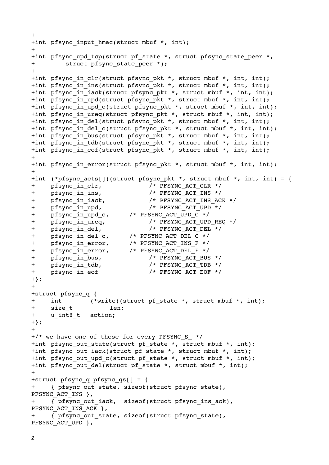```
+
+int pfsync input hmac(struct mbuf *, int);
+
+int pfsync upd tcp(struct pf state *, struct pfsync state peer *,
+ struct pfsync state peer *);
+
+int pfsync in clr(struct pfsync pkt *, struct mbuf *, int, int);
+int pfsync_in_ins(struct pfsync_pkt *, struct mbuf *, int, int);
+int pfsync in iack(struct pfsync pkt *, struct mbuf *, int, int);
+int pfsync_in_upd(struct pfsync_pkt *, struct mbuf *, int, int);
+int pfsync_in_upd_c(struct pfsync_pkt *, struct mbuf *, int, int);
+int pfsync in ureq(struct pfsync pkt *, struct mbuf *, int, int);
+int pfsync_in_del(struct pfsync_pkt *, struct mbuf *, int, int);
+int pfsync in del c(struct pfsync pkt *, struct mbuf *, int, int);
+int pfsync_in_bus(struct pfsync_pkt *, struct mbuf *, int, int);
+int pfsync in tdb(struct pfsync pkt *, struct mbuf *, int, int);
+int pfsync in eof(struct pfsync pkt *, struct mbuf *, int, int);
++int pfsync in error(struct pfsync pkt *, struct mbuf *, int, int);
+
+int (*pfsync acts[])(struct pfsync pkt *, struct mbuf *, int, int) = {
+ pfsync in clr, / /* PFSYNC ACT CLR */
+ pfsync in ins, / /* PFSYNC ACT INS */
+ pfsync in iack, / /* PFSYNC ACT INS ACK */
+ pfsync in upd, / PFSYNC ACT UPD */+ pfsync in upd c, /* PFSYNC ACT UPD C */+ pfsync in ureq, / /* PFSYNC ACT UPD REQ */
+ pfsync in del, / /* PFSYNC ACT DEL */
+ pfsync in del c, /* PFSYNC ACT DEL C */
+ pfsync_in_error,

 /* PFSYNC_ACT_INS_F */
+ pfsync_in_error, /* PFSYNC_ACT DEL F */
+ pfsync in bus, /* PFSYNC ACT BUS */
+ pfsync in tdb, / /* PFSYNC ACT TDB */
+ pfsync in eof /* PFSYNC ACT EOF */
+};
+
+struct pfsync_q {
+ int (*write)(struct pf state *, struct mbuf *, int);
+ size t len;
+ u_int8_t action;
+};
+
+/* we have one of these for every PFSYNC S */+int pfsync out state(struct pf state *, struct mbuf *, int);
+int pfsync out iack(struct pf state *, struct mbuf *, int);
+int pfsync_out_upd_c(struct pf_state *, struct mbuf *, int);
+int pfsync out del(struct pf state *, struct mbuf *, int);
+
+struct pfsync_q pfsync_qs[] = {
+ { pfsync_out_state, sizeof(struct pfsync_state), 
PFSYNC ACT INS },
+ { pfsync_out_iack, sizeof(struct pfsync_ins_ack), 
PFSYNC ACT INS ACK },
+ { pfsync_out_state, sizeof(struct pfsync_state), 
PFSYNC ACT UPD },
```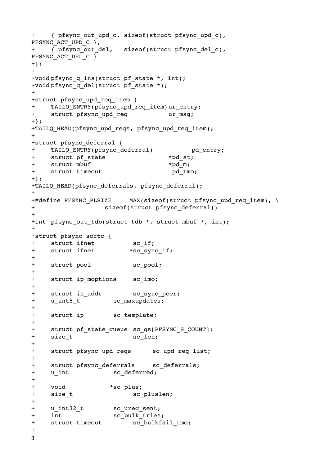```
+ { pfsync_out_upd_c, sizeof(struct pfsync_upd_c), 
PFSYNC ACT UPD C },
+ { pfsync_out_del, sizeof(struct pfsync_del_c), 
PFSYNC ACT DEL C }
+};
+
+void pfsync q ins(struct pf state *, int);
+void pfsync_q_del(struct pf_state *);
+
+struct pfsync_upd_req_item {
+ TAILQ ENTRY(pfsync upd req item)ur entry;
+ struct pfsync upd req bur msq;
+};
+TAILQ HEAD(pfsync upd reqs, pfsync upd req item);
+
+struct pfsync_deferral {
+ TAILQ ENTRY(pfsync deferral) bd entry;
+ struct pf state *pd st;
+ struct mbuf

 *pd_m;
+ struct timeout pd tmo;
+};
+TAILQ HEAD(pfsync deferrals, pfsync deferral);
+
+#define PFSYNC PLSIZE MAX(sizeof(struct pfsync upd req item), \
+

 sizeof(struct pfsync_deferral))
+
+int pfsync out tdb(struct tdb *, struct mbuf *, int);
+
+struct pfsync_softc {
+ struct ifnet sc if;
+ struct ifnet *sc_sync_if;
+
+ struct pool sc pool;
+
+ struct ip moptions sc imo;
+
+ struct in addr sc sync peer;
+ u_int8_t sc_maxupdates;
+
+ struct ip sc_template;
+
+ struct pf state queue sc qs[PFSYNC S COUNT];
+ size t sc len;
+
+ struct pfsync upd reqs sc upd req list;
+
+ struct pfsync deferrals sc deferrals;
+ u int sc deferred;
+
+ void

 *sc_plus;
+ size t sc pluslen;
+
+ u int32 t sc ureq sent;
+ int sc bulk tries;
+ struct timeout sc_bulkfail_tmo;
+
3
```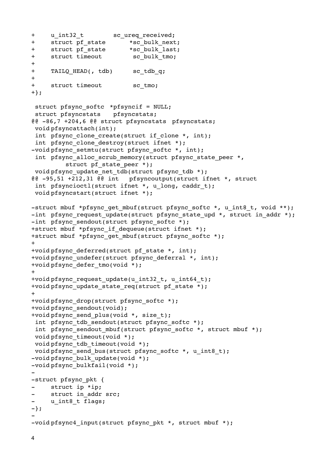```
+ u int32 t sc ureq received;
+ struct pf_state

 *sc_bulk_next;
+ struct pf state *sc bulk last;
+ struct timeout sc bulk tmo;
+
+ TAILQ HEAD(, tdb) sc tdb q;
+
+ struct timeout sc_tmo;
+};
struct pfsync softc *pfsyncif = NULL;
  struct pfsyncstats pfsyncstats;
@@ -86,7 +204,6 @@ struct pfsyncstats pfsyncstats;
  void pfsyncattach(int);
 int pfsync clone create(struct if clone *, int);
 int pfsync clone destroy(struct ifnet *);
-void pfsync_setmtu(struct_pfsync_softc *, int);
 int pfsync alloc scrub memory(struct pfsync state peer *,
         struct pf state peer *);
void pfsync update net tdb(struct pfsync tdb *);
@@ -95,51 +212,31 @@ int pfsyncoutput(struct ifnet *, struct 
 int pfsyncioctl(struct ifnet *, u long, caddr t);
 void pfsyncstart(struct ifnet *);
-struct mbuf *pfsync qet mbuf(struct pfsync softc *, u int8 t, void **);
-int pfsync request update(struct pfsync state upd *, struct in addr *);
-int pfsync sendout(struct pfsync softc *);
+struct mbuf *pfsync if dequeue(struct ifnet *);
+struct mbuf *pfsync qet mbuf(struct pfsync softc *);
+
+void pfsync deferred(struct pf state *, int);
+void pfsync_undefer(struct pfsync_deferral *, int);
+void pfsync_defer_tmo(void *);
+
+void pfsync request_update(u_int32_t, u_int64_t);
+void pfsync update state req(struct pf state *);
+
+void pfsync_drop(struct pfsync_softc *);
+void pfsync_sendout(void);
+void pfsync send plus(void *, size t);
 int pfsync tdb sendout(struct pfsync softc *);
 int pfsync sendout mbuf(struct pfsync softc *, struct mbuf *);
 void pfsync_timeout(void *);
void pfsync tdb timeout(void *);
void pfsync_send_bus(struct_pfsync_softc *, u_int8_t);
-void pfsync bulk update(void *);
-void pfsync_bulkfail(void *);
-
-struct pfsync pkt {
     struct ip *ip;
- struct in addr src;
- u_int8_t flags;
-};
-
-void pfsync4 input(struct pfsync pkt *, struct mbuf *);
```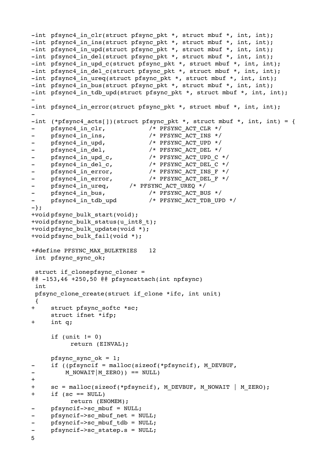```
-int pfsync4 in clr(struct pfsync pkt *, struct mbuf *, int, int);
-int pfsync4 in ins(struct pfsync pkt *, struct mbuf *, int, int);
-int pfsync4 in upd(struct pfsync pkt *, struct mbuf *, int, int);
-int pfsync4 in del(struct pfsync pkt *, struct mbuf *, int, int);
-int pfsync4 in upd c(struct pfsync pkt *, struct mbuf *, int, int);
-int pfsync4 in del c(struct pfsync pkt *, struct mbuf *, int, int);
-int pfsync4 in ureq(struct pfsync pkt *, struct mbuf *, int, int);
-int pfsync4_in_bus(struct pfsync_pkt *, struct mbuf *, int, int);
-int pfsync4 in tdb upd(struct pfsync pkt *, struct mbuf *, int, int);
-
-int pfsync4 in error(struct pfsync pkt *, struct mbuf *, int, int);
-
-int (*pfsync4 acts[])(struct pfsync pkt *, struct mbuf *, int, int) = {
- pfsync4 in clr, / /* PFSYNC ACT CLR */
- pfsync4 in ins, / /* PFSYNC ACT INS */
- pfsync4 in upd, / PFSYNC ACT UPD */
- pfsync4 in del, /* PFSYNC ACT DEL */
- pfsync4 in upd c, / /* PFSYNC ACT UPD C */
- pfsync4_in_del_c, /* PFSYNC_ACT_DEL_C */
- pfsync4 in error, / /* PFSYNC ACT INS F */
- pfsync4_in_error,

 /* PFSYNC_ACT_DEL_F */
- pfsync4 in ureq, / PFSYNC_ACT_UREQ */
- pfsync4 in bus, /* PFSYNC ACT BUS */
- pfsync4 in tdb upd /* PFSYNC ACT TDB UPD */
-};
+void pfsync_bulk_start(void);
+void pfsync bulk status(u_int8_t);
+void pfsync_bulk_update(void *);
+void pfsync_bulk_fail(void *);
+#define PFSYNC_MAX_BULKTRIES 12
  int pfsync_sync_ok;
struct if clonepfsync cloner =
@@ -153,46 +250,50 @@ pfsyncattach(int npfsync)
  int
 pfsync clone create(struct if clone *ifc, int unit)
  {
     struct pfsync softc *sc;
     struct ifnet *ifp;
+ int q;
     if (unit != 0)

 return (EINVAL);
     pfsync_sync_ok = 1;if ((pfsyncif = malloc(sizeof(*pfsyncif), M_DEVBUF,
- M_NOWAIT | M_ZERO)) == NULL)
+
+ sc = malloc(sizeof(*pfsyncif), M_DEVBUF, M_NOWAIT | M_ZERO);
+ if (sc == \text{NULL})

 return (ENOMEM);
- pfsyncif->sc mbuf = NULL;
- pfsyncif->sc_mbuf_net = NULL;
- pfsyncif->sc mbuf tdb = NULL;
- pfsyncif->sc statep.s = NULL;
5
```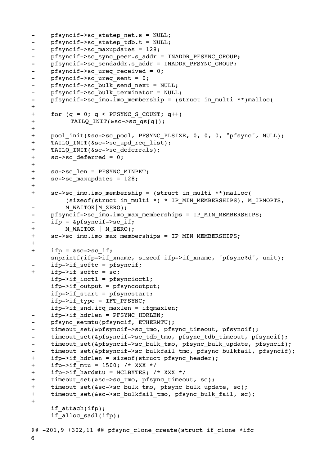```
- pfsyncif->sc statep net.s = NULL;
- pfsyncif->sc statep tdb.t = NULL;
- pfsyncif->sc maxupdates = 128;
- pfsyncif->sc sync peer.s addr = INADDR PFSYNC GROUP;
- pfsyncif->sc sendaddr.s addr = INADDR PFSYNC GROUP;
- pfsyncif->sc_ureq_received = 0;
- pfsyncif->sc ureq sent = 0;
- pfsyncif->sc_bulk_send_next = NULL;
- pfsyncif->sc_bulk_terminator = NULL;
- pfsyncif->sc_imo.imo membership = (struct in multi **)malloc(
+
+ for (q = 0; q < PFSYNC S COUNT; q++)
+ TAILQ INIT(&sc->sc_qs[q]);
+
+ pool_init(&sc->sc_pool, PFSYNC_PLSIZE, 0, 0, 0, "pfsync", NULL);
+ TAILQ INIT(&sc->sc upd req list);
+ TAILO INIT(&sc->sc deferrals);
+ sc->sc deferred = 0;
+
+ sc->sc_len = PFSYNC_MINPKT;
+ sc->sc maxupdates = 128;
+
+ sc->sc imo.imo membership = (struct in multi **)malloc(
         (sizeof(struct in multi *) * IP MIN MEMBERSHIPS), M_IPMOPTS,
         M_WAITOK|M_ZERO);
- pfsyncif->sc_imo.imo_max_memberships = IP_MIN_MEMBERSHIPS;
- ifp = &pfsyncif->sc if;
+ M_WAITOK | M_ZERO);
+ sc->sc_imo.imo_max_memberships = IP_MIN_MEMBERSHIPS;
+
+ ifp = &sc->sc if;snprintf(ifp->if_xname, sizeof ifp->if_xname, "pfsync%d", unit);
     if p-> if softc = pfsyncif;+ ifp->if softc = sc;
     ifp->if_ioctl = pfsyncioctl;
     ifp->if_output = pfsyncoutput;
     ifp->if start = pfsyncstart;
     ifp->if_type = IFT_PFSYNC;
     ifp->if snd.ifq maxlen = ifqmaxlen;
     - ifp->if_hdrlen = PFSYNC_HDRLEN;
- pfsync setmtu(pfsyncif, ETHERMTU);
- timeout set(&pfsyncif->sc tmo, pfsync timeout, pfsyncif);
- timeout set(&pfsyncif->sc tdb tmo, pfsync tdb timeout, pfsyncif);
- timeout_set(&pfsyncif->sc_bulk_tmo, pfsync_bulk_update, pfsyncif);
- timeout set(&pfsyncif->sc bulkfail tmo, pfsync bulkfail, pfsyncif);
+ ifp->if_hdrlen = sizeof(struct pfsync_header);
+ if p->if mtu = 1500; /* XXX */
+ ifp->if hardmtu = MCLBYTES; /* XXX */
+ timeout set(&sc->sc tmo, pfsync timeout, sc);
+ timeout set(&sc->sc bulk tmo, pfsync bulk update, sc);
+ timeout set(&sc->sc bulkfail tmo, pfsync bulk fail, sc);
+
     if attach(ifp);
     if alloc sadl(ifp);
@@ -201,9 +302,11 @@ pfsync_clone_create(struct if_clone *ifc
6
```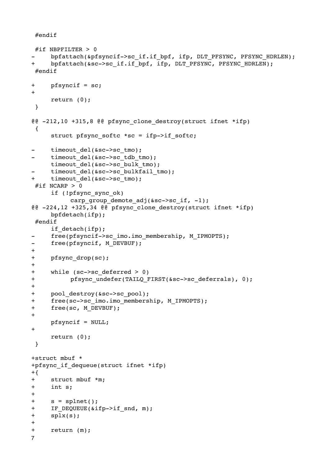#endif

```
#if NBPFILTER > 0
     bpfattach(&pfsyncif->sc_if.if_bpf, ifp, DLT_PFSYNC, PFSYNC_HDRLEN);
+ bpfattach(&sc->sc_if.if_bpf, ifp, DLT_PFSYNC, PFSYNC HDRLEN);
 #endif
+ pfsyncif = sc;
+
     return (0);
  }
@@ -212,10 +315,8 @@ pfsync_clone_destroy(struct ifnet *ifp)
  {
     struct pfsync_softc *sc = ifp->if_softc;
     timeout del(&sc->sc tmo);
     timeout del(&sc->sc tdb tmo);
     timeout del(&sc->sc bulk tmo);
     timeout del(&sc->sc bulkfail tmo);
+ timeout del(&sc->sc tmo);
#if NCARP > 0if (!pfsync_sync_ok)
          carp group demote adj(&sc->sc if, -1);
@@ -224,12 +325,34 @@ pfsync_clone_destroy(struct ifnet *ifp)
     bpfdetach(ifp);
 #endif
     if detach(ifp);
- free(pfsyncif->sc_imo.imo_membership, M_IPMOPTS);
- free(pfsyncif, M_DEVBUF);
+
+ pfsync drop(sc);
+
+ while (sc->sc_deferred > 0)
+ pfsync undefer(TAILQ_FIRST(&sc->sc_deferrals), 0);
+
+ pool destroy(&sc->sc pool);
+ free(sc->sc_imo.imo_membership, M_IPMOPTS);
+ free(sc, M_DEVBUF);
+
     pfsyncif = NULL;
+
     return (0);
  }
+struct mbuf *
+pfsync if dequeue(struct ifnet *ifp)
+\{+ struct mbuf *m;
+ int s;
+
+ s = split(t);+ IF DEQUEUE(&ifp->if snd, m);
+ splx(s);
+
+ return (m);
7
```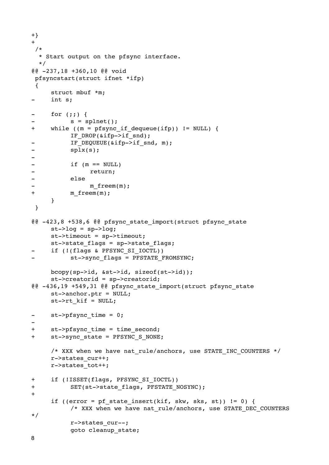```
+}
+ /*
  * Start output on the pfsync interface.
   */
@@ -237,18 +360,10 @@ void
  pfsyncstart(struct ifnet *ifp)
  {
     struct mbuf *m;
     int s;
- for (;;) {
          s = splnet();
+ while ((m = pfsync_if_dequeue(ifp)) != NULL) {

 IF_DROP(&ifp->if_snd);
- IF DEQUEUE(&ifp->if snd, m);
-

 splx(s);
-
- if (m == NULL)-

 return;
-

 else
               m freem(m);
+ m freem(m);
     }
  }
@@ -423,8 +538,6 @@ pfsync_state_import(struct pfsync_state 
     st->log = sp->log;st->timeout = sp->timeout;
     st->state flags = sp->state flags;
     if (!(flags & PFSYNC SI IOCTL))
          st->sync_flags = PFSTATE_FROMSYNC;
     bcopy(sp->id, &st->id, sizeof(st->id));
     st->creatorid = sp->creatorid;
@@ -436,19 +549,31 @@ pfsync_state_import(struct pfsync_state 
     st->anchor.ptr = NULL;
     st->rt kif = NULL;
- st->pfsync time = 0;
-
+ st->pfsync time = time second;
+ st->sync state = PFSYNC S NONE;
     /* XXX when we have nat rule/anchors, use STATE INC COUNTERS */r->states_cur++;
     r->states_tot++;
+ if (!ISSET(flags, PFSYNC_SI_IOCTL))
+ SET(st->state flags, PFSTATE NOSYNC);
+
     if ((error = pf\_state\_insert(kif, skw, sks, st)) != 0) {
          /* XXX when we have nat rule/anchors, use STATE DEC COUNTERS
*/

 r->states_cur--;

 goto cleanup_state;
```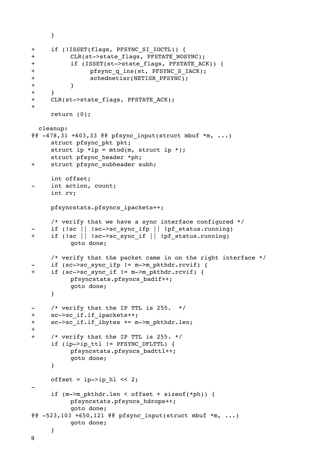```
}
+ if (!ISSET(flags, PFSYNC_SI_IOCTL)) {
+ CLR(st->state flags, PFSTATE NOSYNC);
+ if (ISSET(st->state flags, PFSTATE ACK)) {
+ pfsync q ins(st, PFSYNC S IACK);
+

 schednetisr(NETISR_PFSYNC);
+

 }
+ }
+ CLR(st->state flags, PFSTATE ACK);
+
     return (0);
  cleanup:
@@ -478,31 +603,33 @@ pfsync_input(struct mbuf *m, ...)
     struct pfsync_pkt pkt;
     struct ip *ip = mtod(m, struct ip *);
     struct pfsync header *ph;
+ struct pfsync subheader subh;
     int offset;
     int action, count;
     int rv;
     pfsyncstats.pfsyncs_ipackets++;
     /* verify that we have a sync interface configured */
     if (!sc || !sc->sc sync ifp || !pf_status.running)
+ if (!sc || !sc->sc_sync_if || !pf_status.running)

 goto done;
     /* verify that the packet came in on the right interface */
     if (sc->sc sync ifp != m->m pkthdr.rcvif) {
+ if (sc->sc sync if != m->m pkthdr.rcvif) {

 pfsyncstats.pfsyncs_badif++;

 goto done;
     }
- /* verify that the IP TTL is 255. */
+ sc->sc_if.if_ipackets++;
+ sc->sc if.if ibytes += m->m pkthdr.len;
+
+ /* verify that the IP TTL is 255. */
     if (ip->ip_ttl != PFSYNC_DFLTTL) {

 pfsyncstats.pfsyncs_badttl++;

 goto done;
     }
     offset = ip->ip hl << 2;
-
     if (m->m_pkthdr.len < offset + sizeof(*ph)) {

 pfsyncstats.pfsyncs_hdrops++;

 goto done;
@@ -523,103 +650,121 @@ pfsync_input(struct mbuf *m, ...)

 goto done;
     }
```
9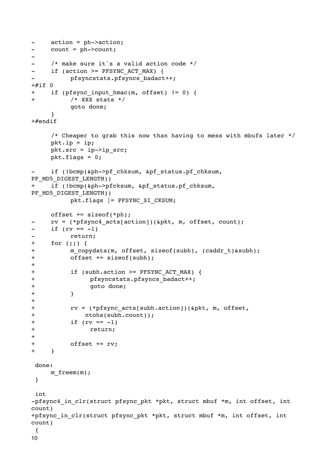```
- action = ph->action;
- count = ph->count;
-
- /* make sure it's a valid action code */
- if (action >= PFSYNC ACT MAX) {
          -

 pfsyncstats.pfsyncs_badact++;
+#if 0+ if (pfsync input hmac(m, offset) != 0) {
+

 /* XXX stats */

 goto done;
     }
+#endif
     /* Cheaper to grab this now than having to mess with mbufs later */
     pk\cdot ip = ip;pkt.src = ip->ip src;pkt.flags = 0;if (!bcmp(&ph->pf_chksum, &pf_status.pf_chksum,
PF_MD5_DIGEST_LENGTH))
+ if (!bcmp(&ph->pfcksum, &pf_status.pf_chksum, 
PF_MD5_DIGEST_LENGTH))

 pkt.flags |= PFSYNC_SI_CKSUM;
     offset += sizeof(*ph);
     rv = (*pfsync4 acts[action])(&pkt, m, offset, count);
- if (rv == -1))
-

 return;
+ for (;;) {
+ m copydata(m, offset, sizeof(subh), (caddr t) &subh);
+

 offset += sizeof(subh);
+
+

 if (subh.action >= PFSYNC_ACT_MAX) {
+ pfsyncstats.pfsyncs badact++;
+

 goto done;
+

 }
+
+ rv = (*pfsync acts[subh.action])(&pkt, m, offset,+

 ntohs(subh.count));
+ if (rv == -1)
+

 return;
+
+

 offset += rv;
+ }
 done:
     m freem(m);
  }
 int
-pfsync4_in_clr(struct pfsync_pkt *pkt, struct mbuf *m, int offset, int 
count)
+pfsync in clr(struct pfsync pkt *pkt, struct mbuf *m, int offset, int
count)
  {
10
```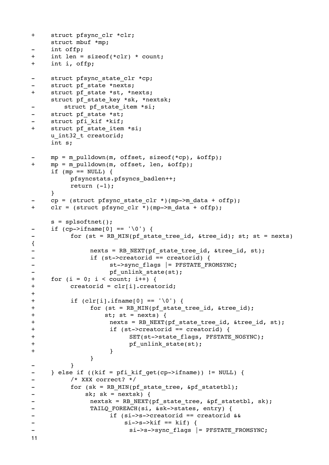```
+ struct pfsync clr *clr;
    struct mbuf *mp;
    int offp;
+ int len = sizeof(*clr) * count;
+ int i, offp;
- struct pfsync state clr *cp;
    struct pf state *nexts;
+ struct pf state *st, *nexts;
    struct pf state key *sk, *nextsk;
       struct pf state item *si;
- struct pf state *st;
    struct pfi kif *kif;
+ struct pf state item *si;
    u_int32_t creatorid;
    int s;
    mp = m pulldown(m, offset, sizeof(*cp), &offp);
+ mp = m_pulldown(m, offset, len, &offp);
    if (mp == NULL) {

 pfsyncstats.pfsyncs_badlen++;
         return (-1);
    }
    cp = (struct pfsync state clr *)(mp->m data + offp);+ clr = (struct pfsync clr *)(mp->m data + offp);
    s =splsoftnet();
- if (cp->ifname[0] == '\0') {
- for (st = RB_MIN(pf_state_tree_id, &tree_id); st; st = nexts)
{
-

 nexts = RB_NEXT(pf_state_tree_id, &tree_id, st);
             if (st->creatorid == creatorid) {
- St->sync_flags |= PFSTATE_FROMSYNC;
- pf unlink state(st);
+ for (i = 0; i < count; i++) {
+

 creatorid = clr[i].creatorid;
+
+

 if (clr[i].ifname[0] == '\0') {
+ for (st = RB MIN(pf state tree id, &tree id);
+

 st; st = nexts) {
+ hexts = RB NEXT(pf state tree id, &tree id, st);
+

 if (st->creatorid == creatorid) {
+ SET(st->state flags, PFSTATE NOSYNC);
+ pf_unlink_state(st);
+

 }

 }
-

 }
- } else if ((kif = pfi kif qet(cp->ifname)) != NULL) {
-

 /* XXX correct? */
         for (sk = RB MIN(pf state tree, &pf statetbl);
-

 sk; sk = nextsk) {
-

 nextsk = RB_NEXT(pf_state_tree, &pf_statetbl, sk);
- TAILQ FOREACH(si, &sk->states, entry) {
-

 if (si->s->creatorid == creatorid &&
-

 si->s->kif == kif) {
- si->s->sync_flags |= PFSTATE_FROMSYNC;
11
```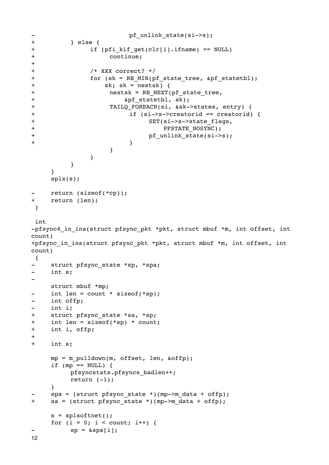```
- pf_unlink_state(si->s);
+

 } else {
+ if (pfi kif get(clr[i].ifname) == NULL)+

 continue;
+
+

 /* XXX correct? */
+ for (sk = RB MIN(pf state tree, &pf statetbl);
+

 sk; sk = nextsk) {
+ nextsk = RB NEXT(pf state tree,
+

 &pf_statetbl, sk);
+

 TAILQ_FOREACH(si, &sk->states, entry) {
+

 if (si->s->creatorid == creatorid) {
+ SET(si->s->state flags,
+ PFSTATE_NOSYNC);
+ pf_unlink_state(si->s);
+ \qquad \qquad \}

 }

 }

 }
    }
    splx(s);
    return (sizeof(*cp));
+ return (len);
 }
 int
-pfsync4 in ins(struct pfsync pkt *pkt, struct mbuf *m, int offset, int
count)
+pfsync_in_ins(struct pfsync_pkt *pkt, struct mbuf *m, int offset, int 
count)
 {
    struct pfsync state *sp, *spa;
    int s;
-
    struct mbuf *mp;
- int len = count * sizeof(*sp);
- int offp;
- int i;
+ struct pfsync_state *sa, *sp;
+ int len = sizeof(*sp) * count;
+ int i, offp;
+
+ int s;
    mp = m_pulldown(m, offset, len, &offp);
    if (mp == NULL) {

 pfsyncstats.pfsyncs_badlen++;
        return (-1);
    }
    spa = (struct pfsync state *)(mp->m data + offp);+ sa = (struct pfsync_state *)(mp->m_data + offp);
    s =splsoftnet();
    for (i = 0; i < count; i++) {
        sp = \alpha spa[i];12
```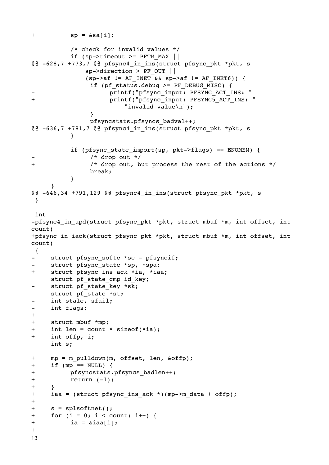```
+ sp = \&sa[i];

 /* check for invalid values */
          if (sp->timeout >= PFTM MAX ||
@@ -628,7 +773,7 @@ pfsync4_in_ins(struct pfsync_pkt *pkt, s
              sp->direction > PF_OUT ||
              (sp->af != AF INFT & & sp->af != AF INFT6)) {

 if (pf_status.debug >= PF_DEBUG_MISC) {
                     printf("pfsync_input: PFSYNC_ACT_INS: "
+

 printf("pfsync_input: PFSYNC5_ACT_INS: "

 "invalid value\n");

 }

 pfsyncstats.pfsyncs_badval++;
@@ -636,7 +781,7 @@ pfsync4_in_ins(struct pfsync_pkt *pkt, s

 }
          if (pfsync state import(sp, pkt->flags) == ENOMEM) {
               -

 /* drop out */
+

 /* drop out, but process the rest of the actions */

 break;

 }
     }
@@ -646,34 +791,129 @@ pfsync4_in_ins(struct pfsync_pkt *pkt, s
  }
  int
-pfsync4 in upd(struct pfsync pkt *pkt, struct mbuf *m, int offset, int
count)
+pfsync in iack(struct pfsync pkt *pkt, struct mbuf *m, int offset, int
count)
  {
     struct pfsync softc *sc = pfsyncif;
     struct pfsync state *sp, *spa;
+ struct pfsync ins ack *ia, *iaa;
     struct pf state cmp id key;
- struct pf state key *sk;
     struct pf state *st;
- int stale, sfail;
- int flags;
+
+ struct mbuf *mp;
+ int len = count * sizeof(*ia);
+ int offp, i;
     int s;
+ mp = m_pulldown(m, offset, len, &offp);
+ if (mp == NULL) {
+ pfsyncstats.pfsyncs badlen++;
+

 return (-1);
+ }
+ iaa = (struct pfsync ins ack *)(mp->m data + offp);
+
+ s = splsoftnet();
+ for (i = 0; i < count; i++) {
+

 ia = &iaa[i];
+
13
```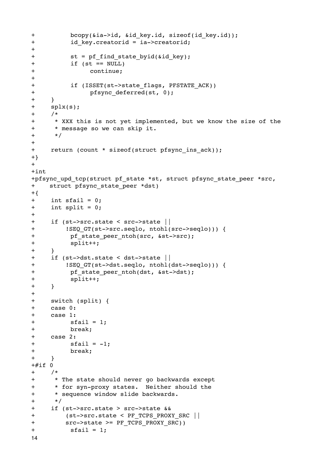```
+ bcopy(&ia->id, &id key.id, sizeof(id key.id));
+    id key.creatorid = ia->creatorid;
+
+ st = pf find state byid(&id key);
+

 if (st == NULL)
+

 continue;
+
+

 if (ISSET(st->state_flags, PFSTATE_ACK))
+

 pfsync_deferred(st, 0);
+ }
+ splx(s);
+ /*
+ * XXX this is not yet implemented, but we know the size of the
+ * message so we can skip it.
+ */
+
+ return (count * sizeof(struct pfsync ins ack));
+}
+
+int
+pfsync upd tcp(struct pf state *st, struct pfsync state peer *src,
+ struct pfsync state peer *dst)
+{
+ int sfail = 0;
+ int split = 0;
+
+ if (st->src.state < src->state ||
+ ! SEQ GT(st->src.seqlo, ntohl(src->seqlo))) {
+

 pf_state_peer_ntoh(src, &st->src);
+

 split++;
+ }
+ if (st->dst.state < dst->state ||
+ !SEQ_GT(st->dst.seqlo, ntohl(dst->seqlo))) {
+ pf state peer ntoh(dst, &st->dst);
+

 split++;
+ }
+
+ switch (split) {
+ case 0:
+ case 1:
+

 sfail = 1;
+

 break;
+ case 2:
+

 sfail = -1;
+

 break;
+ }
+#if 0+ /*
+ * The state should never go backwards except
+ * for syn-proxy states. Neither should the
+ * sequence window slide backwards.
+ */
+ if (st->src.state > src->state &&
+ (st->src.state < PF_TCPS_PROXY_SRC ||
+ src->state >= PF TCPS PROXY SRC))
+

 sfail = 1;
14
```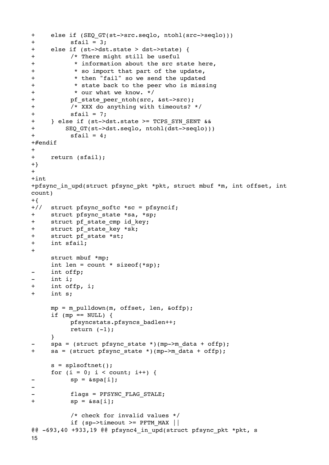```
+ else if (SEQ_GT(st->src.seqlo, ntohl(src->seqlo)))
+

 sfail = 3;
+ else if (st->dst.state > dst->state) {
+

 /* There might still be useful
+

 * information about the src state here,
+

 * so import that part of the update,
+

 * then "fail" so we send the updated
+

 * state back to the peer who is missing
+

 * our what we know. */
+ pf state peer ntoh(src, &st->src);
+

 /* XXX do anything with timeouts? */
+

 sfail = 7;
+ } else if (st->dst.state >= TCPS_SYN_SENT &&
+ SEQ_GT(st->dst.seqlo, ntohl(dst->seqlo)))
+

 sfail = 4;
+#endif
+
+ return (sfail);
+}
+
+int
+pfsync in upd(struct pfsync pkt *pkt, struct mbuf *m, int offset, int
count)
+{
+// struct pfsync_softc *sc = pfsyncif;
+ struct pfsync state *sa, *sp;
+ struct pf state cmp id key;
+ struct pf state key *sk;
+ struct pf state *st;
+ int sfail;
+
     struct mbuf *mp;
     int len = count * sizeof(*sp);
     int offp;
- int i;
+ int offp, i;
+ int s;
     mp = m pulldown(m, offset, len, \deltaoffp);
     if (mp == NULL) {

 pfsyncstats.pfsyncs_badlen++;
          return (-1);
     }
     spa = (struct pfsync state *)(mp->m data + offp);+ sa = (struct pfsync state *)(mp->m data + offp);
     s =splsoftnet();
     for (i = 0; i < count; i++) {
          sp = \&spa[i];-
          flags = PFSYNC FLAG STALE;
+

 sp = &sa[i];

 /* check for invalid values */
          if (sp->timeout >= PFTM MAX ||
@@ -693,40 +933,19 @@ pfsync4_in_upd(struct pfsync_pkt *pkt, s
15
```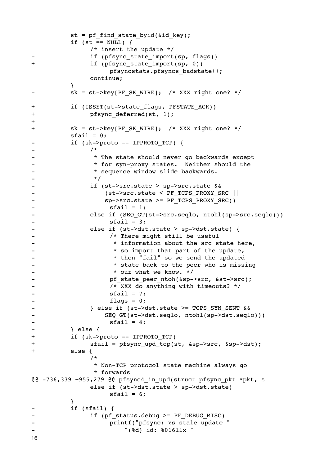```
st = pf find state byid(\deltaid key);
        if (st == NULL) {

 /* insert the update */
             if (pfsync state import(sp, flags))
+

 if (pfsync_state_import(sp, 0))

 pfsyncstats.pfsyncs_badstate++;

 continue;

 }
        sk = st->key[PF SK WIRE]; /* XXX right one? */
+ if (ISSET(st->state flags, PFSTATE ACK))
+ pfsync deferred(st, 1);
+
+ sk = st->key[PF SK WIRE]; /* XXX right one? */
        \text{stail} = 0;- if (sk->proto == IPPROTO TCP) {
– /*
- • * The state should never go backwards except
- * for syn-proxy states. Neither should the
- * sequence window slide backwards.
-

 */
-

 if (st->src.state > sp->src.state &&
- (st->src.state < PF_TCPS_PROXY_SRC ||
- Sp->src.state >= PF_TCPS_PROXY_SRC))
-

 sfail = 1;
- 

else if (SEQ_GT(st->src.seqlo, ntohl(sp->src.seqlo)))
-<br>
-<br>
else if (st->dst = 3;<br>
else if (st->dst
             else if (st->dst.state > sp->dst.state) {
- \sqrt{*} There might still be useful
- The state of the state is the state here,
- The so import that part of the update,
- Then "fail" so we send the updated
- * state back to the peer who is missing
- * our what we know. */
- pf state peer ntoh(&sp->src, &st->src);
-

 /* XXX do anything with timeouts? */
- sfail = 7;
-

 flags = 0;
-

 } else if (st->dst.state >= TCPS_SYN_SENT &&
- SEQ_GT(st->dst.seqlo, ntohl(sp->dst.seqlo)))
- sfail = 4;-

 } else {
+

 if (sk->proto == IPPROTO_TCP)
+ sfail = pfsync upd tcp(st, &sp->src, &sp->dst);
+

 else {

 /*

 * Non-TCP protocol state machine always go

 * forwards
@@ -736,339 +955,279 @@ pfsync4_in_upd(struct pfsync_pkt *pkt, s

 else if (st->dst.state > sp->dst.state)
                 \text{stail} = 6;

 }
        if (sfail) {
             if (pf status.debug >= PF DEBUG MISC)
                 printf("pfsync: %s stale update "
-

 "(%d) id: %016llx "
16
```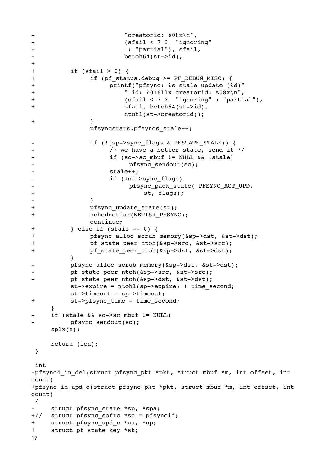```
- "creatorid: 808x\ n",
-

 (sfail < 7 ? "ignoring"
-

 : "partial"), sfail,
-

 betoh64(st->id),
+
+

 if (sfail > 0) {
+ if (pf status.debug \ge PF DEBUG MISC) {
+

 printf("pfsync: %s stale update (%d)"
+

 " id: %016llx creatorid: %08x\n",
+

 (sfail < 7 ? "ignoring" : "partial"),
+

 sfail, betoh64(st->id),

 ntohl(st->creatorid));
+

 }

 pfsyncstats.pfsyncs_stale++;
-    if (!(sp->sync flags & PFSTATE STALE)) {
- The same of the vector and the state, send it */
-    if (sc->sc_mbuf != NULL && !stale)
- pfsync sendout(sc);
- stale++;
-

 if (!st->sync_flags)
- Example 20 Propriate PESYNC ACT UPD,
- st, flags);
- \qquad \qquad }
+ pfsync update state(st);
+

 schednetisr(NETISR_PFSYNC);

 continue;
+

 } else if (sfail == 0) {
+ pfsync alloc_scrub_memory(&sp->dst, &st->dst);
+

 pf_state_peer_ntoh(&sp->src, &st->src);
+ pf state peer ntoh(&sp->dst, &st->dst);

 }
        pfsync alloc scrub memory(&sp->dst, &st->dst);
        pf state peer ntoh(&sp->src, &st->src);
        pf state peer ntoh(&sp->dst, &st->dst);
        st->expire = ntohl(sp->expire) + time second;

 st->timeout = sp->timeout;
+ st->pfsync time = time second;
    }
    if (stale & s c->scmbuf != NULL)
        pfsync sendout(sc);
    splx(s);
    return (len);
 }
 int
-pfsync4 in del(struct pfsync pkt *pkt, struct mbuf *m, int offset, int
count)
+pfsync in upd c(struct pfsync pkt *pkt, struct mbuf *m, int offset, int
count)
 {
    struct pfsync state *sp, *spa;
+// struct pfsync softc *sc = pfsyncif;
+ struct pfsync upd c *ua, *up;
+ struct pf state key *sk;
17
```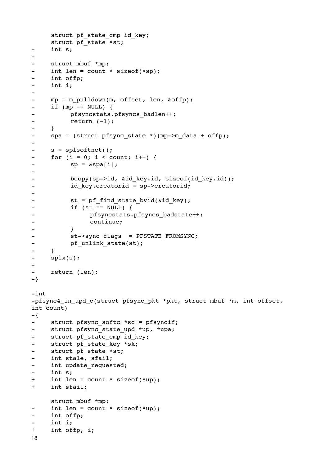```
struct pf state cmp id key;
    struct pf state *st;
- int s;
-
- struct mbuf *mp;
- int len = count * sizeof(*sp);
- int offp;
- int i;
-
- mp = m pulldown(m, offset, len, &offp);
- if (mp == NULL) {
- pfsyncstats.pfsyncs badlen++;
- return (-1);
- }
- spa = (struct pfsync_state *)(mp->m_data + offp);
-
- s = splsoftnet();
- for (i = 0; i < count; i++) {
- sp = \&spaj;-
- bcopy(sp->id, &id key.id, sizeof(id key.id));
- id key.creatorid = sp->creatorid;
-
- st = pf find state byid(&id key);
-

 if (st == NULL) {
- pfsyncstats.pfsyncs_badstate++;
-

 continue;
-

 }
- st->sync_flags |= PFSTATE_FROMSYNC;
- pf_unlink_state(st);
- }
- splx(s);
\overline{\phantom{a}}return (len);
-}
-int
-pfsync4 in upd c(struct pfsync pkt *pkt, struct mbuf *m, int offset,
int count)
-{
- struct pfsync softc *sc = pfsyncif;
- struct pfsync state upd *up, *upa;
- struct pf state cmp id key;
- struct pf state key *sk;
- struct pf state *st;
- int stale, sfail;
- int update requested;
- int s;
+ int len = count * sizeof(*up);
+ int sfail;
    struct mbuf *mp;
- int len = count * sizeof(*up);
- int offp;
- int i;
+ int offp, i;
18
```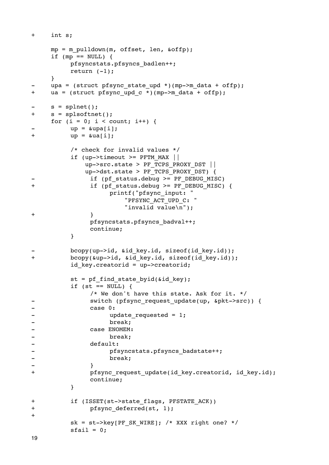```
+ int s;
     mp = m pulldown(m, offset, len, \deltaoffp);
     if (mp == NULL) {

 pfsyncstats.pfsyncs_badlen++;
          return (-1);
     }
     upa = (struct pfsync_state_upd *)(mp->m_data + offp);+ ua = (struct pfsync upd c *)(mp->m data + offp);
     s = splnet();+ s = splsoftnet();
     for (i = 0; i < count; i++) {
          up = \alpha upa[i];+

 up = &ua[i];

 /* check for invalid values */
          if (up->timeout >= PFTM MAX ||
             up->src.state > PF_TCPS_PROXY_DST ||

 up->dst.state > PF_TCPS_PROXY_DST) {
               if (pf status.debug >= PF DEBUG MISC)
+ if (pf status.debug \ge PF DEBUG MISC) {

 printf("pfsync_input: "

 "PFSYNC_ACT_UPD_C: "

 "invalid value\n");
+

 }

 pfsyncstats.pfsyncs_badval++;

 continue;

 }
          bcopy(up->id, &id key.id, sizeof(id key.id));
+ bcopy(&up->id, &id key.id, sizeof(id key.id));
          id key.creatorid = up->creatorid;
          st = pf find state byid(&id key);
          if (st == NULL) {

 /* We don't have this state. Ask for it. */
- Switch (pfsync_request_update(up, &pkt->src)) {
-

 case 0:
- update_requested = 1;
-

 break;
-

 case ENOMEM:
-

 break;
- default:
- pfsyncstats.pfsyncs_badstate++;
-

 break;
- \qquad \qquad }
+ pfsync request update(id key.creatorid, id key.id);

 continue;

 }
+

 if (ISSET(st->state_flags, PFSTATE_ACK))
+ pfsync deferred(st, 1);
+
          sk = st->key[PF SK WIRE]; /* XXX right one? */
          \text{stail} = 0;19
```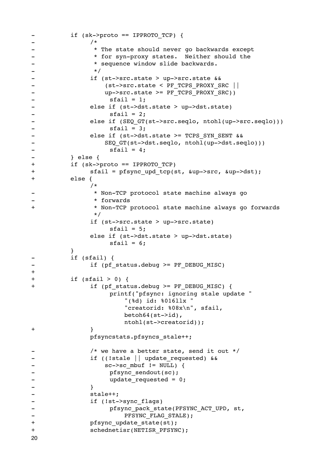```
- if (sk->proto == IPPROTO TCP) {
– /*
- The state should never go backwards except
- * for syn-proxy states. Neither should the
- * sequence window slide backwards.
-

 */
-

 if (st->src.state > up->src.state &&
-

 (st->src.state < PF_TCPS_PROXY_SRC ||
                up->src.state >= PF TCPS PROXY SRC))
- sfail = 1;
-

 else if (st->dst.state > up->dst.state)
- sfail = 2;- 

else if (SEQ GT(st->src.seqlo, ntohl(up->src.seqlo)))
- sfail = 3;-

 else if (st->dst.state >= TCPS_SYN_SENT &&
- SEQ GT(st->dst.seqlo, ntohl(up->dst.seqlo)))
- sfail = 4;-

 } else {
+

 if (sk->proto == IPPROTO_TCP)
+ sfail = pfsync upd tcp(st, &up->src, &up->dst);
+

 else {

 /*
-

 * Non-TCP protocol state machine always go
             -

 * forwards
+

 * Non-TCP protocol state machine always go forwards
 */

 if (st->src.state > up->src.state)
                 \text{stail} = 5;

 else if (st->dst.state > up->dst.state)
                 sfail = 6;

 }
        if (sfail) {
- 

if (pf status.debug >= PF DEBUG MISC)
+
+

 if (sfail > 0) {
+ if (pf status.debug \geq PF DEBUG MISC) {

 printf("pfsync: ignoring stale update "

 "(%d) id: %016llx "

 "creatorid: %08x\n", sfail,
                    betoh64(st->id),

 ntohl(st->creatorid));
+

 }

 pfsyncstats.pfsyncs_stale++;
             /* we have a better state, send it out */
             if ((!stale || update_requested) & &
                sc->sc mbuf != NULL) {
- pfsync_sendout(sc);
- update requested = 0;
- \qquad \qquad }
-

 stale++;
-

 if (!st->sync_flags)
-

 pfsync_pack_state(PFSYNC_ACT_UPD, st,
- PFSYNC FLAG STALE);
+ pfsync update state(st);
+

 schednetisr(NETISR_PFSYNC);
20
```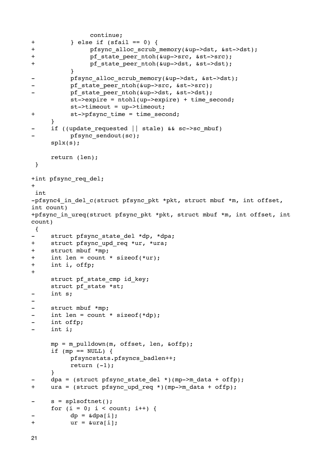```

 continue;
+

 } else if (sfail == 0) {
+

 pfsync_alloc_scrub_memory(&up->dst, &st->dst);
+ pf state peer ntoh(&up->src, &st->src);
+ pf state peer ntoh(&up->dst, &st->dst);

 }
          pfsync alloc scrub memory(&up->dst, &st->dst);
          pf state peer ntoh(&up->src, &st->src);
          pf state peer ntoh(&up->dst, &st->dst);
          st->expire = ntohl(up->expire) + time second;

 st->timeout = up->timeout;
+ st->pfsync time = time second;
     }
- if ((update requested || stale) && sc->sc mbuf)
          -

 pfsync_sendout(sc);
     splx(s);
     return (len);
  }
+int pfsync_req_del;
+
 int
-pfsync4 in del c(struct pfsync pkt *pkt, struct mbuf *m, int offset,
int count)
+pfsync in ureq(struct pfsync pkt *pkt, struct mbuf *m, int offset, int
count)
 {
- struct pfsync state del *dp, *dpa;
+ struct pfsync_upd_req *ur, *ura;
+ struct mbuf *mp;
+ int len = count * sizeof(*ur);
+ int i, offp;
+
     struct pf state cmp id key;
     struct pf state *st;
- int s;
-
- struct mbuf *mp;
- int len = count * sizeof(*dp);
- int offp;
     int i;
     mp = m pulldown(m, offset, len, \deltaoffp);
     if (mp == NULL) {

 pfsyncstats.pfsyncs_badlen++;
          return (-1);
     }
     dpa = (struct pfsync_state_de_del *)(mp->m_data + offp);+ ura = (struct pfsync upd req *)(mp->m data + offp);
- s = splsoftnet();
     for (i = 0; i < count; i++) {
          dp = \alpha dpa[i];+

 ur = &ura[i];
```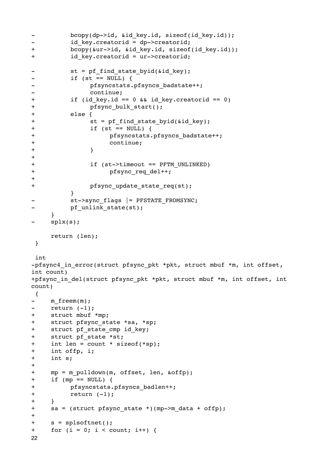```
- bcopy(dp->id, &id key.id, sizeof(id key.id));
-   id_key.creatorid = dp->creatorid;
+ bcopy(&ur->id, &id key.id, sizeof(id key.id));
+

 id_key.creatorid = ur->creatorid;
         st = pf find state byid(&id key);
-

 if (st == NULL) {
- pfsyncstats.pfsyncs_badstate++;
-

 continue;
+

 if (id_key.id == 0 && id_key.creatorid == 0)
+ pfsync bulk start();
+

 else {
+ st = pf find state byid(&id key);
+

 if (st == NULL) {
+

 pfsyncstats.pfsyncs_badstate++;
+

 continue;
+

 }
+
+

 if (st->timeout == PFTM_UNLINKED)
+

 pfsync_req_del++;
+
+ pfsync update state req(st);

 }
- st->sync_flags |= PFSTATE_FROMSYNC;
         pf unlink state(st);
    }
- splx(s);
    return (len);
 }
 int
-pfsync4 in error(struct pfsync pkt *pkt, struct mbuf *m, int offset,
int count)
+pfsync in del(struct pfsync pkt *pkt, struct mbuf *m, int offset, int
count)
 {
- m freem(m);
- return (-1);
+ struct mbuf *mp;
+ struct pfsync state *sa, *sp;
+ struct pf state cmp id key;
+ struct pf state *st;
+ int len = count * sizeof(*sp);
+ int offp, i;
+ int s;
+
+ mp = m pulldown(m, offset, len, &offp);
+ if (mp == NULL) {
+ pfsyncstats.pfsyncs badlen++;
+

 return (-1);
+ }
+ sa = (struct pfsync state *)(mp->m data + offp);
+
+ s = splsoftnet();
+ for (i = 0; i < count; i++) {
22
```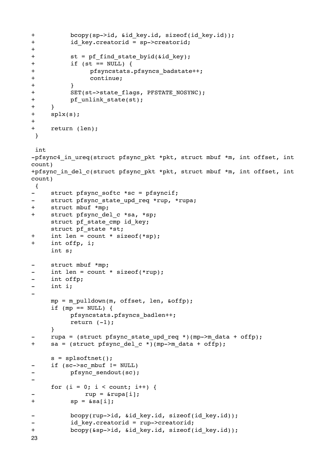```
+

 bcopy(sp->id, &id_key.id, sizeof(id_key.id));
+ id key.creatorid = sp->creatorid;
+
+ st = pf find state byid(&id key);
+

 if (st == NULL) {
+ pfsyncstats.pfsyncs badstate++;
+

 continue;
+

 }
+ SET(st->state flags, PFSTATE NOSYNC);
+ pf_unlink_state(st);
+ }
+ splx(s);
+
+ return (len);
 }
 int
-pfsync4 in ureq(struct pfsync pkt *pkt, struct mbuf *m, int offset, int
count)
+pfsync in del c(struct pfsync pkt *pkt, struct mbuf *m, int offset, int
count)
 {
- struct pfsync softc *sc = pfsyncif;
- struct pfsync state upd req *rup, *rupa;
+ struct mbuf *mp;
+ struct pfsync del c *sa, *sp;
     struct pf_state_cmp id_key;
     struct pf state *st;
+ int len = count * sizeof(*sp);
+ int offp, i;
     int s;
- struct mbuf *mp;
     int len = count * sizeof(*rup);
- int offp;
- int i;
-
     mp = m pulldown(m, offset, len, \deltaoffp);
     if (mp == NULL) {

 pfsyncstats.pfsyncs_badlen++;
          return (-1);
     }
     rupa = (struct pfsync state upd req *)(mp->m data + offp);
+ sa = (struct pfsync del c *)(mp->m data + offp);
     s = splsoftnet();
     if (sc->sc mbuf != NULL)
          pfsync sendout(sc);
-
     for (i = 0; i < count; i++) {
             rup = \&rupa[i];+

 sp = &sa[i];
          bcopy(rup->id, &id key.id, sizeof(id key.id));
          id key.creatorid = rup->creatorid;
+ bcopy(&sp->id, &id key.id, sizeof(id key.id));
23
```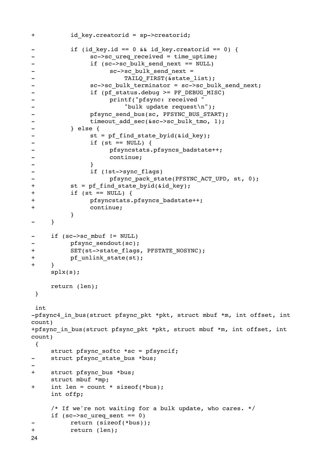```
+ id key.creatorid = sp->creatorid;
        if (id key.id == 0 && id key.creatorid == 0) {
- sc->sc ureq received = time uptime;
- if (sc->sc bulk send next == NULL)- Sc->sc bulk send next =
- TAILQ_FIRST(&state_list);
-

 sc->sc_bulk_terminator = sc->sc_bulk_send_next;
             if (pf status.debug >= PF DEBUG MISC)
-

 printf("pfsync: received "
- "bulk update request\n");
- Pfsync send bus(sc, PFSYNC BUS START);
- timeout add sec(&sc->sc bulk tmo, 1);
-

 } else {
- St = pf_find_state_byid(&id_key);
-

 if (st == NULL) {
- pfsyncstats.pfsyncs badstate++;
-

 continue;
- \qquad \qquad }
- if (!st->sync flags)
- pfsync pack state(PFSYNC ACT UPD, st, 0);
+ st = pf find state byid(&id key);
+

 if (st == NULL) {
+

 pfsyncstats.pfsyncs_badstate++;
+

 continue;

 }
- }
- if (sc->sc_mbuf != NULL)
- pfsync sendout(sc);
+ SET(st->state flags, PFSTATE NOSYNC);
+ pf unlink state(st);
+ }
    splx(s);
    return (len);
 }
 int
-pfsync4_in_bus(struct pfsync_pkt *pkt, struct mbuf *m, int offset, int 
count)
+pfsync in bus(struct pfsync pkt *pkt, struct mbuf *m, int offset, int
count)
 {
    struct pfsync softc *sc = pfsyncif;
- struct pfsync_state_bus *bus;
-
+ struct pfsync bus *bus;
    struct mbuf *mp;
+ int len = count * sizeof(*bus);
    int offp;
    /* If we're not waiting for a bulk update, who cares. */
    if (sc->sc ureq sent == 0)
        return (sizeof(*bus));
+

 return (len);
24
```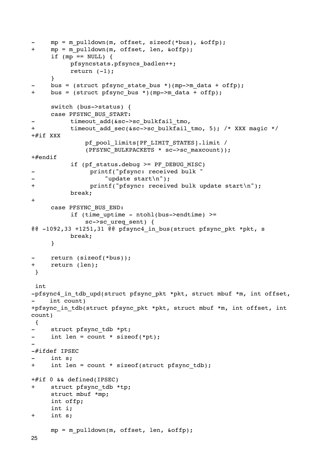```
mp = m pulldown(m, offset, sizeof(*bus), &offp);
+ mp = m pulldown(m, offset, len, &offp);
     if (mp == NULL) {

 pfsyncstats.pfsyncs_badlen++;
          return (-1);
     }
     bus = (struct pfsync_state_bus *)(mp->m_data + offp);
+ bus = (struct pfsync bus *)(mp->m data + offp);
     switch (bus->status) {
     case PFSYNC_BUS_START:
          timeout add(&sc->sc bulkfail tmo,
+ timeout add sec(&sc->sc bulkfail tmo, 5); /* XXX magic */
+#if XXX
               pf_pool_limits[PF_LIMIT_STATES].limit /

 (PFSYNC_BULKPACKETS * sc->sc_maxcount));
+#endif

 if (pf_status.debug >= PF_DEBUG_MISC)
                -

 printf("pfsync: received bulk "
                    "update start\n");
+

 printf("pfsync: received bulk update start\n");

 break;
+
     case PFSYNC_BUS_END:
          if (time uptime - ntohl(bus->endtime) >=
               sc->sc ureq sent) {
@@ -1092,33 +1251,31 @@ pfsync4_in_bus(struct pfsync_pkt *pkt, s

 break;
     }
     return (sizeof(*bus));
+ return (len);
  }
  int
-pfsync4 in tdb upd(struct pfsync pkt *pkt, struct mbuf *m, int offset,
     int count)
+pfsync in tdb(struct pfsync pkt *pkt, struct mbuf *m, int offset, int
count)
  {
     struct pfsync tdb *pt;
- int len = count * sizeof(*pt);
-
-#ifdef IPSEC
     int s;
+ int len = count * sizeof(struct pfsync tdb);
+#if 0 && defined(IPSEC)
+ struct pfsync tdb *tp;
     struct mbuf *mp;
     int offp;
     int i;
+ int s;
     mp = m pulldown(m, offset, len, &offp);
25
```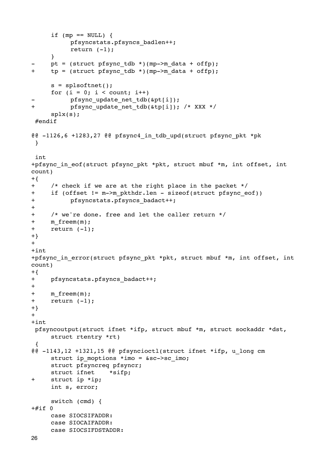```
if (mp == NULL) {
           pfsyncstats.pfsyncs badlen++;
           return (-1);
     \lambdapt = (struct pfsync tdb *)(mp->m data + offp);
+tp = (struct pfsync tdb *)(mp->m data + offp);s = splsoftnet();
     for (i = 0; i < count; i++)pfsync update net tdb(&pt[i]);
\ddot{+}pfsync update net tdb(&tp[i]); /* XXX */
     splx(s);#endif
@@ -1126,6 +1283,27 @@ pfsync4_in_tdb_upd(struct pfsync_pkt *pk
 \lambdaint
+pfsync in eof(struct pfsync pkt *pkt, struct mbuf *m, int offset, int
count)
+{
     /* check if we are at the right place in the packet */+if (offset != m->m pkthdr.len - sizeof(struct pfsync eof))
+pfsyncstats.pfsyncs badact++;
+\ddagger+/* we're done. free and let the caller return */
+m freem(m);
\ddot{+}return (-1);
+}
++int+pfsync in error(struct pfsync pkt *pkt, struct mbuf *m, int offset, int
count)
+{
+pfsyncstats.pfsyncs badact++;
++m freem(m);
+return (-1);
+}
++intpfsyncoutput(struct ifnet *ifp, struct mbuf *m, struct sockaddr *dst,
     struct rtentry *rt)
@@ -1143,12 +1321,15 @@ pfsyncioctl(struct ifnet *ifp, u long cm
     struct ip_moptions *imo = &sc->sc_imo;
     struct pfsyncreq pfsyncr;
     struct ifnet
                      *sifp;
     struct ip *ip;
\boldsymbol{+}int s, error;
     switch (cmd) {
+#if 0case STOCSTFADDR:
     case SIOCAIFADDR:
     case SIOCSIFDSTADDR:
```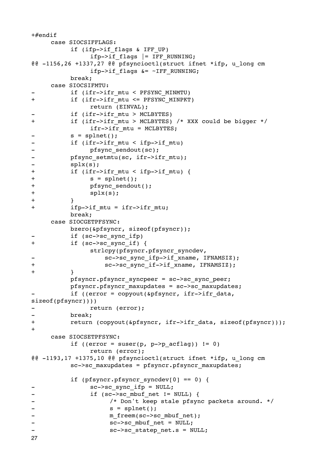```
+#endif
      case SIOCSIFFLAGS:
            if (ifp->if flags & IFF UP)
                   ifp->if flags |= IFF RUNNING;@@ -1156,26 +1337,27 @@ pfsyncioctl(struct ifnet *ifp, u_long cm
                   ifp->if flags & = \sim IFF RUNNING;
            break;
      case SIOCSIFMTU:
            if (ifr->ifr mtu < PFSYNC MINMTU)
\ddot{+}if (ifr->ifr mtu <= PFSYNC MINPKT)
                   return (EINVAL);
            if (ifr->ifr mtu > MCLBYTES)
            if (ifr->ifr mtu > MCLBYTES) /* XXX could be bigger */
\ddot{+}ifr \rightarrow ifr mtu = MCLBYTES;
            s = splnet();
            if (ifr->ifr mtu < ifp->if mtu)
\overline{a}pfsync sendout(sc);
\frac{1}{2}\overline{\phantom{0}}pfsync setmtu(sc, ifr->ifr mtu);
\overline{a}splx(s);
\ddot{}if (ifr->ifr mtu < ifp->if mtu) {
\ddot{}s = splnet();
\ddotmarkpfsync sendout();
\ddotmarksplx(s);\ddotmark\ddot{+}ifp->if mtu = ifr->ifr mtu;
            break;
      case SIOCGETPFSYNC:
            bzero(&pfsyncr, sizeof(pfsyncr));
            if (sc->sc sync if p)if (sc->sc_sync_if) {
+strlcpy(pfsyncr.pfsyncr syncdev,
                        sc->sc sync ifp->if xname, IFNAMSIZ);
+sc->sc sync if->if xname, IFNAMSIZ);
\ddot{+}\mathcal{F}pfsyncr.pfsyncr syncpeer = sc->sc sync peer;
            pfsyncr.pfsyncr maxupdates = sc->sc maxupdates;
            if ((error = copyout(&pfsyncr, ifr->ifr data,
sizeof(pfsyncr)))return (error);
\qquad \qquad -\rightarrowbreak;
\ddot{}return (copyout(&pfsyncr, ifr->ifr data, sizeof(pfsyncr)));
+case SIOCSETPFSYNC:
             if ((error = suser(p, p->p acflag)) != 0)
                   return (error);
@@ -1193,17 +1375,10 @@ pfsyncioctl(struct ifnet *ifp, u_long cm
            sc->sc maxupdates = pfsyncr.pfsyncr maxupdates;
            if (pfsyncr.pfsyncr syncdev[0] == 0) {
                   sc->sc sync ifp = NULL;if (sc->sc mbuf net != NULL) {
\overline{\phantom{a}}\overline{a}/* Don't keep stale pfsync packets around. */
\overline{\phantom{0}}s = splnet();
                         m_freem(sc->sc mbuf net);
\overline{a}sc->sc mbuf net = NULL;\overline{\phantom{a}}\overline{a}sc->sc statep net.s = NULL;
27
```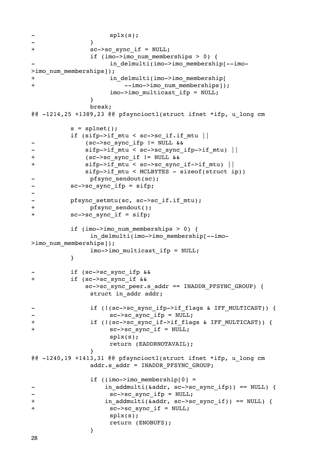```
splx(s);\rightarrow}
\ddot{}sc->sc sync if = NULL;
                  if (imo->imo num memberships > 0) {
                         in delmulti(imo->imo membership[--imo-
>imo num memberships]);
                         in delmulti(imo->imo membership[
\boldsymbol{+}--imo->imo num memberships]);
\ddot{}imo->imo multicast ifp = NULL;
                  \lambdabreak;
@@ -1214,25 +1389,23 @@ pfsyncioctl(struct ifnet *ifp, u long cm
            s = splnet();
            if (sifp->if_mtu < sc->sc_if.fit_mtu(sc->sc sync ifp != NULL &&sifp\rightarrow if mtu < sc->sc sync ifp->if mtu) ||
\ddotmark(sc->sc sync if != NULL &&sifp\rightarrow if mtu < sc->sc sync if->if mtu) ||
\ddot{}sifp->if mtu < MCLBYTES - sizeof(struct ip))
                  pfsync sendout(sc);
\overline{a}sc->sc sync ifp = sifp;
\overline{\phantom{0}}pfsync setmtu(sc, sc->sc if.if mtu);
\overline{a}\ddaggerpfsync sendout();
+sc->sc sync if = sifp;
            if (imo->imo num memberships > 0) {
                  in delmulti(imo->imo membership[--imo-
>imo num memberships]);
                  imo->imo multicast ifp = NULL;
            \}if (sc->sc sync ifp &&
\ddot{+}if (sc->sc sync if \&\&sc->sc sync peer.s addr == INADDR PFSYNC GROUP) {
                  struct in addr addr;
                  if (!(sc->sc sync ifp->if flags & IFF MULTICAST)) {
                         sc->sc sync ifp = NULL;
\ddot{}if (!(sc->sc sync if->if flags & IFF MULTICAST)) {
\overline{+}sc->sc sync if = NULL;
                         splx(s);return (EADDRNOTAVAIL);
                  \mathcal{E}@@ -1240,19 +1413,31 @@ pfsyncioctl(struct ifnet *ifp, u_long cm
                  addr.s addr = IMADDR PFSYNC GROUP;if (\text{imo->imo membership}[0] =in_addmulti(&addr, sc->sc_sync ifp)) == NULL) {
                         sc->sc sync ifp = NULL;
\overline{\phantom{a}}\ddaggerin_addmulti(&addr, sc->sc_sync_if)) == NULL) {
                         sc->sc sync if = NULL;
\ddot{+}splx(s);return (ENOBUFS);
                  \mathcal{E}28
```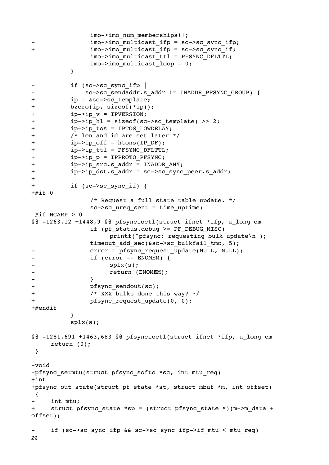```

 imo->imo_num_memberships++;
               imo->imo multicast ifp = sc->sc sync ifp;
+    imo->imo multicast ifp = sc->sc sync if;
               imo->imo multicast ttl = PFSYNC_DFLTTL;
               imo->imo multicast loop = 0;

 }
          -

 if (sc->sc_sync_ifp ||
              sc->sc_sendaddr.s_addr != INADDR_PFSYNC_GROUP) {
+ ip = &sc->sc template;
+

 bzero(ip, sizeof(*ip));
+   ip->ip v = IPVERSION;
+   ip->ip    hl = sizeof(sc->sc template) >> 2;
+    ip->ip tos = IPTOS LOWDELAY;
+

 /* len and id are set later */
+    ip->ip off = htons(IP DF);
+    ip->ip ttl = PFSYNC DFLTTL;
+   ip->ip p = IPPROTO PFSYNC;
+    ip->ip src.s addr = INADDR ANY;
+    ip->ip dst.s addr = sc->sc sync peer.s addr;
+
+ if (sc->sc sync if) {
+#if 0

 /* Request a full state table update. */
               sc->sc ureq sent = time uptime;
#if NCARP > 0@@ -1263,12 +1448,9 @@ pfsyncioctl(struct ifnet *ifp, u_long cm

 if (pf_status.debug >= PF_DEBUG_MISC)

 printf("pfsync: requesting bulk update\n");
               timeout add sec(&sc->sc bulkfail tmo, 5);
               error = pfsync request update(NULL, NULL);
-

 if (error == ENOMEM) {
                    splx(s);
                    return (ENOMEM);
- \qquad \qquad }
- pfsync sendout(sc);
+

 /* XXX bulks done this way? */
+ pfsync request update(0, 0);
+#endif

 }

 splx(s);
@@ -1281,691 +1463,683 @@ pfsyncioctl(struct ifnet *ifp, u_long cm
     return (0);
 }
-void
-pfsync setmtu(struct pfsync softc *sc, int mtu req)
+int
+pfsync out state(struct pf state *st, struct mbuf *m, int offset)
 {
     int mtu;
+ struct pfsync state *sp = (struct pfsync state *)(m->m data +
offset);
- if (sc->sc sync ifp && sc->sc sync ifp->if mtu < mtu req)
29
```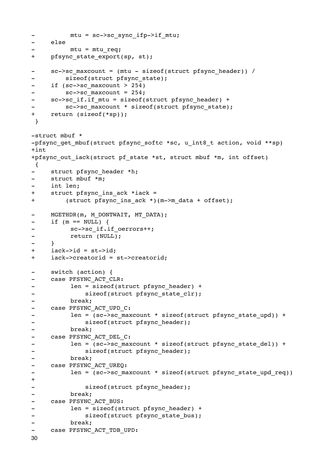```
mtu = sc->sc sync ifp->if mtu;
- else
         -

 mtu = mtu_req;
+ pfsync state export(sp, st);
- sc->sc maxcount = (mtu - sizeof(struct pfsync header)) /
        sizeof(struct pfsync_state);
- if (sc->sc maxcount > 254)
        sc->sc maxcount = 254;
- sc->sc_if.if_mtu = sizeof(struct pfsync_header) +
- sc->sc maxcount * sizeof(struct pfsync state);
+ return (sizeof(*sp));
 }
-struct mbuf *
-pfsync qet mbuf(struct pfsync softc *sc, u int8 t action, void **sp)
+int
+pfsync out iack(struct pf state *st, struct mbuf *m, int offset)
 {
    struct pfsync header *h;
- struct mbuf *m;
    int len;
+ struct pfsync ins ack *iack =
+ (struct pfsync ins ack *)(m->m data + offset);
- MGETHDR(m, M_DONTWAIT, MT_DATA);
- if (m == NULL) {
- SC->sc_if.if_oerrors++;
-

 return (NULL);
- }
+ iack->id = st->id;
+ iack->creatorid = st->creatorid;
- switch (action) {
- case PFSYNC ACT CLR:
-

 len = sizeof(struct pfsync_header) +
- sizeof(struct pfsync state clr);
-

 break;
- case PFSYNC ACT UPD C:
- len = (sc->sc_maxcount * sizeof(struct pfsync_state_upd)) +
- sizeof(struct pfsync header);
-

 break;
- case PFSYNC ACT DEL C:
- len = (sc->sc_maxcount * sizeof(struct pfsync_state_del)) +
- sizeof(struct pfsync header);
-

 break;
- case PFSYNC ACT UREQ:
- len = (sc->sc_maxcount * sizeof(struct pfsync_state_upd_req))
+
             sizeof(struct pfsync header);
-

 break;
- case PFSYNC ACT BUS:
- len = sizeof(struct pfsync header) +
- sizeof(struct pfsync state bus);
         -

 break;
- case PFSYNC ACT TDB UPD:
```
30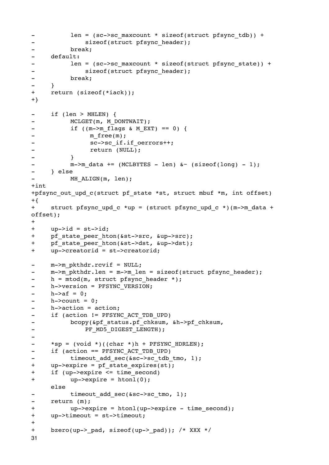```
- len = (sc->sc maxcount * sizeof(struct pfsync tdb)) +
- sizeof(struct pfsync header);
-

 break;
- default:
- len = (sc->sc_maxcount * sizeof(struct pfsync_state)) +
- sizeof(struct pfsync header);
-

 break;
- }
+ return (sizeof(*iack));
+}
- if (len > MHLEN) {
- MCLGET(m, M_DONTWAIT);
- if ((m->m_flags & M_EXT) == 0) {
- m_free(m);
- SC->sc_if.if_oerrors++;
-

 return (NULL);
-

 }
         m->m data += (MCLBYTES - len) \< (sizeof(long) - 1);
- } else
         MH ALIGN(m, len);
+int
+pfsync out upd c(struct pf state *st, struct mbuf *m, int offset)
+{
+ struct pfsync upd c *up = (struct pfsync upd c *)(m->m data +
offset);
+
+ up-> id = st-> id;+ pf state peer hton(&st->src, &up->src);
+ pf_state_peer_hton(&st->dst, &up->dst);
+ up->creatorid = st->creatorid;
- m->m pkthdr.rcvif = NULL;
    m\rightarrow m pkthdr.len = m\rightarrow m len = sizeof(struct pfsync header);
- h = mtod(m, struct pfsync header *);
- h->version = PFSYNC VERSION;
-h->af = 0;-h->count = 0;
- h->action = action;
- if (action != PFSYNC_ACT_TDB_UPD)
- bcopy(&pf status.pf chksum, &h->pf chksum,
- PF_MD5_DIGEST_LENGTH);
-
- *sp = (void *)((char *)h + PFSYNC HDRLEN);
- if (action == PFSYNC ACT TDB UPD)
- timeout_add_sec(&sc->sc_tdb_tmo, 1);
+ up->expire = pf state expires(st);
+ if (up->expire <= time_second)
+

 up->expire = htonl(0);
    else
         timeout add sec(&sc->sc tmo, 1);
- return (m);
+

 up->expire = htonl(up->expire - time_second);
+ up->timeout = st->timeout;
+
+ bzero(up-> pad, sizeof(up-> pad)); /* XXX */
31
```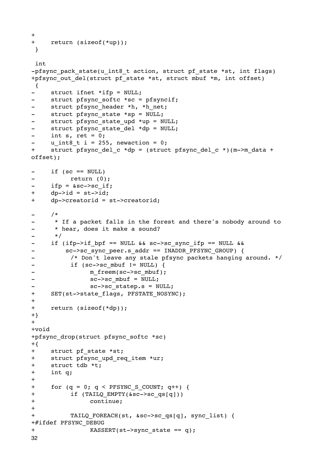```
+
+ return (sizeof(*up));
 }
 int
-pfsync pack state(u int8 t action, struct pf state *st, int flags)
+pfsync out del(struct pf state *st, struct mbuf *m, int offset)
 {
    struct ifnet *ifp = NULL;- struct pfsync softc *sc = pfsyncif;
- struct pfsync header *h, *h_net;
    struct pfsync state *sp = NULL;
- struct pfsync state upd *up = NULL;
- struct pfsync state del *dp = NULL;
- int s, ret = 0;
    u int8 t i = 255, newaction = 0;
+ struct pfsync del c *dp = (struct pfsync del c *)(m->m data +
offset);
- if (sc == NULL)
-

 return (0);
    ifp = &csc \rightarrow sc if;
+ dp->id = st->id;+ dp->creatorid = st->creatorid;
- /*
- * If a packet falls in the forest and there's nobody around to
- * hear, does it make a sound?
- */
- if (ifp->if_bpf == NULL && sc->sc_sync_ifp == NULL &&
        sc->sc sync peer.s addr == INADDR PFSYNC GROUP) {
- /* Don't leave any stale pfsync packets hanging around. */
-

 if (sc->sc_mbuf != NULL) {
- m_freem(sc->sc_mbuf);
- SC->sc_mbuf = NULL;
- SC->sc_statep.s = NULL;
+ SET(st->state flags, PFSTATE NOSYNC);
+
+ return (sizeof(*dp));
+}
+
+void
+pfsync_drop(struct pfsync_softc *sc)
+{
+ struct pf state *st;
+ struct pfsync_upd_req_item *ur;
+ struct tdb *t;
+ int q;
+
+ for (q = 0; q < PFSYNC S COUNT; q++) {
+

 if (TAILQ_EMPTY(&sc->sc_qs[q]))
+

 continue;
+
+ TAILQ FOREACH(st, &sc->sc qs[q], sync list) {
+#ifdef PFSYNC_DEBUG
+ KASSERT(st->sync state == q);
32
```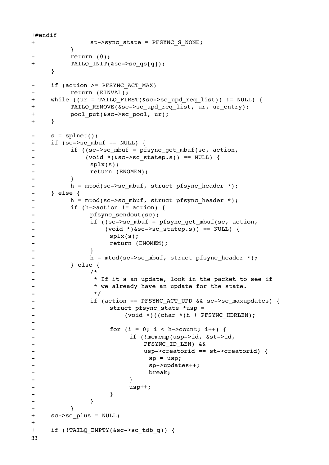```
+#endif
+ st->sync_state = PFSYNC_S_NONE;

 }
          return (0);
+ TAILQ_INIT(&sc->sc_qs[q]);
     }
- if (action >= PFSYNC ACT MAX)
          -

 return (EINVAL);
+ while ((ur = TAILQ FIRST(&sc->sc upd req list)) != NULL) {
+ TAILQ REMOVE(&sc->sc upd req list, ur, ur entry);
+ pool put(&sc->sc pool, ur);
+ }
- s = splnet();
- if (sc->sc_mbuf == NULL) {
- if ((sc->sc mbuf = pfsync get mbuf(sc, action,
- (void *) &sc->sc_statep.s)) == NULL) {
-

 splx(s);
-

 return (ENOMEM);
-

 }
- h = mtod(sc->sc_mbuf, struct pfsync header *):
- } else {
- h = mtod(sc->sc mbuf, struct pfsync header *);
-

 if (h->action != action) {
- pfsync sendout(sc);
-    if ((sc->sc_mbuf = pfsync_get_mbuf(sc, action,
- (void *)&sc->sc_statep.s)) == NULL) {
- splx(s);
-

 return (ENOMEM);
- \qquad \qquad }
- h = mtod(sc->sc_mbuf, struct pfsync header *);
-

 } else {
– /*
- <br>
* If it's an update, look in the packet to see if
- * we already have an update for the state.
-

 */
-   if (action == PFSYNC_ACT_UPD && sc->sc_maxupdates) {
-

 struct pfsync_state *usp =
- (void *)((char *)h + PFSYNC_HDRLEN);
-
-

 for (i = 0; i < h->count; i++) {
-

 if (!memcmp(usp->id, &st->id,
- PFSYNC ID LEN) &&
- usp->creatorid == st->creatorid) {
- \text{sp} = \text{usp};- sp->updates++;
- break;
- \qquad \qquad \qquad \qquad \qquad \qquad \qquad \qquad \qquad \qquad \qquad \qquad \qquad \qquad \qquad \qquad \qquad \qquad \qquad \qquad \qquad \qquad \qquad \qquad \qquad \qquad \qquad \qquad \qquad \qquad \qquad \qquad \qquad \qquad \qquad \qquad - usp++;
- \qquad \qquad \qquad \qquad \qquad \qquad \qquad \qquad \qquad \qquad \qquad \qquad \qquad \qquad \qquad \qquad \qquad \qquad \qquad \qquad \qquad \qquad \qquad \qquad \qquad \qquad \qquad \qquad \qquad \qquad \qquad \qquad \qquad \qquad \qquad \qquad - \qquad \qquad }
-

 }
+ sc->sc_plus = NULL;
+
+ if (!TAILQ EMPTY(&sc->sc tdb q)) {
33
```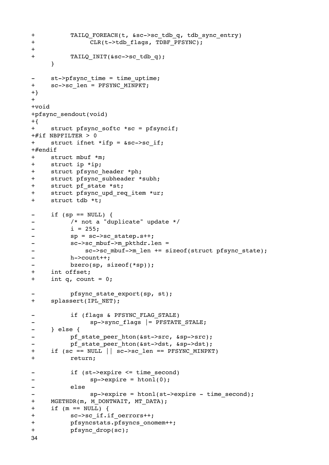```
\ddot{+}TAILQ FOREACH(t, &sc->sc tdb q, tdb sync entry)
\ddot{+}CLR(t->tdb flags, TDBF PFSYNC);
\begin{array}{c} + \end{array}\ddot{+}TAILQ INIT(&sc->sc tdb q);
       \mathcal{E}st->pfsync time = time uptime;
\overline{\phantom{a}}sc->sc len = PFSYNC MINPKT;
++}
++void
+pfsync sendout(void)
+{
       struct pfsync softc *sc = pfsyncif;
++#if NBPFILTER > 0
+struct ifnet *ifp = &sc->sc if;
+\#endif
+struct mbuf *m;
       struct ip *ip;
++struct pfsync header *ph;
       struct pfsync subheader *subh;
++struct pf state *st;
\begin{array}{c} + \end{array}struct pfsync upd req item *ur;
\ddot{+}struct tdb *t;
       if (sp == NULL) {
\blacksquare/* not a "duplicate" update */
\blacksquarei = 255;\overline{a}sp = sc->sc statep.s++;\qquad \qquadsc->sc mbuf->m pkthdr.len =
\overline{\phantom{0}}sc->sc mbuf->m len += sizeof(struct pfsync state);
\overline{a}h->count++;
\blacksquarebzero(sp, sizeof(*sp));\ddot{}int offset;
+int q, count = 0;
              pfsync state export(sp, st);
+splassert(IPL NET);
              if (flags & PFSYNC_FLAG_STALE)
\overline{\phantom{0}}sp->sync_flags |= PFSTATE_STALE;
\overline{a}\overline{a}\} else {
              pf state peer hton(&st->src, &sp->src);
\overline{\phantom{a}}pf state peer hton(&st->dst, &sp->dst);
\ddot{+}if (sc == NULL || sc->sc len == PFSYNC MINPKT)
+return;
              if (st->expire \leq time second)\overline{a}sp->expire = htonl(0);\rightarrowelse
\overline{\phantom{0}}sp->expire = htonl(st->expire - time second);\overline{a}\ddot{}MGETHDR(m, M_DONTWAIT, MT_DATA);
\ddot{+}if (m == NULL) {
\ddot{+}sc->sc if.if oerrors++;
+pfsyncstats.pfsyncs_onomem++;
+pfsync drop(sc);
34
```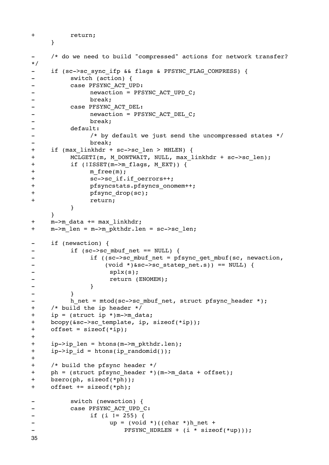```
+

 return;
    }
    /* do we need to build "compressed" actions for network transfer?
*/
- if (sc->sc sync ifp && flags & PFSYNC FLAG COMPRESS) {
-

 switch (action) {
-

 case PFSYNC_ACT_UPD:
- hewaction = PFSYNC ACT UPD C;
-

 break;
- Case PFSYNC ACT DEL:
- hewaction = PFSYNC ACT DEL C;
-

 break;
-

 default:
- \hspace{1.6cm} /* by default we just send the uncompressed states */
-

 break;
+ if (max linkhdr + sc->sc len > MHLEN) {
+ MCLGETI(m, M_DONTWAIT, NULL, max_linkhdr + sc->sc_len);
+ if (!ISSET(m->m_flags, M_EXT)) {
+ m free(m);
+ sc->sc_if.if_oerrors++;
+ pfsyncstats.pfsyncs_onomem++;
+

 pfsync_drop(sc);
+

 return;

 }
    }
+ m->m_data += max_linkhdr;
+ m->m len = m->m pkthdr.len = sc->sc len;
- if (newaction) {
        if (sc->sc mbuf net == NULL) {
-  if ((sc->sc_mbuf_net = pfsync_get_mbuf(sc, newaction,
- (void *)&sc->sc statep net.s)) == NULL) {
- splx(s);
- Teturn (ENOMEM);
- \qquad \qquad }
-

 }
- h net = mtod(sc->sc mbuf net, struct pfsync header *);
+ /* build the ip header */
+ ip = (struct ip *)m->m data;
+ bcopy(&sc->sc template, ip, sizeof(*ip));
+ offset = sizeof(*ip);
+
+ ip->ip len = htons(m->m_pkthdr.len);
+ ip->ip id = htons(ip randomid());
+
+ /* build the pfsync header */
+ ph = (struct pfsync header *)(m->m data + offset);
+ bzero(ph, sizeof(*ph));
+ offset += sizeof(*ph);
-

 switch (newaction) {
- case PFSYNC ACT UPD C:
-

 if (i != 255) {
-

 up = (void *)((char *)h_net +
- PFSYNC HDRLEN + (i * sizeof(*up)));
```
35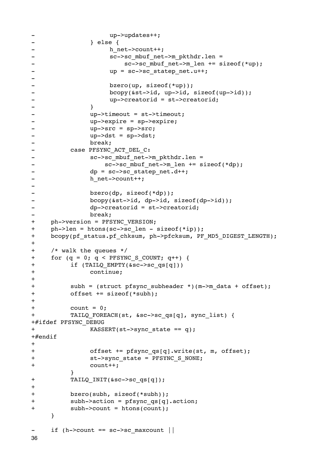```
- up->updates++;
-

 } else {
- h net->count++;
- sc->sc mbuf net->m pkthdr.len =
- sc->sc_mbuf_net->m_len += sizeof(*up);
- 
up = sc->sc statep net.u++;
-
-

 bzero(up, sizeof(*up));
- bcopy(&st->id, up->id, sizeof(up->id));
- 
up->creatorid = st->creatorid;
- \qquad \qquad }
- 
up->timeout = st->timeout;
- 
up->expire = sp->expire;
- up->src = sp->src;
- up->dst = sp->dst;
-

 break;
- Case PFSYNC ACT DEL C:
- Sc->sc mbuf net->m pkthdr.len =
-

 sc->sc_mbuf_net->m_len += sizeof(*dp);
- dp = sc->sc statep net.d++;
- h net->count++;
-
-

 bzero(dp, sizeof(*dp));
- bcopy(&st->id, dp->id, sizeof(dp->id));
- dp->creatorid = st->creatorid;
-

 break;
+ ph->version = PFSYNC_VERSION;
+ ph->len = htons(sc->sc len - sizeof(*ip));
+ bcopy(pf status.pf chksum, ph->pfcksum, PF_MD5_DIGEST_LENGTH);
+
+ /* walk the queues */
+ for (q = 0; q < PFSYNC S COUNT; q++) {
+

 if (TAILQ_EMPTY(&sc->sc_qs[q]))
+

 continue;
+
+ subh = (struct pfsync subheader *)(m->m data + offset);
+

 offset += sizeof(*subh);
+
+

 count = 0;
+

 TAILQ_FOREACH(st, &sc->sc_qs[q], sync_list) {
+#ifdef PFSYNC_DEBUG
+ KASSERT(st->sync state == q);
+#endif
+
+

 offset += pfsync_qs[q].write(st, m, offset);
+

 st->sync_state = PFSYNC_S_NONE;
+

 count++;

 }
+ TAILQ_INIT(&sc->sc_qs[q]);
+
+

 bzero(subh, sizeof(*subh));
+

 subh->action = pfsync_qs[q].action;
+

 subh->count = htons(count);
    }
- if (h->count == sc->sc maxcount ||
36
```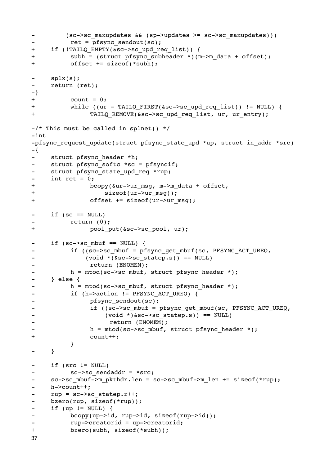```
- (sc->sc_maxupdates && (sp->updates >= sc->sc_maxupdates)))
- Tet = pfsync sendout(sc);
+ if (!TAILQ EMPTY(&sc->sc upd req list)) {
+ subh = (struct pfsync subheader *)(m->m data + offset);
+

 offset += sizeof(*subh);
- splx(s);
- return (ret);
-}
+

 count = 0;
+ while ((ur = TAILQ FIRST(&sc->sc upd req list)) != NULL) {
+ TAILQ REMOVE(&sc->sc upd req list, ur, ur entry);
-\prime* This must be called in splnet() */
-int
-pfsync request update(struct pfsync state upd *up, struct in addr *src)
-{
    struct pfsync header *h;
- struct pfsync softc *sc = pfsyncif;
- struct pfsync state upd req *rup;
- int ret = 0;+ bcopy(&ur->ur_msq, m->m_data + offset,
+

 sizeof(ur->ur_msg));
+

 offset += sizeof(ur->ur_msg);
- if (sc == NULL)
         return (0);
+ pool put(&sc->sc_pool, ur);
- if (sc->sc_mbuf == NULL) {
         if ((sc->sc_mbuf = pfsync get mbuf(sc, PFSYNC ACT UREQ,
- (void *)&sc->sc statep.s)) == NULL)
-

 return (ENOMEM);
         h = mtod(sc->sc mbuf, struct pfsync header *);
- } else {
- h = mtod(sc->sc mbuf, struct pfsync header *);
- if (h->action != PFSYNC_ACT_UREQ) {
- pfsync sendout(sc);
-    if ((sc->sc_mbuf) = pfsync_set_mbuf(sec, PFSYNC_ACT_UREQ,- (void *) &sc->sc_statep.s)) == NULL)
-

 return (ENOMEM);
- h = mtod(sc->sc mbuf, struct pfsync header *);
+

 count++;

 }
- }
    if (src != NULL)- sc->sc sendaddr = *src;
- sc->sc mbuf->m pkthdr.len = sc->sc mbuf->m len += sizeof(*rup);
    h->count++;
- rup = sc->sc statep.r++;
- bzero(rup, sizeof(*rup));
- if (up != NULL) {
- bcopy(up->id, rup->id, sizeof(rup->id));
- 
rup->creatorid = up->creatorid;
+

 bzero(subh, sizeof(*subh));
37
```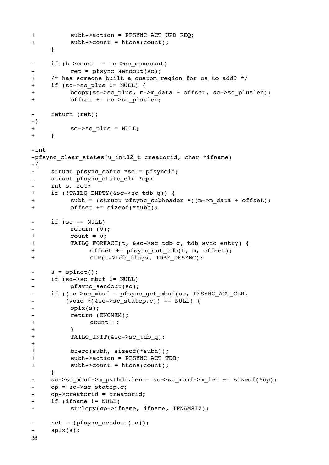```
+ subh->action = PFSYNC ACT UPD REQ;
+

 subh->count = htons(count);
    }
- if (h->count == sc->sc maxcount)
         ret = pfsync sendout(sc);
+ /* has someone built a custom region for us to add? */
+ if (sc->sc_plus != NULL) {
+ bcopy(sc->sc_plus, m->m_data + offset, sc->sc_pluslen);
+

 offset += sc->sc_pluslen;
- return (ret);
-}
+ sc->sc plus = NULL;
+ }
-int
-pfsync clear states(u int32 t creatorid, char *ifname)
-{
- struct pfsync softc *sc = pfsyncif;
- struct pfsync state clr *cp;
    int s, ret;
+ if (!TAILQ EMPTY(&sc->sc tdb q)) {
+ subh = (struct pfsync subheader *)(m->m data + offset);
+

 offset += sizeof(*subh);
- if (sc == NULL)
-

 return (0);
+

 count = 0;
+

 TAILQ_FOREACH(t, &sc->sc_tdb_q, tdb_sync_entry) {
+

 offset += pfsync_out_tdb(t, m, offset);
+ CLR(t->tdb flags, TDBF PFSYNC);
    s = splnet();- if (sc->sc mbuf != NULL)
- pfsync sendout(sc);
- if ((sc->sc_mbuf = pfsync_get_mbuf(sc, PFSYNC_ACT_CLR,
- (void *)&sc->sc_statep.c)) == NULL) {
-

 splx(s);
- return (ENOMEM);
+

 count++;
+

 }
+

 TAILQ_INIT(&sc->sc_tdb_q);
+
+

 bzero(subh, sizeof(*subh));
+

 subh->action = PFSYNC_ACT_TDB;
+

 subh->count = htons(count);
    }
- sc->sc_mbuf->m_pkthdr.len = sc->sc_mbuf->m_len += sizeof(*cp);
    cp = sc->sc statep.c;- cp->creatorid = creatorid;
- if (ifname != NULL)
         strlcpy(cp->ifname, ifname, IFNAMSIZ);
- ret = (pfsync sendout(sc));
- splx(s);
38
```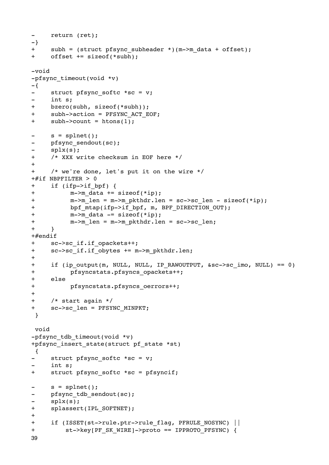```
return (ret);
\equiv-\}subh = (struct pfsyncsubheader *)(m->m_data + offset);+offset += sizeof(*subh);
+-void
-pfsync timeout(void *v)
-\{\equivstruct pfsync softc *sc = v;
\overline{a}int s;
+bzero(subh, sizeof(*subh));
\ddot{+}subh->action = PFSYNC ACT EOF;
+subh->count = htons(1);s = splnet();
\blacksquarepfsync sendout(sc);
\overline{a}splx(s) ;
\overline{a}+/* XXX write checksum in EOF here */
\ddot{+}+/* we're done, let's put it on the wire */+#if NBPFILTER > 0
      if (ifp->if bpf) {
+\pmm->m data += sizeof(*ip);
+m->m len = m->m pkthdr.len = sc->sc len - sizeof(*ip);
            bpf_mtap(ifp->if_bpf, m, BPF DIRECTION OUT);
\ddagger\ddot{}m->m data -= sizeof(*ip);
+m->m len = m->m pkthdr.len = sc->sc len;
\ddot{+}\lambda#endif+sc->sc if.if opackets++;
      sc->sc if.if obytes += m->m pkthdr.len;
\boldsymbol{+}++if (ip output(m, NULL, NULL, IP RAWOUTPUT, \&c>-&>sc imo, NULL) == 0)
\ddot{}pfsyncstats.pfsyncs opackets++;
\boldsymbol{+}else
\ddot{}pfsyncstats.pfsyncs oerrors++;
\ddot{+}+/* start again */\ddot{+}sc->sc len = PFSYNC MINPKT;
 \mathcal{F}void
-pfsync tdb timeout(void *v)
+pfsync insert state(struct pf state *st)
 \left\{ \right.struct pfsync_softc *sc = v;
      int s;
+struct pfsync softc *sc = pfsyncif;
      s = splnet()pfsync tdb sendout(sc);
\overline{a}\equivsplx(s);\ddot{+}splassert(IPL SOFTNET);
\ddot{+}+if (ISSET(st->rule.ptr->rule flag, PFRULE NOSYNC) ||+st->key[PF SK WIRE]->proto == IPPROTO PFSYNC) {
39
```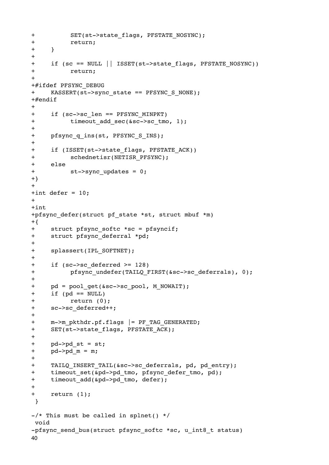```
+ SET(st->state flags, PFSTATE NOSYNC);
+

 return;
+ }
+
+ if (sc == NULL || ISSET(st->state flags, PFSTATE NOSYNC))
+

 return;
++#ifdef PFSYNC_DEBUG
+ KASSERT(st->sync state == PFSYNC S NONE);
+#endif
+
+ if (sc->sc_len == PFSYNC_MINPKT)
+ timeout add sec(&sc->sc tmo, 1);
+
+ pfsync_q_ins(st, PFSYNC_S_INS);
+
+ if (ISSET(st->state flags, PFSTATE ACK))
+

 schednetisr(NETISR_PFSYNC);
+ else
+ st->sync updates = 0;
+}
+
+int defer = 10;
+
+int
+pfsync defer(struct pf state *st, struct mbuf *m)
+{}+ struct pfsync softc *sc = pfsyncif;
+ struct pfsync_deferral *pd;
+
+ splassert(IPL_SOFTNET);
+
+ if (sc->sc_deferred >= 128)
+

 pfsync_undefer(TAILQ_FIRST(&sc->sc_deferrals), 0);
+
+ pd = pool qet(&sc->sc pool, M_NOWAIT);
+ if (pd == NULL)
+

 return (0);
+ sc->sc deferred++;
+
+ m->m pkthdr.pf.flags |= PF TAG GENERATED;
+ SET(st->state flags, PFSTATE ACK);
+
+ pd->pd st = st;
+ pd \rightarrow pd m = m;
+
+ TAILQ INSERT TAIL(&sc->sc deferrals, pd, pd entry);
+ timeout set(&pd->pd tmo, pfsync defer tmo, pd);
+ timeout add(&pd->pd tmo, defer);
+
+ return (1);
  }
-\prime* This must be called in splnet() */
 void
-pfsync send bus(struct pfsync softc *sc, u int8 t status)
40
```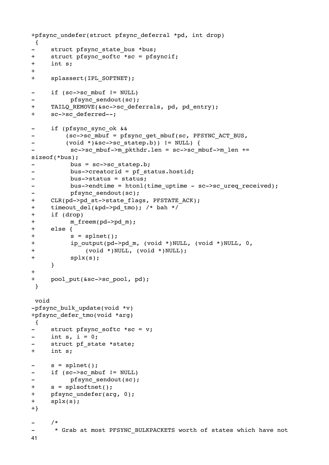```
+pfsync undefer(struct pfsync deferral *pd, int drop)
 \{struct pfsync state bus *bus;
\overline{\phantom{a}}+struct pfsync softc *sc = pfsyncif;
\ddot{}int s;
+\ddot{+}splassert(IPL SOFTNET);
       if (sc->scmbuf != NULL)\overline{\phantom{a}}pfsync sendout(sc);
+TAILQ REMOVE(&sc->sc deferrals, pd, pd entry);
\ddot{+}sc->sc deferred--;
       if (pfsync sync ok &&
\overline{\phantom{a}}(sc->sc_mbuf = pfsync_get_mbuf(sc, PFSYNC_ACT_BUS,
\overline{a}(void * )&sc->sc statep.b)) != NULL) {
              sc->sc mbuf->m pkthdr.len = sc->sc mbuf->m len +=
sizeof(*bus);bus = sc->sc statep.b;\overline{\phantom{a}}\overline{\phantom{a}}bus->creatorid = pf status.hostid;
             bus \rightarrow status = status;\overline{a}bus->endtime = htonl(time uptime - sc->sc ureq received);
              pfsync sendout(sc);
\overline{a}+CLR(pd->pd st->state flags, PFSTATE ACK);
       timeout del(\delta pd->pdtmo); /* bah */
\ddagger\ddot{+}if (drop)
+m_freem(pd->pd_m);
\ddot{+}else \{\begin{array}{c} + \end{array}s = splnet();
\begin{array}{c} + \end{array}ip_output(pd->pd_m, (void *)NULL, (void *)NULL, 0,
\ddot{}(void *)NULL, (void *)NULL);
\ddot{+}splx(s);\mathcal{E}\ddagger+pool put(&sc->sc pool, pd);
 \mathcal{E}void
-pfsync bulk update(void *v)
+pfsync_defer_tmo(void *arg)
 \{struct pfsync softc *sc = v;
\overline{a}int s, i = 0;
\simstruct pf state *state;
+int s;
       s = splnet();
       if (sc->scmbuf != NULL)\overline{a}pfsync sendout(sc);
\overline{a}+s = splsoftnet();
+pfsync undefer(arg, 0);
+splx(s);+}
       /*
        * Grab at most PFSYNC BULKPACKETS worth of states which have not
\overline{a}41
```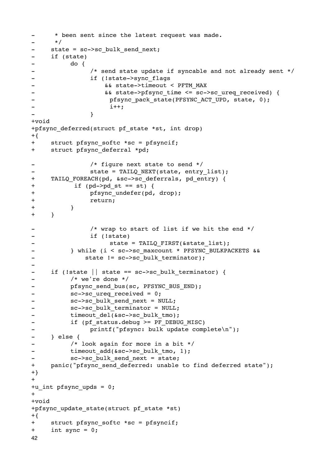```
- * been sent since the latest request was made.
- */
- state = sc->sc bulk send next;
- if (state)
-

 do {
- \hspace{1.6cm} /* send state update if syncable and not already sent */
- 
if (!state->sync flags
- \&&\text{state-} and \&&\text{state-}- 6& state->pfsync time <= sc->sc ureq received) {
- The pfsync pack state(PFSYNC ACT UPD, state, 0);
- i++;- \qquad \qquad }
+void
+pfsync deferred(struct pf state *st, int drop)
+{
+ struct pfsync softc *sc = pfsyncif;
+ struct pfsync deferral *pd;
-

 /* figure next state to send */
- State = TAILQ NEXT(state, entry list);
+ TAILQ FOREACH(pd, &sc->sc deferrals, pd entry) {
+

 if (pd->pd_st == st) {
+

 pfsync_undefer(pd, drop);
+

 return;
+ }
+ }
- \frac{1}{x} /* wrap to start of list if we hit the end */
-

 if (!state)
- State = TAILQ_FIRST(&state_list);
         } while (i < sc->sc maxcount * PFSYNC BULKPACKETS & &
- state != sc->sc bulk terminator);
-
- if (!state || state == sc->sc_bulk_terminator) {
-

 /* we're done */
- Pfsync send bus(sc, PFSYNC BUS END);
- sc->sc ureq received = 0;
- sc->sc_bulk_send_next = NULL;
- sc->sc bulk terminator = NULL;
- timeout_del(&sc->sc_bulk_tmo);
- 
if (pf status.debug >= PF DEBUG MISC)
- 
printf("pfsync: bulk update complete\n");
- } else {
         /* look again for more in a bit */
- timeout add(&sc->sc bulk tmo, 1);
- sc->sc_bulk_send_next = state;
+ panic("pfsync send deferred: unable to find deferred state");
+}
++u_int pfsync_upds = 0;
++void
+pfsync update state(struct pf state *st)
+\{+ struct pfsync softc *sc = pfsyncif;
+ int sync = 0;
42
```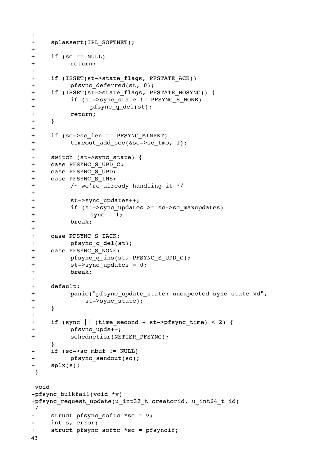```
+ splassert(IPL_SOFTNET);
+
+ if (sc == NULL)
+

 return;
+
+ if (ISSET(st->state flags, PFSTATE ACK))
+

 pfsync_deferred(st, 0);
+ if (ISSET(st->state flags, PFSTATE NOSYNC)) {
+ if (st->sync state != PFSYNC S NONE)
+

 pfsync_q_del(st);
+

 return;
+ }
+
+ if (sc->sc_len == PFSYNC_MINPKT)
+ timeout add sec(&sc->sc tmo, 1);
+
+ switch (st->sync_state) {
+ case PFSYNC_S_UPD_C:
+ case PFSYNC_S_UPD:
+ case PFSYNC_S_INS:
+

 /* we're already handling it */
+
+

 st->sync_updates++;
+ if (st->sync updates >= sc->sc maxupdates)
+ sync = 1;
+

 break;
+
+ case PFSYNC_S_IACK:
+

 pfsync_q_del(st);
+ case PFSYNC_S_NONE:
+ pfsync q ins(st, PFSYNC S UPD C);
+ st->sync updates = 0;
+

 break;
+
+ default:
+ panic("pfsync update state: unexpected sync state %d",
+

 st->sync_state);
+ }
+
+ if (sync || (time_second - st->pfsync_time) < 2) {
+

 pfsync_upds++;
+

 schednetisr(NETISR_PFSYNC);
    }
- if (sc->sc_mbuf != NULL)
-

 pfsync_sendout(sc);
    splx(s); }
 void
-pfsync bulkfail(void *v)
+pfsync_request_update(u_int32_t creatorid, u_int64_t id)
 {
- struct pfsync softc *sc = v;
- int s, error;
+ struct pfsync softc *sc = pfsyncif;
43
```
+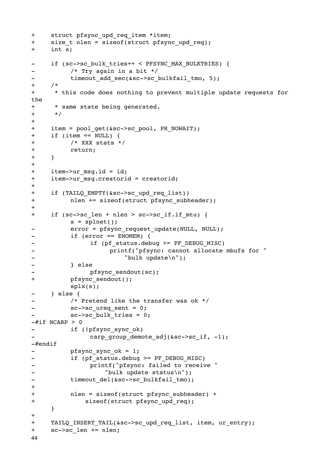```
+ struct pfsync upd req item *item;
+ size t nlen = sizeof(struct pfsync upd req);
+ int s;
- if (sc->sc bulk tries++ < PFSYNC MAX BULKTRIES) {
         /* Try again in a bit */
- timeout add sec(&sc->sc bulkfail tmo, 5);
+ /*
+ * this code does nothing to prevent multiple update requests for 
the
+ * same state being generated.
+ */
+
+ item = pool get(&sc->sc pool, PR_NOWAIT);
+ if (item == NULL) {
+

 /* XXX stats */
+

 return;
+ }
+
+ item->ur msq.id = id;
+ item->ur msg.creatorid = creatorid;
+
+ if (TAILQ EMPTY(&sc->sc upd req list))
+

 nlen += sizeof(struct pfsync_subheader);
+
+ if (sc->sc len + nlen > sc->sc if.if mtu) {
         s = splnet();
- error = pfsync request update(NULL, NULL);
-

 if (error == ENOMEM) {
-

 if (pf_status.debug >= PF_DEBUG_MISC)
                   printf("pfsync: cannot allocate mbufs for "
- "bulk update\n");
-

 } else
              -

 pfsync_sendout(sc);
+

 pfsync_sendout();

 splx(s);
- } else {
         /* Pretend like the transfer was ok */
- sc->sc ureq sent = 0;
         sc->sc_bulk_tries = 0;
-\#if NCARP > 0
- if (!pfsync sync ok)
              carp_group_demote_adj(&sc->sc_if, -1);
-#endif
- pfsync_sync_ok = 1;
- 
if (pf_status.debug >= PF_DEBUG_MISC)
              printf("pfsync: failed to receive "
- "bulk update status\n");
- timeout del(&sc->sc bulkfail tmo);
+
+

 nlen = sizeof(struct pfsync_subheader) +
+

 sizeof(struct pfsync_upd_req);
    }
+
+ TAILQ_INSERT_TAIL(&sc->sc_upd_req_list, item, ur_entry);
+ sc->sc len += nlen;
44
```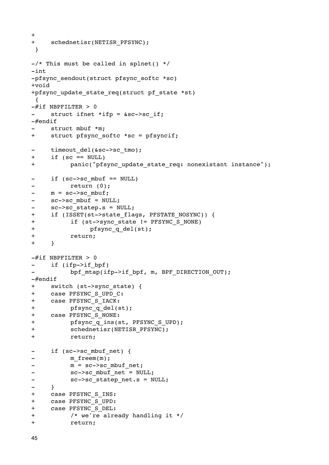```
+
+ schednetisr(NETISR PFSYNC);
 }
-\prime* This must be called in splnet() */-int
-pfsync sendout(struct pfsync softc *sc)
+void
+pfsync update state req(struct pf state *st)
 {
-\#if NBPFILTER > 0
- struct ifnet *ifp = &sc->sc if;
-#endif
    struct mbuf *m;
+ struct pfsync_softc *sc = pfsyncif;
- timeout del(&sc->sc tmo);
+ if (sc == NULL)
+

 panic("pfsync_update_state_req: nonexistant instance");
- if (sc->sc_mbuf == NULL)
         return (0);
- m = sc->sc mbuf;
- sc->sc mbuf = NULL;
- sc->sc statep.s = NULL;
+ if (ISSET(st->state flags, PFSTATE NOSYNC)) {
+ if (st->sync state != PFSYNC S NONE)
+

 pfsync_q_del(st);
+

 return;
+ }
-#if NBPFILTER > 0
- if (ifp->if bpf)
         bpf mtap(ifp->if bpf, m, BPF DIRECTION OUT);
-#endif
+ switch (st->sync_state) {
+ case PFSYNC_S_UPD_C:
+ case PFSYNC_S_IACK:
+ pfsync q del(st);
+ case PFSYNC_S_NONE:
+ pfsync q ins(st, PFSYNC S UPD);
+

 schednetisr(NETISR_PFSYNC);
+

 return;
- if (sc->sc mbuf net) {
-

 m_freem(m);
- m = sc->sc mbuf net;
- SC->sc mbuf net = NULL;
- sc->sc statep net.s = NULL;
- }
+ case PFSYNC_S_INS:
+ case PFSYNC_S_UPD:
+ case PFSYNC_S_DEL:
+

 /* we're already handling it */
+

 return;
```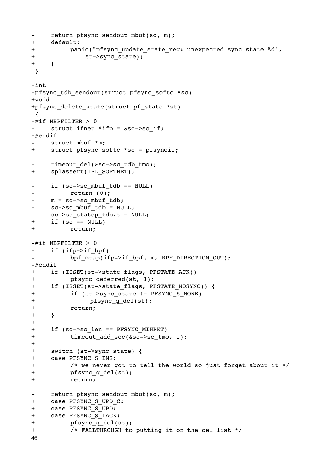```
return pfsync sendout mbuf(sc, m);
\equiv\ddot{}default:
\begin{array}{c} + \end{array}panic("pfsync update state req: unexpected sync state %d",
\begin{array}{c} + \end{array}st->sync state);
\ddot{}\mathcal{E}\rightarrow-int-pfsync tdb sendout(struct pfsync softc *sc)
+void
+pfsync delete state(struct pf state *st)
\left\{ \right.-\#if NBPFILTER > 0
       struct ifnet *ifp = &sc->sc if;
\sim-\#endif
       struct mbuf *m:
+struct pfsync softc *sc = pfsyncif;
       timeout del(&sc->sc tdb tmo);
\equiv\ddot{+}splassert(IPL SOFTNET);
       if (sc->sc mbuf tdb == NULL)return (0);
\overline{\phantom{0}}m = sc->sc mbuf tdb;\equivsc->sc mbuf tdb = NULL;
\frac{1}{2}sc->sc statep tdb.t = NULL;
\blacksquareif (\text{sc} == \text{NULL})+\ddot{+}return:
-\#if NBPFILTER > 0
       if (ifp->if bpf)
\equivbpf mtap(ifp->if bpf, m, BPF DIRECTION OUT);
-\#endif
       if (ISSET(st->state flags, PFSTATE ACK))
++pfsync deferred(st, 1);
       if (ISSET(st->state flags, PFSTATE NOSYNC)) {
\begin{array}{c} + \end{array}\ddot{+}if (st->sync state != PFSYNC S NONE)
\ddot{+}pfsync_q del(st);
\ddot{+}return;
\begin{array}{c} + \end{array}\mathcal{E}\ddot{}\ddot{}if (sc->sc len == PFSYNC MINPKT)\ddaggertimeout add sec(&sc->sc tmo, 1);
+switch (st->sync state) {
\ddagger\ddagcase PFSYNC_S_INS:
              /* we never got to tell the world so just forget about it */
\boldsymbol{+}\ddot{+}pfsync q del(st);
\ddot{}return;
       return pfsync sendout mbuf(sc, m);
\equiv\ddot{}case PFSYNC S UPD C:
       case PFSYNC S UPD:
\ddot{+}case PFSYNC S IACK:
++pfsync q del(st);
+/* FALLTHROUGH to putting it on the del list */
46
```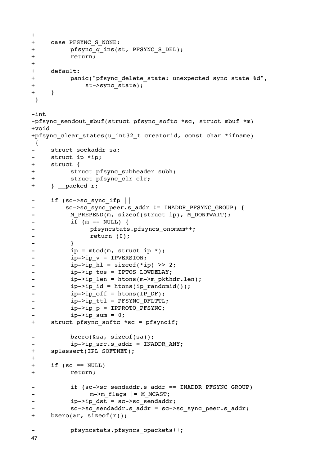```
+\ddot{}case PFSYNC S NONE:
\begin{array}{c} + \end{array}pfsync q ins(st, PFSYNC S DEL);
\begin{array}{c} + \end{array}return;
\ddot{}\ddot{+}default:
\ddot{+}panic("pfsync delete state: unexpected sync state %d",
\ddaggerst->sync_state);
\begin{array}{c} + \end{array}\mathcal{E}\rightarrow-int-pfsync sendout mbuf(struct pfsync softc *sc, struct mbuf *m)
+void
+pfsync_clear_states(u_int32_t creatorid, const char *ifname)
 \left\{ \right.struct sockaddr sa;
\overline{a}struct ip *ip;
\overline{a}struct \{+\begin{array}{c} + \end{array}struct pfsync subheader subh;
\ddot{+}struct pfsync clr clr;
+} packed r;
\overline{a}if (sc->sc sync ifp ||sc->sc sync peer.s addr != INADDR PFSYNC GROUP) {
                M PREPEND(m, sizeof(struct ip), M DONTWAIT);
\blacksquareif (m == NULL) {
\overline{a}pfsyncstats.pfsyncs onomem++;
\frac{1}{2}return (0);
\qquad \qquad -\overline{\phantom{0}}\mathcal{F}\frac{1}{2}ip = m \text{total}(m, \text{struct ip *});
                ip->ip v = IPVERSION;
\blacksquare\blacksquareip->ip h1 = sizeof(*ip) >> 2;
                ip \rightarrow ip tos = IPTOS LOWDELAY;
\overline{\phantom{0}}ip \rightarrow ip len = htons(m->m pkthdr.len);
\frac{1}{2}\overline{a}ip->ip id = htons(ip randomid());
                ip->ip_off = htons/IP DF);\overline{a}ip->ip_ttl = PFSYNC_PFLTTL;\blacksquareip->ip p = IPPROTO PFSYNC;\overline{\phantom{a}}ip->ip_sum = 0;\overline{\phantom{0}}\ddot{+}struct pfsync softc *sc = pfsyncif;
                bzero(\&sa, sizeof(sa));\overline{a}ip \rightarrow ip src.s addr = INADDR ANY;
        splassert(IPL SOFTNET);
\ddot{+}\boldsymbol{+}\ddot{+}if (\text{sc} == \text{NULL})\ddot{+}return;
                if (sc->sc sendaddr.s addr == IMADDR PFSYNC GROUP)m->m flags |= M MCAST;\overline{a}ip \rightarrow ip dst = sc->sc sendaddr;
                sc->sc sendaddr.s addr = sc->sc sync peer.s addr;
\ddot{+}bzero(\&r, sizeof(r));pfsyncstats.pfsyncs opackets++;
47
```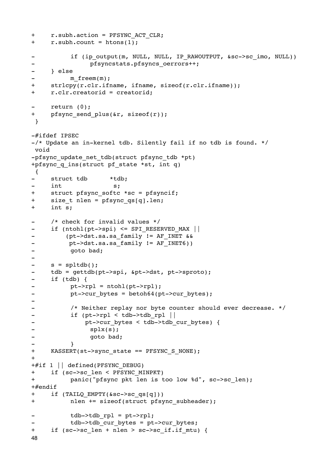```
+r.subh.action = PFSYNC ACT CLR;+r.subh.count = htons(1);if (ip output(m, NULL, NULL, IP RAWOUTPUT, &sc->sc imo, NULL))
                   pfsyncstats.pfsyncs oerrors++;
\overline{a}} else
             m freem(m);
      strlcpy(r.clr.ifname, ifname, sizeof(r.clr.ifname));
+\ddot{+}r.clr.creatorid = creatorid;
      return (0);
\ddot{+}pfsync send plus(\&r, sizeof(r));
 \rightarrow-#ifdef IPSEC
-/* Update an in-kernel tdb. Silently fail if no tdb is found. */
void
-pfsync update net tdb(struct pfsync tdb *pt)
+pfsync q ins(struct pf state *st, int q)
\{\blacksquarestruct tdb
                          *tdb;
      int
                           s:\ddot{+}struct pfsync softc *sc = pfsyncif;
+size t nlen = pfsync qs[q].len;
+int s;
      /* check for invalid values */\overline{a}if (ntohl(pt-> spi) \leq SPI RESERVED MAX(pt->dst.sa.sa_family != AF_INET &&
\equivpt->dst.sa.sa family != AF INET6))
\overline{\phantom{m}}goto bad;
\overline{\phantom{0}}\blacksquares = spltdb();
      tdb = gettdb(pt->spl, &pt->dst, pt->sproto);
\overline{\phantom{0}}if (tdb) {
\overline{a}\blacksquarept->rpl = ntohl(pt->rpl);pt->cur bytes = betoh64(pt->cur bytes);
\frac{1}{2}\overline{\phantom{0}}/* Neither replay nor byte counter should ever decrease. */
\overline{\phantom{a}}if (pt->rpl < tdb-&gt;tdb rpl ||
\qquad \qquad \blacksquarept->cur bytes < tdb->tdb cur bytes) {
\overline{a}splx(s);\overline{a}goto bad;
\overline{a}KASSERT(st->sync state == PFSYNC S NONE) ;
+\ddot{}+#if 1 || defined(PFSYNC DEBUG)
+if (sc->sc len < PFSYNC MINPKT)
             panic("pfsync pkt len is too low %d", sc->sc len);
++#endif
      if (TAILQ EMPTY(\&sc->sc qs[q]))+\ddot{}nlen += sizeof(struct pfsync_subheader);
             tdb->tdb rpl = pt->rpl;
             tdb->tdb cur bytes = pt->cur bytes;
      if (sc->sc len + nlen > sc->sc_if.if_mtu) {
+48
```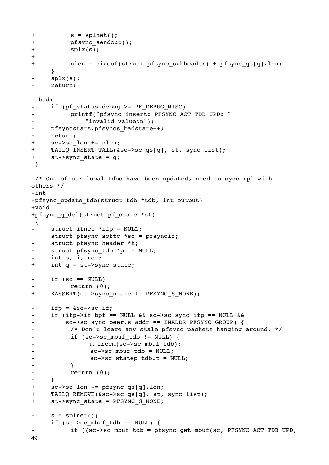```
+

 s = splnet();
+

 pfsync_sendout();
+

 splx(s);
+
+

 nlen = sizeof(struct pfsync_subheader) + pfsync_qs[q].len;
     }
     splx(s);- return;
- bad:
- if (pf status.debug >= PF DEBUG MISC)
         printf("pfsync_insert: PFSYNC_ACT_TDB_UPD: "
             "invalid value\n");
- pfsyncstats.pfsyncs badstate++;
- return;
+ sc->sc len += nlen;
+ TAILQ INSERT TAIL(&sc->sc qs[q], st, sync list);
+ st->sync state = q;
 }
-\prime* One of our local tdbs have been updated, need to sync rpl with
others */
-int
-pfsync update tdb(struct tdb *tdb, int output)
+void
+pfsync_q_del(struct pf_state *st)
 {
     struct ifnet *ifp = NULL;struct pfsync softc *sc = pfsyncif;
- struct pfsync_header *h;
     struct pfsync tdb *pt = NULL;int s, i, ret;
+ int q = st->sync_state;
- if (sc == NULL)
         return (0);
+ KASSERT(st->sync_state != PFSYNC_S_NONE);
- ifp = \&sc ->sc if;
- if (ifp->if_bpf == NULL && sc->sc_sync_ifp == NULL &&
- sc->sc sync peer.s addr == INADDR PFSYNC GROUP) {
- \prime /* Don't leave any stale pfsync packets hanging around. */
- if (sc->sc_mbuf_tdb != NULL) {
- m freem(sc->sc mbuf tdb);
- SC->sc_mbuf_tdb = NULL;
- SC->sc_statep_tdb.t = NULL;
-

 }
-

 return (0);
- }
+ sc->sc len -= pfsync qs[q].len;
+ TAILQ REMOVE(&sc->sc qs[q], st, sync list);
+ st->sync_state = PFSYNC_S_NONE;
- s = splnet();
- if (sc->sc mbuf tdb == NULL) {
          if ((sc->sc_mbuf_tdb = pfsync_get_mbuf(sc, PFSYNC ACT TDB UPD,
49
```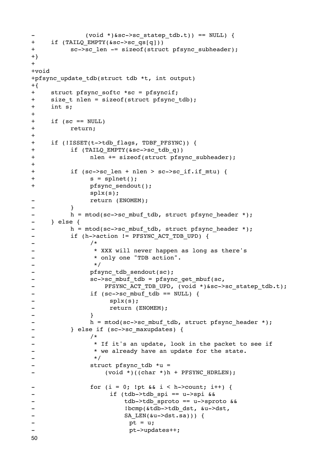```
(void * )&sc->sc statep tdb.t)) == NULL)+if (TAILQ EMPTY(\&sc->sc qs[q]))+sc->sc len -= sizeof(struct pfsync subheader);
+}
++void
+pfsync update tdb(struct tdb *t, int output)
+{
       struct pfsync softc *sc = pfsyncif;
++size t nlen = sizeof(struct pfsync tdb);
\ddot{+}int s;
\ddot{+}\ddot{+}if (\text{sc} == \text{NULL})\begin{array}{c} + \end{array}return;
\ddot{+}\ddot{+}if (!ISSET(t->tdb \text{ flags}, TDBF PFSYNC)) {
\ddot{+}if (TAILQ EMPTY(\&sc->sc tdb q))\ddot{+}nlen += sizeof(struct pfsync subheader);
\ddot{+}\ddot{+}if (sc->sc len + nlen > sc->sc if.if mtu) {
\ddot{+}s = splnet();
\ddot{}pfsync sendout();
                       splx(s);return (ENOMEM);
\overline{\phantom{0}}\overline{a}\mathcal{E}h = mtod(sc->sc mbuf tdb, struct pfsync header *);
\blacksquare\overline{a}\} else {
               h = mtod(sc->sc mbuf tdb, struct pfsync header *);
\overline{\phantom{0}}if (h->action != PFSYNC ACT TDB UPD) {
\qquad \qquad -/*\blacksquare* XXX will never happen as long as there's
\qquad \qquad* only one "TDB action".
\blacksquare\star/\blacksquarepfsync tdb sendout(sc);
\overline{\phantom{0}}sc->sc mbuf tdb = pfsync get mbuf(sc,
\frac{1}{2}\overline{a}PFSYNC ACT TDB UPD, (void *)&sc->sc statep tdb.t);
                       if (sc->sc mbuf tdb == NULL) {
\overline{\phantom{0}}splx(s);\overline{a}\frac{1}{2}return (ENOMEM);
\overline{\phantom{0}}\mathcal{F}h = mtod(sc->sc mbuf tdb, struct pfsync header *);
\blacksquare} else if (sc->sc maxupdates) {
\blacksquare/*
\frac{1}{2}* If it's an update, look in the packet to see if
\qquad \qquad -* we already have an update for the state.
\overline{a}\overline{\phantom{0}}\star/struct pfsync tdb *u =
                             (void *)((char *h + PFSYNC HDRLEN);\overline{\phantom{a}}for (i = 0; !pt & \& i < h-&gt;count; i++) {
                               if (tdb->tdb spi == u->spi & &
\overline{\phantom{a}}\overline{a}tdb->tdb sproto == u->sproto &&
                                     !bcmp(&tdb->tdb dst, &u->dst,
\frac{1}{2}\overline{\phantom{a}}SA LEN(\&u->dst.sa))) {
                                      pt = u;\overline{\phantom{a}}\overline{a}pt->updates++;
50
```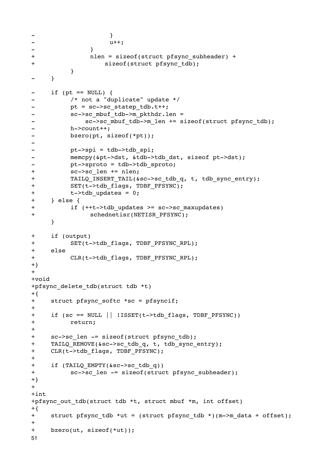```
- \qquad \qquad \qquad \qquad \qquad \qquad \qquad \qquad \qquad \qquad \qquad \qquad \qquad \qquad \qquad \qquad \qquad \qquad \qquad \qquad \qquad \qquad \qquad \qquad \qquad \qquad \qquad \qquad \qquad \qquad \qquad \qquad \qquad \qquad \qquad \qquad - u++;- \qquad \qquad }
+

 nlen = sizeof(struct pfsync_subheader) +
+

 sizeof(struct pfsync_tdb);

 }
- }
- if (pt == NULL) {
-

 /* not a "duplicate" update */
- pt = sc->sc_statep_tdb.t++;
           sc->sc_mbuf_tdb->m_pkthdr.len =
- sc->sc mbuf tdb->m len += sizeof(struct pfsync tdb);
-

 h->count++;
- bzero(pt, sizeof(*pt));
-
-    pt->spi = tdb->tdb spi;
- memcpy(&pt->dst, &tdb->tdb dst, sizeof pt->dst);
- pt->sproto = tdb->tdb sproto;
+ sc->sc len += nlen;
+ TAILQ INSERT TAIL(&sc->sc tdb q, t, tdb sync entry);
+ SET(t->tdb_flags, TDBF PFSYNC);
+ t->tdb updates = 0;
+ } else {
+ if (++t->tdb updates >= sc->sc maxupdates)
+

 schednetisr(NETISR_PFSYNC);
     }
+ if (output)
+

 SET(t->tdb_flags, TDBF_PFSYNC_RPL);
+ else
+ CLR(t->tdb flags, TDBF PFSYNC RPL);
+}
+
+void
+pfsync_delete_tdb(struct tdb *t)
+{
+ struct pfsync softc *sc = pfsyncif;
+
+ if (sc == NULL || !ISSET(t->tdb_flags, TDBF_PFSYNC))
+

 return;
+
+ sc->sc len -= sizeof(struct pfsync tdb);
+ TAILQ REMOVE(&sc->sc tdb q, t, tdb sync entry);
+ CLR(t->tdb flags, TDBF PFSYNC);
+
+ if (TAILQ EMPTY(&sc->sc tdb q))
+ sc->sc len -= sizeof(struct pfsync subheader);
+}
+
+int
+pfsync_out_tdb(struct tdb *t, struct mbuf *m, int offset)
+{
+ struct pfsync tdb *ut = (struct pfsync tdb *)(m->m data + offset);
+
+ bzero(ut, sizeof(*ut));
51
```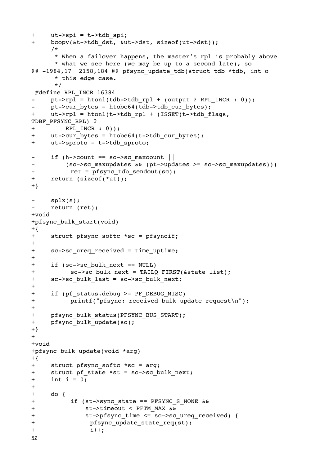```
+ ut->spi = t->tdb_spi;
+ bcopy(&t->tdb dst, &ut->dst, sizeof(ut->dst));
     /*
      * When a failover happens, the master's rpl is probably above
      * what we see here (we may be up to a second late), so
@0 -1984,17 +2158,184 @0 pfsync update tdb(struct tdb *tdb, int o
       * this edge case.
       */
 #define RPL_INCR 16384
     pt->rpl = htonl(tdb->tdb_rpl + (output ? RPL INCR : 0));- pt->cur bytes = htobe64(tdb->tdb cur bytes);
+ ut->rpl = htonl(t->tdb rpl + (ISSET(t->tdb flags,
TDBF_PFSYNC_RPL) ?
+ RPL_INCR : 0));
+ ut->cur_bytes = htobe64(t->tdb_cur_bytes);
+ ut->sproto = t->tdb_sproto;
- if (h->count == sc->sc maxcount ||- (sc->sc_maxupdates && (pt->updates >= sc->sc_maxupdates)))
-    ret = pfsync tdb sendout(sc);
+ return (sizeof(*ut));
+}
     splx(s);- return (ret);
+void
+pfsync_bulk_start(void)
+\{+ struct pfsync softc *sc = pfsyncif;
+
+ sc->sc ureq received = time uptime;
+
+ if (sc->sc bulk next == NULL)
+ sc->sc bulk next = TAILQ FIRST(&state list);
+ sc->sc bulk last = sc->sc bulk next;
+
+ if (pf status.debug >= PF DEBUG MISC)
+

 printf("pfsync: received bulk update request\n");
+
+ pfsync_bulk_status(PFSYNC_BUS_START);
+ pfsync bulk update(sc);
+}
++void
+pfsync_bulk_update(void *arg)
+{
+ struct pfsync softc *sc = arg;
+ struct pf state *st = sc->sc bulk next;
+ int i = 0;
+
+ do {
+ if (st->sync state == PFSYNC S NONE &&
+

 st->timeout < PFTM_MAX &&
+ st->pfsync time <= sc->sc ureq received) {
+ pfsync update state req(st);
+

 i++;
52
```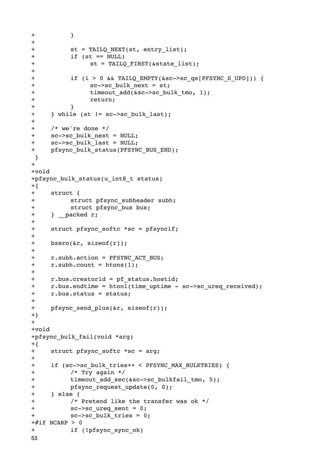```
+

 }
+
+ st = TAILQ NEXT(st, entry list);
+

 if (st == NULL)
+ st = TAILQ FIRST(\&state list);+
+ if (i > 0 && TAILQ EMPTY(&sc->sc qs[PFSYNC S UPD])) {
+

 sc->sc_bulk_next = st;
+ timeout add(&sc->sc bulk tmo, 1);
+

 return;
+

 }
+ } while (st != sc->sc bulk last);
+
+ /* we're done */
+ sc->sc_bulk_next = NULL;
+ sc->sc bulk last = NULL;
+ pfsync bulk status(PFSYNC BUS END);
 }
+
+void
+pfsync bulk status(u_int8 t status)
+\{+ struct {
+

 struct pfsync_subheader subh;
+ struct pfsync bus bus;
+ } packed r;
+
+ struct pfsync softc *sc = pfsyncif;
+
+ bzero(&r, sizeof(r));
+
+ r.subh.action = PFSYNC_ACT_BUS;
+ r.subh.count = htons(1);
+
+ r.bus.creatorid = pf_status.hostid;
+ r.bus.endtime = htonl(time uptime - sc->sc ureq received);
+ r.bus.status = status;
+
+ pfsync send plus(&r, sizeof(r));
+}
+
+void
+pfsync_bulk_fail(void *arg)
+{
+ struct pfsync softc *sc = arg;
+
+ if (sc->sc bulk tries++ < PFSYNC MAX BULKTRIES) {
+

 /* Try again */
+

 timeout_add_sec(&sc->sc_bulkfail_tmo, 5);
+ pfsync request update(0, 0);
+ } else {
+

 /* Pretend like the transfer was ok */
+ sc->sc ureq sent = 0;
+ sc->sc bulk tries = 0;
+#if NCARP > 0+

 if (!pfsync_sync_ok)
53
```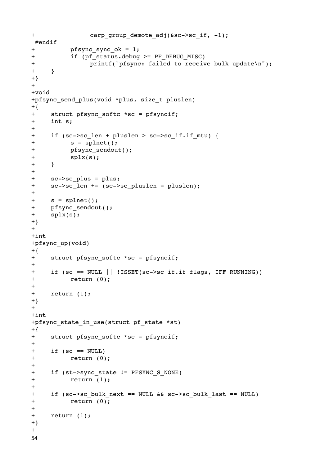```
+ carp group demote adj(&sc->sc if, -1);
 #endif
+ pfsync sync ok = 1;
+ if (pf status.debug >= PF DEBUG MISC)
+

 printf("pfsync: failed to receive bulk update\n");
+ }
+}
+
+void
+pfsync_send_plus(void *plus, size_t pluslen)
+{
+ struct pfsync softc *sc = pfsyncif;
+ int s;
+
+ if (sc->sc_len + pluslen > sc->sc_if.if_mtu) {
+

 s = splnet();
+

 pfsync_sendout();
+

 splx(s);
+ }
+
+ sc->sc_plus = plus;
+ sc->sc_len += (sc->sc pluslen = pluslen);
+
+ s = split(t);+ pfsync_sendout();
+ splx(s);
+}
+
+int
+pfsync_up(void)
+{
+ struct pfsync softc *sc = pfsyncif;
+
+ if (sc == NULL || !ISSET(sc->sc_if.if_flags, IFF RUNNING))
+

 return (0);
+
+ return (1);
+}
+
+int
+pfsync state in use(struct pf state *st)
+{
+ struct pfsync softc *sc = pfsyncif;
+
+ if (sc == \text{NULL})
+

 return (0);
+
+ if (st->sync state != PFSYNC S NONE)
+

 return (1);
+
+ if (sc->sc bulk next == NULL && sc->sc bulk last == NULL)
+

 return (0);
+
+ return (1);
+}
+54
```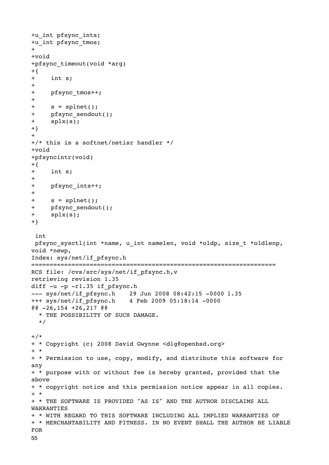```
+u_int pfsync_ints;
+u_int pfsync_tmos;
+
+void
+pfsync_timeout(void *arg)
+{
+ int s;
+
+ pfsync tmos++;
+
+ s = splnet();
+ pfsync_sendout();
+ splx(s);
+}
+
+/* this is a softnet/netisr handler */
+void
+pfsyncintr(void)
+{}+ int s;
+
+ pfsync_ints++;
+
+ s = splnet();
+ pfsync_sendout();
+ splx(s);
+}
 int
 pfsync_sysctl(int *name, u_int namelen, void *oldp, size_t *oldlenp, 
void *newp,
Index: sys/net/if_pfsync.h
===================================================================
RCS file: /cvs/src/sys/net/if pfsync.h,v
retrieving revision 1.35
diff -u -p -r1.35 if pfsync.h
--- sys/net/if_pfsync.h 29 Jun 2008 08:42:15 -0000 1.35
+++ sys/net/if_pfsync.h 4 Feb 2009 05:18:14 -0000
@@ -26,154 +26,217 @@
  * THE POSSIBILITY OF SUCH DAMAGE.
   */
+/*+ * Copyright (c) 2008 David Gwynne <dlg@openbsd.org>
+ *
+ * Permission to use, copy, modify, and distribute this software for 
any
+ * purpose with or without fee is hereby granted, provided that the 
above
+ * copyright notice and this permission notice appear in all copies.
+ *
+ * THE SOFTWARE IS PROVIDED "AS IS" AND THE AUTHOR DISCLAIMS ALL 
WARRANTIES
+ * WITH REGARD TO THIS SOFTWARE INCLUDING ALL IMPLIED WARRANTIES OF
+ * MERCHANTABILITY AND FITNESS. IN NO EVENT SHALL THE AUTHOR BE LIABLE 
FOR
55
```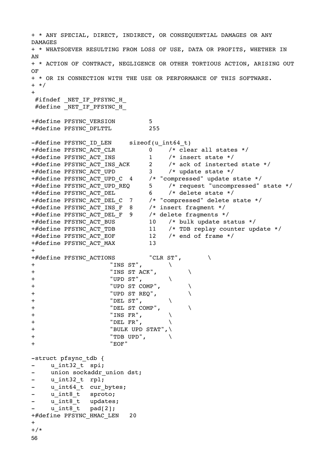+ \* ANY SPECIAL, DIRECT, INDIRECT, OR CONSEQUENTIAL DAMAGES OR ANY DAMAGES + \* WHATSOEVER RESULTING FROM LOSS OF USE, DATA OR PROFITS, WHETHER IN AN + \* ACTION OF CONTRACT, NEGLIGENCE OR OTHER TORTIOUS ACTION, ARISING OUT OF + \* OR IN CONNECTION WITH THE USE OR PERFORMANCE OF THIS SOFTWARE. + \*/ + #ifndef NET IF PFSYNC H  $\#$ define  $NET$  IF PFSYNC H +#define PFSYNC VERSION 5 +#define PFSYNC\_DFLTTL 255 -#define PFSYNC ID LEN sizeof(u int64 t) +#define PFSYNC\_ACT\_CLR 0 /\* clear all states \*/ +#define PFSYNC\_ACT\_INS 1 /\* insert state \*/ +#define PFSYNC\_ACT\_INS\_ACK 2 /\* ack of insterted state \*/ +#define PFSYNC\_ACT\_UPD 3 /\* update state \*/ +#define PFSYNC\_ACT\_UPD\_C 4 /\* "compressed" update state \*/ +#define PFSYNC\_ACT\_UPD\_REQ 5 /\* request "uncompressed" state \*/ +#define PFSYNC\_ACT\_DEL 6 /\* delete state \*/ +#define PFSYNC\_ACT\_DEL\_C 7 /\* "compressed" delete state \*/ +#define PFSYNC\_ACT\_INS\_F 8 /\* insert fragment \*/ +#define PFSYNC\_ACT\_DEL\_F 9 /\* delete fragments \*/ +#define PFSYNC\_ACT\_BUS 10 /\* bulk update status \*/ +#define PFSYNC\_ACT\_TDB 11 /\* TDB replay counter update \*/ +#define PFSYNC\_ACT\_EOF 12 /\* end of frame \*/ +#define PFSYNC\_ACT\_MAX 13  $+$ +#define PFSYNC ACTIONS "CLR ST", + 

 "INS ST", \ + 

 "INS ST ACK", \  $+$  "UPD ST",  $\qquad \qquad \backslash$ + 

 "UPD ST COMP", \ + 

 "UPD ST REQ", \  $\qquad \qquad \qquad \text{"DEL ST",}$ + 

 "DEL ST COMP", \ + 

 "INS FR", \ + 

 "DEL FR", \ + 

 "BULK UPD STAT",\ + 

 "TDB UPD", \ + 

 "EOF" -struct pfsync\_tdb { u int32 t spi; - union sockaddr union dst; - u\_int32 t\_rpl; u int64 t cur bytes; - u\_int8 t sproto; - u\_int8 t updates;  $u$  int8 t pad[2]; +#define PFSYNC HMAC LEN 20  $+$  $+$ / $\star$ 56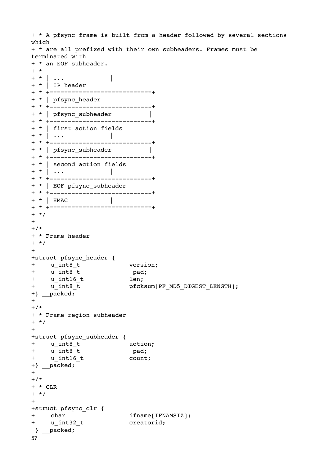```
+ * A pfsync frame is built from a header followed by several sections 
which
+ * are all prefixed with their own subheaders. Frames must be 
terminated with
+ * an EOF subheader.
+ *
+ * | ... | | |
+ * | IP header |
+ * +============================+
+ * | pfsync header |
+ * +----------------------------+
+ * | pfsync_subheader

 |
+ * +----------------------------+
+ * | first action fields |
+ * | ...
+ * +----------------------------+
+ * | pfsync_subheader |
+ * +----------------------------+
+ * | second action fields |
+ * | \dots+ * +----------------------------+
+ * | EOF pfsync_subheader |
+ * +----------------------------+
+ * | HMAC |
+ * +============================+
+ */
++/*
+ * Frame header
+ */
++struct pfsync_header {
+ u_int8_t version;
+ u_int8_t

 _pad;
+ u_int16_t

 len;
                  pfcksum[PF_MD5_DIGEST_LENGTH];
+} __packed;
++/*+ * Frame region subheader
+ */
++struct pfsync_subheader {
+ u_int8_t

 action;
+ u int8 t pad;
+ \overline{u}_int1\overline{6}_t count;
+} __packed;
++/*+ * CLR
+ */
+
+struct pfsync_clr {
+ char

 ifname[IFNAMSIZ];
+ u_int32_t

 creatorid;
 } __packed;
57
```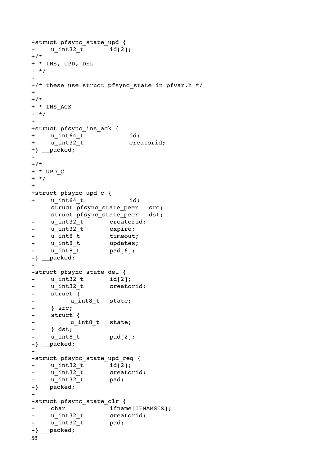```
-struct pfsync_state_upd {
- u int32 t id[2];
+/*
+ * INS, UPD, DEL
+ */
+
+/* these use struct pfsync_state in pfvar.h */
+
+/*
+ * INS_ACK
+ */
+
+struct pfsync_ins_ack {
+ u_int64_t id;
+ u_int32_t

 creatorid;
+} __packed;
++/*
+ * UPD_C
+ */
+
+struct pfsync_upd_c {
+ u int64 t id;
    struct pfsync state peer src;
    struct pfsync state peer dst;
- u_int32_t creatorid;
- u_int32_t expire;
- u int8 t timeout;
- u_int8_t updates;
- u int8 t pad[6];
-} packed;
-
-struct pfsync_state_del {
- u_int32_t

 id[2];
- u int32 t creatorid;
- struct {
- u_int8_t state;
- } src;
- struct {
- u_int8_t state;
- } dst;
- u int8 t pad[2];
-} __packed;
-
-struct pfsync_state_upd_req {
- u int32 t id[2];
- u int32 t creatorid;
- u int32 t pad;
-} __packed;
-
-struct pfsync_state_clr {
- char ifname[IFNAMSIZ];
- u int32 t creatorid;
- u int32 t pad;
-} __packed;
58
```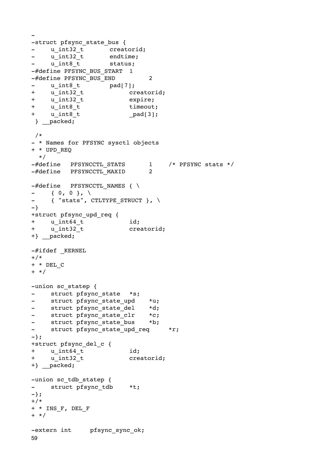```
-struct pfsync_state_bus {
- u_int32_t creatorid;
- u int32 t endtime;
- u int8 t status;
-#define PFSYNC BUS START 1
-#define PFSYNC BUS END 2
- u_int8_t pad[7];
+ u int32 t creatorid;
+ u int32 t expire;
+ u_int8_t timeout;
+ u_int8_t

 _pad[3];
 } __packed;
 /*
- * Names for PFSYNC sysctl objects
+ * UPD_REQ
  */
-#define PFSYNCCTL_STATS

 1 /* PFSYNC stats */
-#define PFSYNCCTL_MAXID

 2
-\#define PFSYNCCTL NAMES { \
- { 0, 0 }, \
- { "stats", CTLTYPE STRUCT }, \
-}
+struct pfsync_upd_req {
+ u int64 t id;
+ u_int32_t

 creatorid;
+} __packed;
-#ifdef _KERNEL
^{+}/*
+ * DEL_C
+ */
-union sc statep {
- struct pfsync state *s;
- struct pfsync_state_upd *u;
- struct pfsync state del *d;
- struct pfsync_state_clr *c;<br>- struct pfsync state bus *b;
- struct pfsync state bus
- struct pfsync state upd req *r;
-};
+struct pfsync_del_c {
+ u int64 t id;
+ u int32 t creatorid;
+} packed;
-union sc_tdb_statep {
- struct pfsync tdb *t;
-};
+/* 
+ * INS_F, DEL_F
+ */
-extern int pfsync sync ok;
59
```
-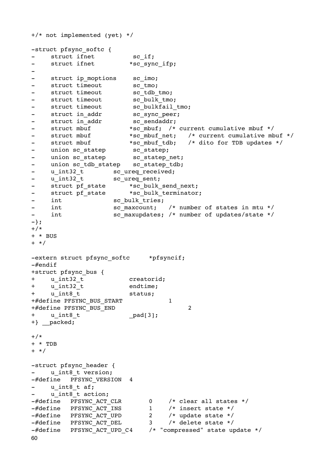```
+/* not implemented (yet) */
-struct pfsync softc {
- struct ifnet sc if;
- struct ifnet *sc sync ifp;
-
- struct ip moptions sc imo;
- struct timeout sc tmo;
- struct timeout sc tdb tmo;
- struct timeout sc bulk tmo;
- struct timeout sc bulkfail tmo;
- struct in addr sc sync peer;
- struct in addr sc sendaddr;
- struct mbuf *sc mbuf; /* current cumulative mbuf */
- struct mbuf *sc mbuf net; /* current cumulative mbuf */
- struct mbuf *sc mbuf tdb; /* dito for TDB updates */
- union sc statep sc statep;
- union sc statep sc statep net;
- union sc_tdb_statep sc_statep_tdb;
- u int32 t sc ureq received;
- u int32 t sc ureq sent;
- struct pf state *sc bulk send next;
- struct pf state *sc bulk terminator;
- int sc bulk tries;
- int sc maxcount; /* number of states in mtu */
- int sc maxupdates; /* number of updates/state */
-};
+/*+ * BUS
+ */
-extern struct pfsync softc *pfsyncif;
-#endif
+struct pfsync_bus {
+ u_int32_t

 creatorid;
+ u int32 t endtime;
+ u int8 t status;
+#define PFSYNC BUS START 1
+#define PFSYNC BUS END 2
+ u_int8_t

 _pad[3];
+} packed;
+/*+ * TDB
+ */
-struct pfsync header {
- u_int8 t_version;
-#define PFSYNC VERSION 4
    u int8 t af;
    u int8 t action;
-#define PFSYNC_ACT_CLR

 0 /* clear all states */
-#define PFSYNC ACT INS 1 /* insert state */
-#define PFSYNC ACT UPD
-#define PFSYNC_ACT_UPD 2 /* update state */<br>-#define PFSYNC_ACT_DEL 3 /* delete state */
-#define PFSYNC ACT UPD C4 /* "compressed" state update */
60
```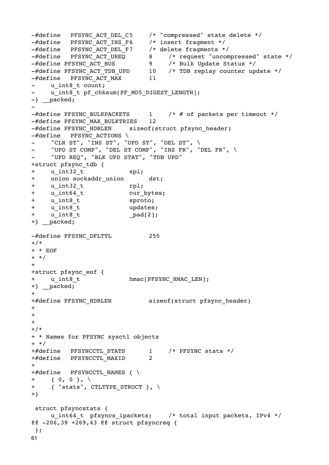```
-#define PFSYNC_ACT_DEL_C5 /* "compressed" state delete */
-#define PFSYNC_ACT_INS_F6 /* insert fragment */
-#define PFSYNC_ACT_DEL_F7 /* delete fragments */
-#define PFSYNC_ACT_UREQ

 8 /* request "uncompressed" state */
-#define PFSYNC_ACT_BUS

 9 /* Bulk Update Status */
-#define PFSYNC_ACT_TDB_UPD 10 /* TDB replay counter update */
-#define PFSYNC_ACT_MAX

 11
   u int8 t count;
    u int8 t pf chksum[PF_MD5_DIGEST_LENGTH];
-} \frac{1}{p} packed;
-
-\#define PFSYNC BULKPACKETS 1 /* # of packets per timeout */
-#define PFSYNC_MAX_BULKTRIES 12
-#define PFSYNC HDRLEN sizeof(struct pfsync header)
-#define PFSYNC ACTIONS \
    "CLR ST", "INS ST", "UPD ST", "DEL ST", \setminus"UPD ST COMP", "DEL ST COMP", "INS FR", "DEL FR", \
- "UPD REQ", "BLK UPD STAT", "TDB UPD"
+struct pfsync_tdb {
+ u int32 t spi;
+ union sockaddr union dst;
+ u_int32_t

 rpl;
+ u_int64_t

 cur_bytes;
+ u_int8_t

 sproto;
+ u_int8_t

 updates;
+ u_int64_t<br>
+ u_int8_t<br>
+ u_int8_t<br>
+ u_int8_t<br>
+ u_int8_t<br>
+ u_int8_t<br>
+ u_int8_t<br>
---,<br>
pad[2];
+} __packed;
-#define PFSYNC DFLTTL 255
+/*
+ * EOF
+ */
+
+struct pfsync_eof {
+ u int8 t hmac[PFSYNC HMAC LEN];
+} __packed;
++#define PFSYNC HDRLEN sizeof(struct pfsync header)
+
+
+
+/*
+ * Names for PFSYNC sysctl objects
+ */
+#define PFSYNCCTL STATS 1 /* PFSYNC stats */
+#define PFSYNCCTL_MAXID

 2
++#define PFSYNCCTL NAMES \{\ \ \ \ \+ { 0, 0 }, \
+ { "stats", CTLTYPE STRUCT }, \
+}
 struct pfsyncstats {
     u int64 t pfsyncs ipackets; /* total input packets, IPv4 */
@@ -206,39 +269,43 @@ struct pfsyncreq {
  };
61
```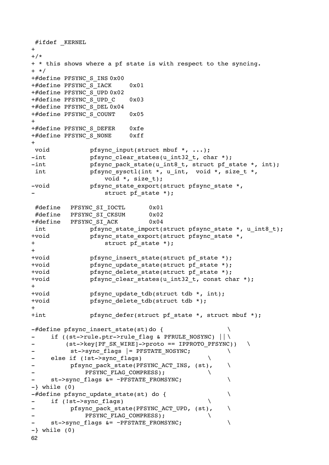```
#ifdef KERNEL
+
+/*
+ * this shows where a pf state is with respect to the syncing.
+ */
+#define PFSYNC_S_INS 0x00
+#define PFSYNC_S_IACK 0x01
+#define PFSYNC_S_UPD 0x02
+#define PFSYNC S UPD C 0x03
+#define PFSYNC_S_DEL 0x04
+#define PFSYNC S COUNT 0x05
+
+#define PFSYNC_S_DEFER 0xfe
+#define PFSYNC_S_NONE 0xff
+
void bfsync input(struct mbuf *, ...);
-int pfsync clear states(u_int32 t, char *);
-int bfsync pack state(u_int8 t, struct pf state *, int);
int pfsync sysctl(int *, u int, void *, size t *,
                 void *, size t);
-void pfsync state export(struct pfsync state *,
                 struct pf state *);
 #define PFSYNC_SI_IOCTL

 0x01
 #define PFSYNC_SI_CKSUM

 0x02
+#define PFSYNC SI ACK 0x04
int by pfsync state import(struct pfsync state *, u int8 t);
+void

 pfsync_state_export(struct pfsync_state *,
+ struct pf state *);
+
+void

 pfsync_insert_state(struct pf_state *);
+void

 pfsync_update_state(struct pf_state *);
+void pfsync delete state(struct pf state *);
+void

 pfsync_clear_states(u_int32_t, const char *);
++void

 pfsync_update_tdb(struct tdb *, int);
+void

 pfsync_delete_tdb(struct tdb *);
++int pfsync defer(struct pf state *, struct mbuf *);-#define pfsync insert state(st)do {
- if ((st->rule.ptr->rule flag & PFRULE NOSYNC) || \
        (st->key[PF SK WIRE]->proto == IPPROTO PFSYNC)- st->sync_flags |= PFSTATE_NOSYNC;
- else if (!st->sync_flags)
         pfsync pack state(PFSYNC ACT INS, (st), \
            PFSYNC FLAG COMPRESS);
- st->sync flags &= ~PFSTATE FROMSYNC;
-} while (0)-#define pfsync update state(st) do {
- if (!st->sync flags)
         pfsync_pack_state(PFSYNC ACT UPD, (st), \
            PFSYNC FLAG COMPRESS);
    st->sync flags &= ~PFSTATE FROMSYNC;
-} while (0)
62
```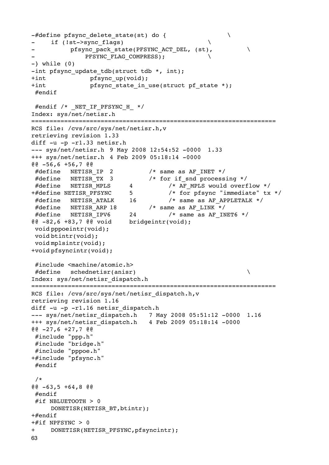```
-#define pfsync delete state(st) do {
    if (!st->sync flags)
          pfsync pack state(PFSYNC ACT DEL, (st),
             PFSYNC FLAG COMPRESS);
-} while (0)-int pfsync update tdb(struct tdb *, int);
+int

 pfsync_up(void);
+int

 pfsync_state_in_use(struct pf_state *);
 #endif
#endif /* NET IF PFSYNC H */Index: sys/net/netisr.h
===================================================================
RCS file: /cvs/src/sys/net/netisr.h,v
retrieving revision 1.33
diff -u -p -r1.33 netisr.h
--- sys/net/netisr.h 9 May 2008 12:54:52 -0000 1.33
+++ sys/net/netisr.h 4 Feb 2009 05:18:14 -0000
@@ -56,6 +56,7 @@
 #define NETISR_IP 2

 /* same as AF_INET */
#define NETISR TX 3 /* for if snd processing */
#define NETISR MPLS 4 /* AF MPLS would overflow */
+#define NETISR PFSYNC 5 /* for pfsync "immediate" tx */
 #define NETISR_ATALK 16

 /* same as AF_APPLETALK */
 #define NETISR_ARP 18

 /* same as AF_LINK */
 #define NETISR_IPV6 24

 /* same as AF_INET6 */
@@ -82,6 +83,7 @@ void bridgeintr(void);
 void pppoeintr(void);
 void btintr(void);
 void mplsintr(void);
+void pfsyncintr(void);
 #include <machine/atomic.h>
 #define schednetisr(anisr)

 \
Index: sys/net/netisr_dispatch.h
===================================================================
RCS file: /cvs/src/sys/net/netisr_dispatch.h,v
retrieving revision 1.16
diff -u -p -r1.16 netisr dispatch.h
--- sys/net/netisr_dispatch.h 7 May 2008 05:51:12 -0000 1.16
+++ sys/net/netisr_dispatch.h 4 Feb 2009 05:18:14 -0000
@@ -27,6 +27,7 @@
 #include "ppp.h"
 #include "bridge.h"
 #include "pppoe.h"
+#include "pfsync.h"
 #endif
  /*
@@ -63,5 +64,8 @@
 #endif
 #if NBLUETOOTH > 0
     DONETISR(NETISR_BT,btintr);
+#endif
+#if NPFSYNC > 0
+ DONETISR(NETISR_PFSYNC,pfsyncintr);
63
```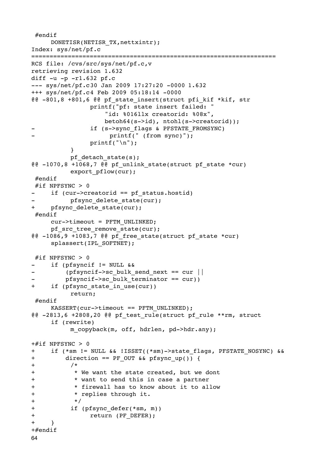```
 #endif
     DONETISR(NETISR_TX,nettxintr);
Index: sys/net/pf.c
===================================================================
RCS file: /cvs/src/sys/net/pf.c,v
retrieving revision 1.632
diff -u -p -r1.632 pf.c
--- sys/net/pf.c30 Jan 2009 17:27:20 -0000 1.632
+++ sys/net/pf.c4 Feb 2009 05:18:14 -0000
@@ -801,8 +801,6 @@ pf_state_insert(struct pfi_kif *kif, str

 printf("pf: state insert failed: "

 "id: %016llx creatorid: %08x",

 betoh64(s->id), ntohl(s->creatorid));
                if (s->sync flags & PFSTATE FROMSYNC)
                     printf(" (from sync)");
                print(f("\n');

 }
          pf detach state(s);
@@ -1070,8 +1068,7 @@ pf unlink state(struct pf state *cur)
          export pflow(cur);
 #endif
#if NPFSYNC > 0if (cur->creatorid == pf status.hostid)
          pfsync delete state(cur);
+ pfsync delete state(cur);
  #endif
     cur->timeout = PFTM_UNLINKED;
     pf src tree remove state(cur);
@@ -1086,9 +1083,7 @@ p f free state (struct pf state *cur)splassert(IPL_SOFTNET);
 #if NPFSYNC > 0if (pfsyncif != NULL &&
         (pfsyncif->sc bulk send next == cur ||pfsyncif->sc bulk terminator == cur))
+ if (pfsync state in use(cur))

 return;
  #endif
     KASSERT(cur->timeout == PFTM_UNLINKED);
@@ -2813,6 +2808,20 @@ pf_test_rule(struct pf_rule **rm, struct
     if (rewrite)
          m copyback(m, off, hdrlen, pd->hdr.any);
+#if NPFSYNC > 0
+ if (*sm != NULL && !ISSET((*sm)->state_flags, PFSTATE_NOSYNC) &&
+ direction == PF_OUT && pfsync_up()) {
+

 /*
+

 * We want the state created, but we dont
+

 * want to send this in case a partner
+

 * firewall has to know about it to allow
+

 * replies through it.
+

 */
+

 if (pfsync_defer(*sm, m))
+

 return (PF_DEFER);
+ }
+#endif
64
```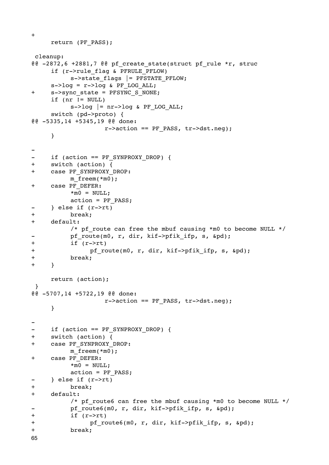```
return (PF_PASS);
 cleanup:
@@ -2872,6 +2881,7 @@ pf create state(struct pf rule *r, struc
     if (r->rule_flag & PFRULE_PFLOW)
          s->state flags |= PFSTATE PFLOW;
     s->log = r->log & PF LOG ALL;
+ s->sync state = PFSYNC S NONE;
     if (nr != NULL)s->log |= nr->log & PF LOG ALL;
     switch (pd->proto) {
@@ -5335,14 +5345,19 @@ done:
                  r->action == PF PASS, tr->dst.neg);
     }
-
- if (action == PF SYNPROXY DROP) {
+ switch (action) {
+ case PF_SYNPROXY_DROP:
         m freem(*m0);
+ case PF_DEFER:
          *m0 = NULL;
          action = PF PASS;
     } else if (r->rt)
+

 break;
+ default:
          /* pf route can free the mbuf causing *m0 to become NULL */
- pf route(m0, r, dir, kif->pfik ifp, s, &pd);
+

 if (r->rt)
+ pf route(m0, r, dir, kif->pfik ifp, s, &pd);
+

 break;
+ }
     return (action);
 }
@@ -5707,14 +5722,19 @@ done:
                  r->action == PF_PASS, tr->dst.neg);
     }
-
- if (action == PF SYNPROXY DROP) {
+ switch (action) {
+ case PF_SYNPROXY_DROP:
          m freem(*m0);
+ case PF_DEFER:
          *m0 = NULL;
          action = PF PASS;
- } else if (r->rt)+

 break;
+ default:
          /* pf route6 can free the mbuf causing *m0 to become NULL */
- pf route6(m0, r, dir, kif->pfik ifp, s, &pd);
+

 if (r->rt)
+

 pf_route6(m0, r, dir, kif->pfik_ifp, s, &pd);
+

 break;
65
```
+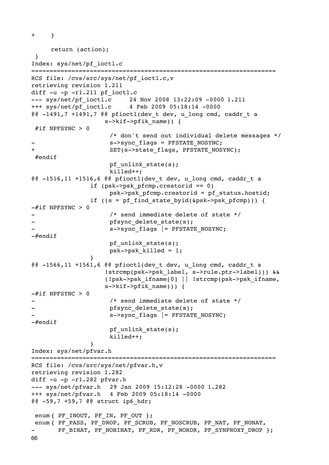```
+ }
     return (action);
  }
Index: sys/net/pf_ioctl.c
                                  ===================================================================
RCS file: /cvs/src/sys/net/pf ioctl.c,v
retrieving revision 1.211
diff -u -p -r1.211 pf ioctl.c
--- sys/net/pf ioctl.c 24 Nov 2008 13:22:09 -0000 1.211
+++ sys/net/pf_ioctl.c 4 Feb 2009 05:18:14 -0000
@@ -1491,7 +1491,7 @@ pfioctl(dev t dev, u long cmd, caddr t a
                     s->kif->pfik name)) {
 #if NPFSYNC > 0

 /* don't send out individual delete messages */
                      s->sync flags = PFSTATE NOSYNC;
                      SET(s->state flags, PFSTATE NOSYNC);
  #endif
                      pf unlink state(s);

 killed++;
@@ -1516,11 +1516,6 @@ pfioctl(dev_t dev, u_long cmd, caddr_t a
                 if (psk->psk pfcmp.creatorid == 0)

 psk->psk_pfcmp.creatorid = pf_status.hostid;
                 if ((s = pf find state_byid(&psk->psk_pfcmp))) {
-\#if NPFSYNC > 0
                      /* send immediate delete of state */
                      pfsync delete state(s);
                      s->sync_flags |= PFSTATE_NOSYNC;
-#endif
                      pf unlink state(s);

 psk->psk_killed = 1;

 }
@@ -1566,11 +1561,6 @@ pfioctl(dev t dev, u_long cmd, caddr_t a

 !strcmp(psk->psk_label, s->rule.ptr->label))) &&

 (!psk->psk_ifname[0] || !strcmp(psk->psk_ifname,
                     s->kif->pfik name))) {
-\#if NPFSYNC > 0
                      /* send immediate delete of state */
                      pfsync delete state(s);
                      s->sync flags |= PFSTATE NOSYNC;
-#endif
                      pf unlink state(s);

 killed++;

 }
Index: sys/net/pfvar.h
===================================================================
RCS file: /cvs/src/sys/net/pfvar.h,v
retrieving revision 1.282
diff -u -p -r1.282 pfvar.h
--- sys/net/pfvar.h 29 Jan 2009 15:12:28 -0000 1.282
+++ sys/net/pfvar.h 4 Feb 2009 05:18:14 -0000
@@ -59,7 +59,7 @@ struct ip6_hdr;
enum { PF_INOUT, PF_IN, PF_OUT };
 enum { PF_PASS, PF_DROP, PF_SCRUB, PF_NOSCRUB, PF_NAT, PF_NONAT,
       PF_BINAT, PF_NOBINAT, PF_RDR, PF_NORDR, PF_SYNPROXY_DROP };
66
```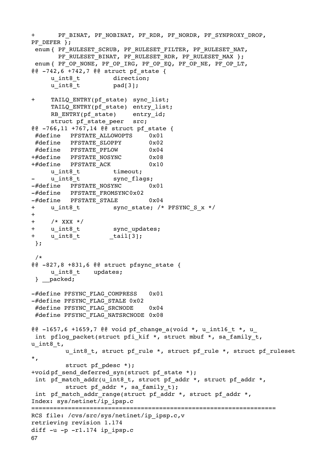```
+ PF_BINAT, PF_NOBINAT, PF_RDR, PF_NORDR, PF_SYNPROXY_DROP,
PF_DEFER };
enum { PF_RULESET_SCRUB, PF_RULESET_FILTER, PF_RULESET_NAT,
      PF_RULESET_BINAT, PF_RULESET_RDR, PF_RULESET_MAX };
enum { PF_OP_NONE, PF_OP_IRG, PF_OP_EQ, PF_OP_NE, PF_OP_LT,
@@ -742,6 +742,7 @@ struct of stateu int8 t direction;
     u int8 t pad[3];
+ TAILQ ENTRY(pf state) sync list;
     TAILQ ENTRY(pf state) entry list;
     RB ENTRY(pf state) entry id;
     struct pf state peer src;
@@ -766,11 +767,14 @@ struct pf_state {
 #define PFSTATE_ALLOWOPTS 0x01
 #define PFSTATE_SLOPPY

 0x02
 #define PFSTATE_PFLOW

 0x04
+#define PFSTATE NOSYNC 0x08
+#define PFSTATE_ACK

 0x10
     u int8 t timeout;
     u int8 t sync flags;
-#define PFSTATE NOSYNC 0x01
-#define PFSTATE FROMSYNC0x02
-#define PFSTATE STALE 0x04
+ u_int8 t sync_state; /* PFSYNC_S_x */
+
+ /* XXX */
+ u int8 t sync updates;
+ u int8 t tail[3];
 };
  /*
@@ -827,8 +831,6 @@ struct pfsync_state {
     u int8 t updates;
  } __packed;
-#define PFSYNC FLAG COMPRESS 0x01
-#define PFSYNC_FLAG_STALE 0x02
#define PFSYNC FLAG SRCNODE 0x04
 #define PFSYNC_FLAG_NATSRCNODE 0x08
@@ -1657,6 +1659,7 @@ void pf change a(void *, u_int16 t *, u
int pflog packet(struct pfi kif *, struct mbuf *, sa family t,
u int8 t,
        u int8 t, struct pf rule *, struct pf rule *, struct pf ruleset
*,
        struct pf pdesc *);
+void pf send deferred syn(struct pf state *);
 int pf match addr(u_int8 t, struct pf_addr *, struct pf_addr *,
        struct pf addr *, sa family t);
int pf_match_addr_range(struct pf addr *, struct pf addr *,
Index: sys/netinet/ip_ipsp.c
===================================================================
RCS file: /cvs/src/sys/netinet/ip_ipsp.c,v
retrieving revision 1.174
diff -u -p -r1.174 ip ipsp.c
67
```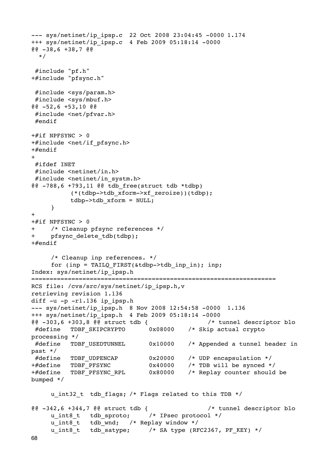```
--- sys/netinet/ip_ipsp.c 22 Oct 2008 23:04:45 -0000 1.174
+++ sys/netinet/ip_ipsp.c 4 Feb 2009 05:18:14 -0000
@@ -38,6 +38,7 @@
  */
 #include "pf.h"
+#include "pfsync.h"
 #include <sys/param.h>
 #include <sys/mbuf.h>
@@ -52,6 +53,10 @@
 #include <net/pfvar.h>
 #endif
+#if NPFSYNC > 0
+#include <net/if_pfsync.h>
+#endif
+
 #ifdef INET
 #include <netinet/in.h>
 #include <netinet/in_systm.h>
@@ -788,6 +793,11 @@ tdb_free(struct tdb *tdbp)

 (*(tdbp->tdb_xform->xf_zeroize))(tdbp);

 tdbp->tdb_xform = NULL;
     }
+
+#if NPFSYNC > 0
+ /* Cleanup pfsync references */
+ pfsync delete tdb(tdbp);
+#endif
     /* Cleanup inp references. */
     for (inp = TAILQ FIRST(&tdbp->tdb_inp_in); inp;
Index: sys/netinet/ip_ipsp.h
===================================================================
RCS file: /cvs/src/sys/netinet/ip_ipsp.h,v
retrieving revision 1.136
diff -u -p -1.136 ip ipsp.h
--- sys/netinet/ip_ipsp.h 8 Nov 2008 12:54:58 -0000 1.136
+++ sys/netinet/ip_ipsp.h 4 Feb 2009 05:18:14 -0000
@@ -303,6 +303,8 @@ struct tdb {

 /* tunnel descriptor blo
 #define TDBF_SKIPCRYPTO

 0x08000 /* Skip actual crypto 
processing */
#define TDBF USEDTUNNEL 0x10000 /* Appended a tunnel header in
past */
#define TDBF UDPENCAP 0x20000 /* UDP encapsulation */
+#define TDBF PFSYNC 0x40000 /* TDB will be synced */
+#define TDBF PFSYNC RPL 0x80000 /* Replay counter should be
bumped */
     u_int32_t tdb_flags; /* Flags related to this TDB */
@@ -342,6 +344,7 @@ struct tdb {

 /* tunnel descriptor blo
     u int8 t tdb sproto; /* IPsec protocol */
     u int8 t tdb wnd; /* Replay window */
     u int8 t tdb satype; /* SA type (RFC2367, PF KEY) */
```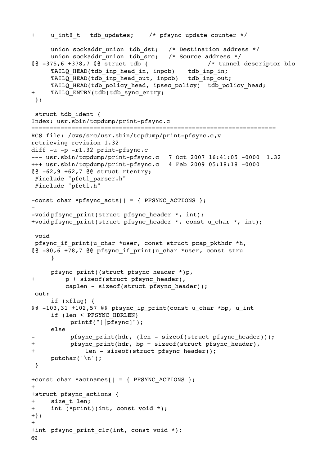```
+ u_int8_t tdb_updates; /* pfsync update counter */
     union sockaddr union tdb dst; /* Destination address */
     union sockaddr union tdb src; /* Source address */
@@ -375,6 +378,7 @@ struct tdb {

 /* tunnel descriptor blo
     TAILQ HEAD(tdb_inp_head_in, inpcb) tdb_inp_in;
     TAILQ HEAD(tdb_inp_head_out, inpcb) tdb_inp_out;
     TAILQ_HEAD(tdb_policy_head, ipsec_policy) tdb_policy_head;
+ TAILQ ENTRY(tdb)tdb sync entry;
 };
 struct tdb ident {
Index: usr.sbin/tcpdump/print-pfsync.c
===================================================================
RCS file: /cvs/src/usr.sbin/tcpdump/print-pfsync.c,v
retrieving revision 1.32
diff -u -p -r1.32 print-pfsync.c
--- usr.sbin/tcpdump/print-pfsync.c 7 Oct 2007 16:41:05 -0000 1.32
+++ usr.sbin/tcpdump/print-pfsync.c 4 Feb 2009 05:18:18 -0000
@@ -62,9 +62,7 @@ struct rtentry;
 #include "pfctl_parser.h"
 #include "pfctl.h"
-const char *pfsync acts[] = { PFSYNC ACTIONS };
-
-void pfsync print(struct pfsync header *, int);
+void pfsync_print(struct_pfsync_header *, const u_char *, int);
 void
 pfsync_if_print(u_char *user, const struct pcap_pkthdr *h,
@@ -80,6 +78,7 @@ pfsync_if_print(u_char *user, const stru
     }
     pfsync_print((struct pfsync_header *)p,
+ p + sizeof(struct pfsync header),
         caplen - sizeof(struct pfsync header));
  out:
     if (xflag) {
@0 -103,31 +102,57 @0 pfsync ip print(const u char *bp, u int
     if (len < PFSYNC_HDRLEN)

 printf("[|pfsync]");
     else
          pfsync print(hdr, (len - sizeof(struct pfsync header)));
+ pfsync print(hdr, bp + sizeof(struct pfsync header),
+

 len - sizeof(struct pfsync_header));
     putchar('\n\in);
  }
+const char *actnames[] = { PFSYNC ACTIONS };
++struct pfsync_actions {
+ size_t len;
+ int (*print)(int, const void *);
+};
+
+int pfsync print clr(int, const void *);
69
```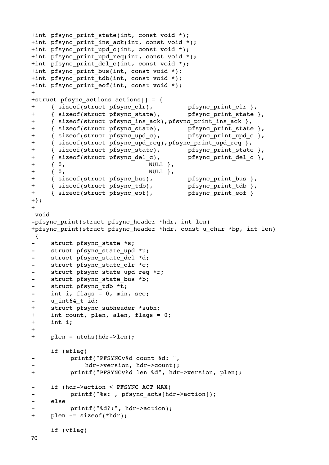```
+int pfsync print state(int, const void *);
+int pfsync print ins ack(int, const void *);
+int pfsync print upd c(int, const void *);
+int pfsync print upd req(int, const void *);
+int pfsync print del c(int, const void *);
+int pfsync print bus(int, const void *);
+int pfsync print tdb(int, const void *);
+int pfsync print eof(int, const void *);
+
+struct pfsync actions actions | = \{+ { sizeof(struct pfsync_clr),

 pfsync_print_clr },
+ { sizeof(struct pfsync_state),

 pfsync_print_state },
+ { sizeof(struct pfsync_ins_ack),pfsync_print_ins_ack },
+ { sizeof(struct pfsync_state),

 pfsync_print_state },
+ { sizeof(struct pfsync_upd_c),

 pfsync_print_upd_c },
+ { sizeof(struct pfsync upd req), pfsync print upd req },
+ { sizeof(struct pfsync_state),

 pfsync_print_state },
+ { sizeof(struct pfsync_del_c),

 pfsync_print_del_c },
+ { 0,

 NULL },
+ { 0, NULL },
+ { sizeof(struct pfsync_bus),

 pfsync_print_bus },
+ { sizeof(struct pfsync_tdb),    pfsync print tdb },
+ { sizeof(struct pfsync eof), pfsync print eof }
+};
+
 void
-pfsync print(struct pfsync header *hdr, int len)
+pfsync print(struct pfsync header *hdr, const u char *bp, int len)
 {
- struct pfsync state *s;
     struct pfsync state upd *u;
- struct pfsync state del *d;
- struct pfsync_state_clr *c;
- struct pfsync_state_upd_req *r;
- struct pfsync state bus *b;
- struct pfsync tdb *t;
- int i, flags = 0, min, sec;
- u int64 t id;
+ struct pfsync subheader *subh;
+ int count, plen, alen, flags = 0;
+ int i;
+
+ plen = ntohs(hdr->len);
     if (eflag)
          printf("PFSYNCv%d count %d: ",
             hdr->version, hdr->count);
+

 printf("PFSYNCv%d len %d", hdr->version, plen);
- if (hdr->action < PFSYNC ACT MAX)
          printf("%s:", pfsync acts[hdr->action]);
- else
          printf("%d?:", hdr->action);
+ plen -= sizeof(*hdr);
     if (vflag)
```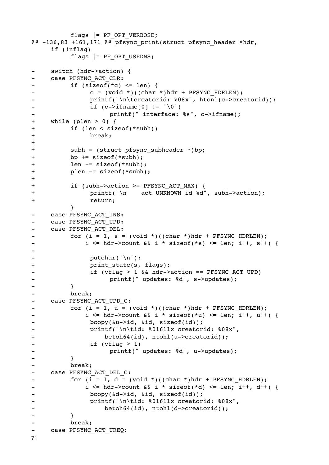```
flags | = PF OPT VERBOSE;
@@ -136,83 +161,171 @@ pfsync_print(struct pfsync_header *hdr, 
    if (!nflag)
         flags |= PF OPT USEDNS;
    switch (hdr->action) {
- case PFSYNC ACT CLR:
-

 if (sizeof(*c) <= len) {
             c = (void *)((char *)hdr + PFSYNC_HDRLEN);-

 printf("\n\tcreatorid: %08x", htonl(c->creatorid));
-

 if (c->ifname[0] != '\0')
- printf(" interface: %s", c->ifname);
+ while (plen > 0) {
+

 if (len < sizeof(*subh))
+

 break;
+
+ subh = (struct pfsync subheader *)bp;
+

 bp += sizeof(*subh);
+

 len -= sizeof(*subh);
+

 plen -= sizeof(*subh);
+
+

 if (subh->action >= PFSYNC_ACT_MAX) {
+

 printf("\n act UNKNOWN id %d", subh->action);
+

 return;

 }
- case PFSYNC ACT INS:
- case PFSYNC ACT UPD:
- case PFSYNC ACT DEL:
- for (i = 1, s = (void *)((char *)hdr + PFSYNC_HDRLEN);
-    i <= hdr->count && i * sizeof(*s) <= len; i++, s++) {
-
- putchar('\n');
- print state(s, flags);
-    if (vflag > 1 && hdr->action == PFSYNC_ACT_UPD)
- Printf(" updates: %d", s->updates);
-

 }
-

 break;
- case PFSYNC ACT UPD C:
- for (i = 1, u = (void *)((char *)hdr + PFSYNC_HDRLEN);
-    i <= hdr->count && i * sizeof(*u) <= len; i++, u++) {
- bcopy(&u->id, &id, sizeof(id));
- 
printf("\n\tid: %016llx creatorid: %08x",
- betoh64(id), ntohl(u->creatorid));
-

 if (vflag > 1)
- Printf(" updates: %d", u->updates);
-

 }
         -

 break;
- case PFSYNC ACT DEL C:
- for (i = 1, d = (void *)((char *)hdr + PFSYNC_HDRLEN);i \leq \text{hdr}->count && i * \text{sizeof}(\text{*d}) \leq \text{len}; i++) {
-

 bcopy(&d->id, &id, sizeof(id));
- 
printf("\n\tid: %016llx creatorid: %08x",
- betoh64(id), ntohl(d->creatorid));
-

 }
         -

 break;
- case PFSYNC ACT UREQ:
71
```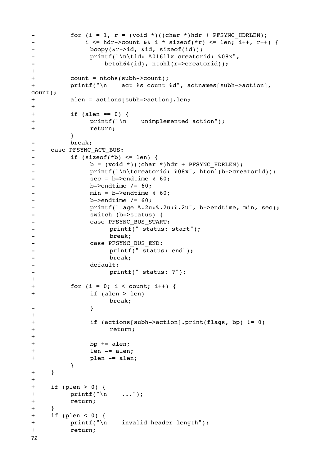```
- for (i = 1, r = (void *)((char *)hdr + PFSYNC HDRLEN);
-

 i <= hdr->count && i * sizeof(*r) <= len; i++, r++) {
- bcopy(&r->id, &id, sizeof(id));
-

 printf("\n\tid: %016llx creatorid: %08x",
- betoh64(id), ntohl(r->creatorid));
+
+

 count = ntohs(subh->count);
+

 printf("\n act %s count %d", actnames[subh->action], 
count);
+

 alen = actions[subh->action].len;
+
+

 if (alen == 0) {
+

 printf("\n unimplemented action");
+

 return;

 }
-

 break;
- case PFSYNC ACT BUS:
-

 if (sizeof(*b) <= len) {
- b = (void *)((char *)hdr + PFSYNC HDRLEN);-

 printf("\n\tcreatorid: %08x", htonl(b->creatorid));
- <br>
sec = b->endtime % 60;
- b->endtime /= 60;
- min = b->endtime % 60;
- b->endtime /= 60;
- printf(" age %.2u:%.2u:%.2u", b->endtime, min, sec);
-

 switch (b->status) {
-

 case PFSYNC_BUS_START:
                 printf(" status: start");
-

 break;
-

 case PFSYNC_BUS_END:
- printf(" status: end");
-

 break;
- default:
-

 printf(" status: ?");
+
+

 for (i = 0; i < count; i++) {
+

 if (alen > len)

 break;
- \qquad \qquad }
+
+

 if (actions[subh->action].print(flags, bp) != 0)
+

 return;
+
+

 bp += alen;
+

 len -= alen;
+

 plen -= alen;

 }
+ }
+
+ if (plen > 0) {
+

 printf("\n ...");
+

 return;
+ }
+ if (plen < 0) {
+

 printf("\n invalid header length");
+

 return;
72
```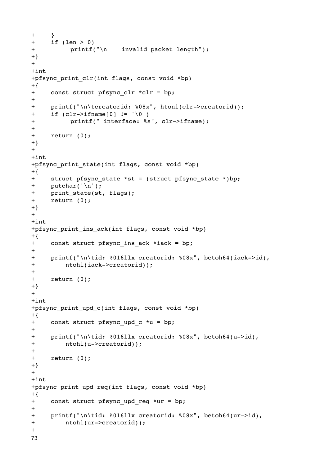```
+ }
+ if (len > 0)
+

 printf("\n invalid packet length");
+}
+
+int
+pfsync print clr(int flags, const void *bp)
+{
+ const struct pfsync clr *clr = bp;
+
+ printf("\n\tcreatorid: %08x", htonl(clr->creatorid));
+ if (clr->ifname[0] != '\0')
+

 printf(" interface: %s", clr->ifname);
+
+ return (0);
+}
+
+int
+pfsync print state(int flags, const void *bp)
+{
+ struct pfsync state *st = (struct pfsync state *)bp;
+ putchar('\n');
+ print state(st, flags);
+ return (0);
+}
+
+int
+pfsync print ins ack(int flags, const void *bp)
+{
+ const struct pfsync ins ack *iack = bp;
+
+ printf("\n\tid: %016llx creatorid: %08x", betoh64(iack->id),
+ ntohl(iack->creatorid));
+
+ return (0);
+}
+
+int
+pfsync print upd c(int flags, const void *bp)
+{
+ const struct pfsync upd c *u = bp;
+
+ printf("\n\tid: %016llx creatorid: %08x", betoh64(u->id),
+ ntohl(u->creatorid));
+
+ return (0);
+}
+
+int
+pfsync_print_upd_req(int flags, const void *bp)
+{
+ const struct pfsync_upd_req *ur = bp;
+
+ printf("\n\tid: %016llx creatorid: %08x", betoh64(ur->id),
+ ntohl(ur->creatorid));
+
73
```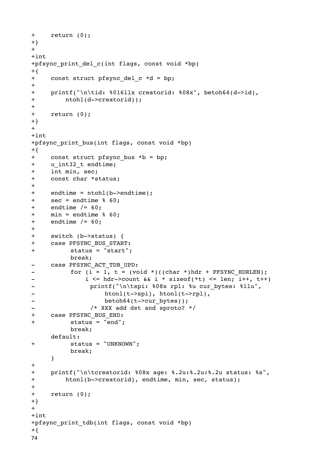```
+ return (0);
+}
+
+int
+pfsync print del c(int flags, const void *bp)
+{
+ const struct pfsync del c *d = bp;
+
+ printf("\n\tid: %016llx creatorid: %08x", betoh64(d->id),
+ ntohl(d->creatorid));
+
+ return (0);
+}
+
+int
+pfsync print bus(int flags, const void *bp)
+{
+ const struct pfsync bus *b = bp;
+ u_int32_t endtime;
+ int min, sec;
+ const char *status;
+
+ endtime = ntohl(b->endtime);
+ sec = endtime % 60;
+ endtime / = 60;
+ min = endtime % 60;+ endtime / = 60;
+
+ switch (b->status) {
+ case PFSYNC_BUS_START:
+

 status = "start";

 break;
- case PFSYNC ACT TDB UPD:
- for (i = 1, t = (void *)((char *)hdr + PFSYNC_HDRLEN);-    i <= hdr->count && i * sizeof(*t) <= len; i++, t++)
- printf("\n\tspi: %08x rpl: %u cur bytes: %llu",
- htonl(t->spi), htonl(t->rpl),
- betoh64(t->cur_bytes));
- /* XXX add dst and sproto? */
+ case PFSYNC_BUS_END:
+

 status = "end";

 break;
    default:
+

 status = "UNKNOWN";

 break;
    }
+
+ printf("\n\tcreatorid: %08x age: %.2u:%.2u:%.2u status: %s",
+ htonl(b->creatorid), endtime, min, sec, status);
+
+ return (0);
+}
+
+int
+pfsync_print_tdb(int flags, const void *bp)
+{
74
```